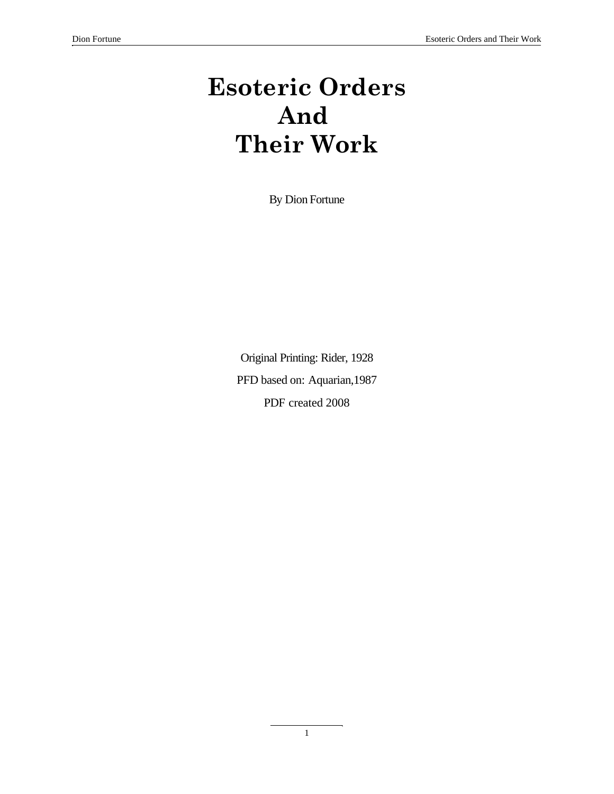# **Esoteric Orders And Their Work**

By Dion Fortune

Original Printing: Rider, 1928 PFD based on: Aquarian,1987 PDF created 2008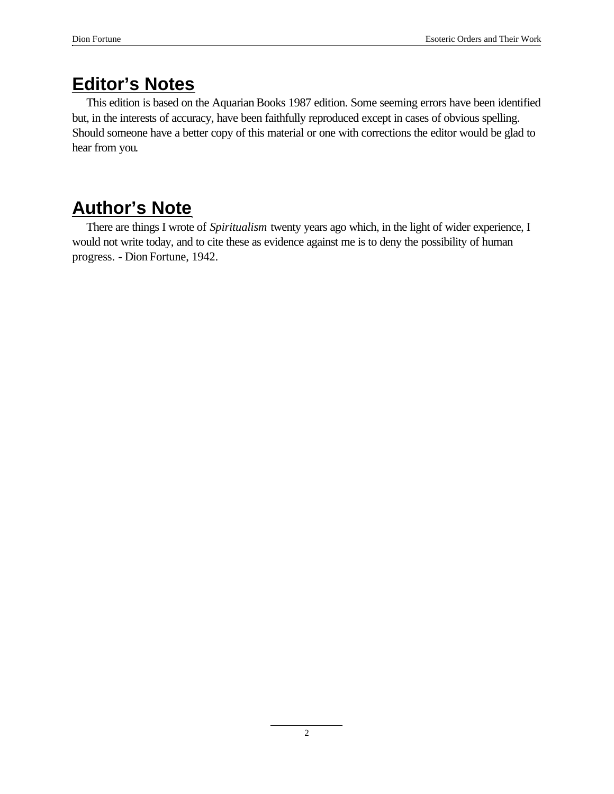#### **Editor's Notes**

This edition is based on the Aquarian Books 1987 edition. Some seeming errors have been identified but, in the interests of accuracy, have been faithfully reproduced except in cases of obvious spelling. Should someone have a better copy of this material or one with corrections the editor would be glad to hear from you.

#### **Author's Note**

There are things I wrote of *Spiritualism* twenty years ago which, in the light of wider experience, I would not write today, and to cite these as evidence against me is to deny the possibility of human progress. - Dion Fortune, 1942.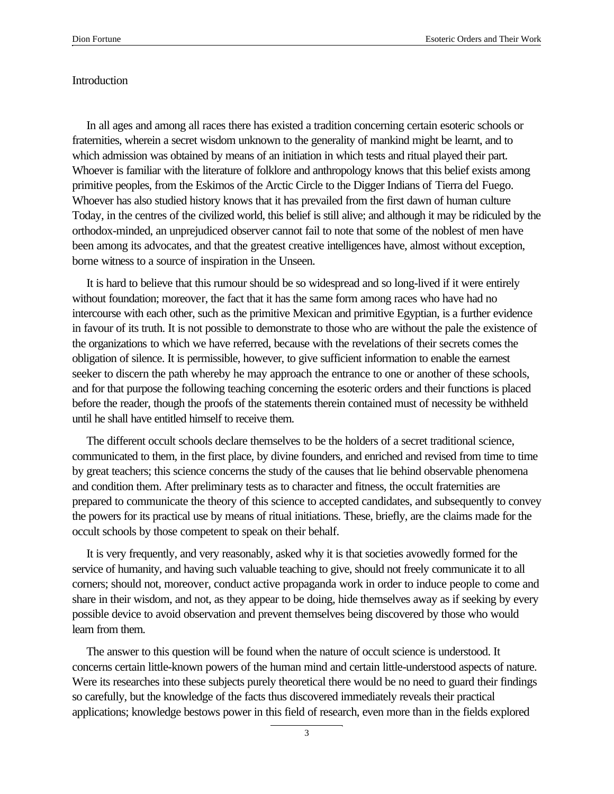#### Introduction

In all ages and among all races there has existed a tradition concerning certain esoteric schools or fraternities, wherein a secret wisdom unknown to the generality of mankind might be learnt, and to which admission was obtained by means of an initiation in which tests and ritual played their part. Whoever is familiar with the literature of folklore and anthropology knows that this belief exists among primitive peoples, from the Eskimos of the Arctic Circle to the Digger Indians of Tierra del Fuego. Whoever has also studied history knows that it has prevailed from the first dawn of human culture Today, in the centres of the civilized world, this belief is still alive; and although it may be ridiculed by the orthodox-minded, an unprejudiced observer cannot fail to note that some of the noblest of men have been among its advocates, and that the greatest creative intelligences have, almost without exception, borne witness to a source of inspiration in the Unseen.

It is hard to believe that this rumour should be so widespread and so long-lived if it were entirely without foundation; moreover, the fact that it has the same form among races who have had no intercourse with each other, such as the primitive Mexican and primitive Egyptian, is a further evidence in favour of its truth. It is not possible to demonstrate to those who are without the pale the existence of the organizations to which we have referred, because with the revelations of their secrets comes the obligation of silence. It is permissible, however, to give sufficient information to enable the earnest seeker to discern the path whereby he may approach the entrance to one or another of these schools, and for that purpose the following teaching concerning the esoteric orders and their functions is placed before the reader, though the proofs of the statements therein contained must of necessity be withheld until he shall have entitled himself to receive them.

The different occult schools declare themselves to be the holders of a secret traditional science, communicated to them, in the first place, by divine founders, and enriched and revised from time to time by great teachers; this science concerns the study of the causes that lie behind observable phenomena and condition them. After preliminary tests as to character and fitness, the occult fraternities are prepared to communicate the theory of this science to accepted candidates, and subsequently to convey the powers for its practical use by means of ritual initiations. These, briefly, are the claims made for the occult schools by those competent to speak on their behalf.

It is very frequently, and very reasonably, asked why it is that societies avowedly formed for the service of humanity, and having such valuable teaching to give, should not freely communicate it to all corners; should not, moreover, conduct active propaganda work in order to induce people to come and share in their wisdom, and not, as they appear to be doing, hide themselves away as if seeking by every possible device to avoid observation and prevent themselves being discovered by those who would learn from them.

The answer to this question will be found when the nature of occult science is understood. It concerns certain little-known powers of the human mind and certain little-understood aspects of nature. Were its researches into these subjects purely theoretical there would be no need to guard their findings so carefully, but the knowledge of the facts thus discovered immediately reveals their practical applications; knowledge bestows power in this field of research, even more than in the fields explored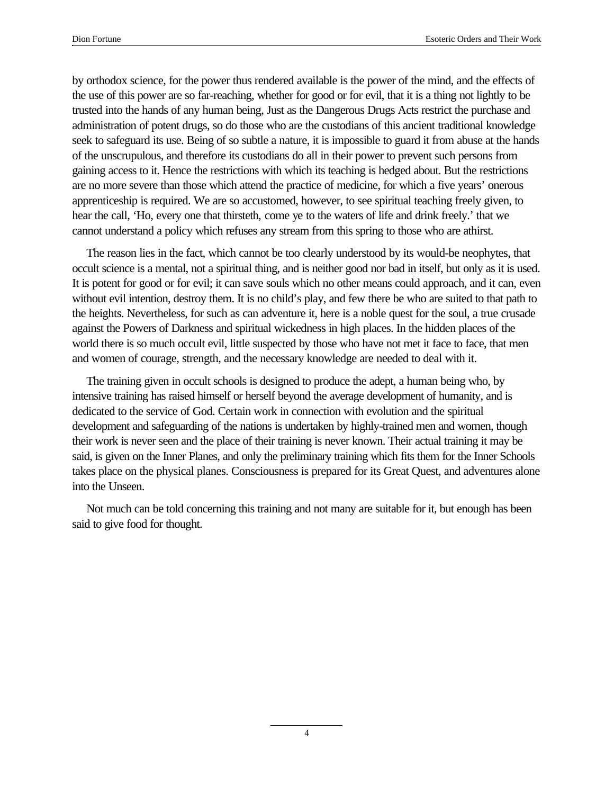by orthodox science, for the power thus rendered available is the power of the mind, and the effects of the use of this power are so far-reaching, whether for good or for evil, that it is a thing not lightly to be trusted into the hands of any human being, Just as the Dangerous Drugs Acts restrict the purchase and administration of potent drugs, so do those who are the custodians of this ancient traditional knowledge seek to safeguard its use. Being of so subtle a nature, it is impossible to guard it from abuse at the hands of the unscrupulous, and therefore its custodians do all in their power to prevent such persons from gaining access to it. Hence the restrictions with which its teaching is hedged about. But the restrictions are no more severe than those which attend the practice of medicine, for which a five years' onerous apprenticeship is required. We are so accustomed, however, to see spiritual teaching freely given, to hear the call, 'Ho, every one that thirsteth, come ye to the waters of life and drink freely.' that we cannot understand a policy which refuses any stream from this spring to those who are athirst.

The reason lies in the fact, which cannot be too clearly understood by its would-be neophytes, that occult science is a mental, not a spiritual thing, and is neither good nor bad in itself, but only as it is used. It is potent for good or for evil; it can save souls which no other means could approach, and it can, even without evil intention, destroy them. It is no child's play, and few there be who are suited to that path to the heights. Nevertheless, for such as can adventure it, here is a noble quest for the soul, a true crusade against the Powers of Darkness and spiritual wickedness in high places. In the hidden places of the world there is so much occult evil, little suspected by those who have not met it face to face, that men and women of courage, strength, and the necessary knowledge are needed to deal with it.

The training given in occult schools is designed to produce the adept, a human being who, by intensive training has raised himself or herself beyond the average development of humanity, and is dedicated to the service of God. Certain work in connection with evolution and the spiritual development and safeguarding of the nations is undertaken by highly-trained men and women, though their work is never seen and the place of their training is never known. Their actual training it may be said, is given on the Inner Planes, and only the preliminary training which fits them for the Inner Schools takes place on the physical planes. Consciousness is prepared for its Great Quest, and adventures alone into the Unseen.

Not much can be told concerning this training and not many are suitable for it, but enough has been said to give food for thought.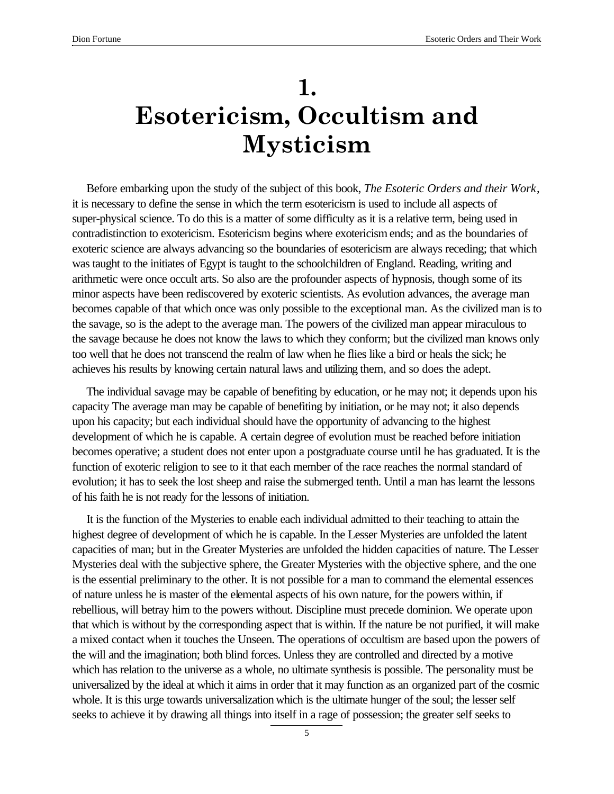# **1. Esotericism, Occultism and Mysticism**

Before embarking upon the study of the subject of this book, *The Esoteric Orders and their Work*, it is necessary to define the sense in which the term esotericism is used to include all aspects of super-physical science. To do this is a matter of some difficulty as it is a relative term, being used in contradistinction to exotericism. Esotericism begins where exotericism ends; and as the boundaries of exoteric science are always advancing so the boundaries of esotericism are always receding; that which was taught to the initiates of Egypt is taught to the schoolchildren of England. Reading, writing and arithmetic were once occult arts. So also are the profounder aspects of hypnosis, though some of its minor aspects have been rediscovered by exoteric scientists. As evolution advances, the average man becomes capable of that which once was only possible to the exceptional man. As the civilized man is to the savage, so is the adept to the average man. The powers of the civilized man appear miraculous to the savage because he does not know the laws to which they conform; but the civilized man knows only too well that he does not transcend the realm of law when he flies like a bird or heals the sick; he achieves his results by knowing certain natural laws and utilizing them, and so does the adept.

The individual savage may be capable of benefiting by education, or he may not; it depends upon his capacity The average man may be capable of benefiting by initiation, or he may not; it also depends upon his capacity; but each individual should have the opportunity of advancing to the highest development of which he is capable. A certain degree of evolution must be reached before initiation becomes operative; a student does not enter upon a postgraduate course until he has graduated. It is the function of exoteric religion to see to it that each member of the race reaches the normal standard of evolution; it has to seek the lost sheep and raise the submerged tenth. Until a man has learnt the lessons of his faith he is not ready for the lessons of initiation.

It is the function of the Mysteries to enable each individual admitted to their teaching to attain the highest degree of development of which he is capable. In the Lesser Mysteries are unfolded the latent capacities of man; but in the Greater Mysteries are unfolded the hidden capacities of nature. The Lesser Mysteries deal with the subjective sphere, the Greater Mysteries with the objective sphere, and the one is the essential preliminary to the other. It is not possible for a man to command the elemental essences of nature unless he is master of the elemental aspects of his own nature, for the powers within, if rebellious, will betray him to the powers without. Discipline must precede dominion. We operate upon that which is without by the corresponding aspect that is within. If the nature be not purified, it will make a mixed contact when it touches the Unseen. The operations of occultism are based upon the powers of the will and the imagination; both blind forces. Unless they are controlled and directed by a motive which has relation to the universe as a whole, no ultimate synthesis is possible. The personality must be universalized by the ideal at which it aims in order that it may function as an organized part of the cosmic whole. It is this urge towards universalization which is the ultimate hunger of the soul; the lesser self seeks to achieve it by drawing all things into itself in a rage of possession; the greater self seeks to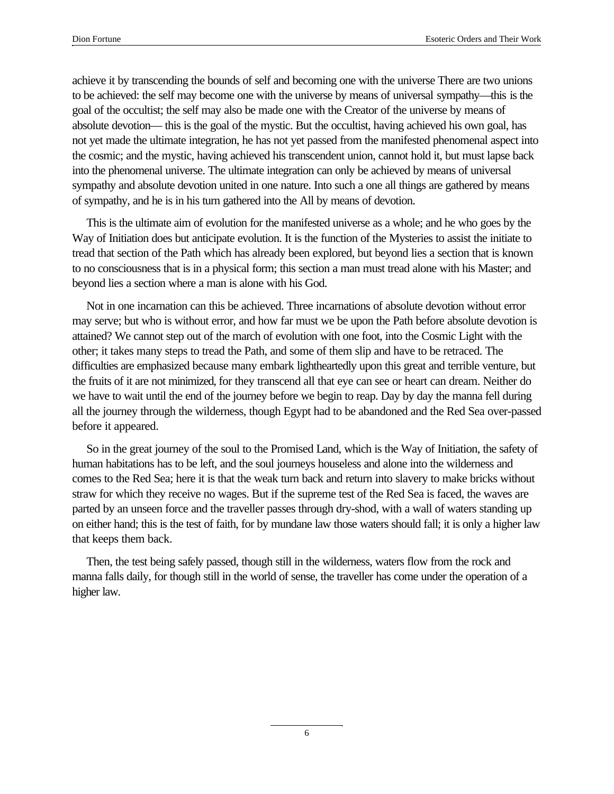achieve it by transcending the bounds of self and becoming one with the universe There are two unions to be achieved: the self may become one with the universe by means of universal sympathy—this is the goal of the occultist; the self may also be made one with the Creator of the universe by means of absolute devotion— this is the goal of the mystic. But the occultist, having achieved his own goal, has not yet made the ultimate integration, he has not yet passed from the manifested phenomenal aspect into the cosmic; and the mystic, having achieved his transcendent union, cannot hold it, but must lapse back into the phenomenal universe. The ultimate integration can only be achieved by means of universal sympathy and absolute devotion united in one nature. Into such a one all things are gathered by means of sympathy, and he is in his turn gathered into the All by means of devotion.

This is the ultimate aim of evolution for the manifested universe as a whole; and he who goes by the Way of Initiation does but anticipate evolution. It is the function of the Mysteries to assist the initiate to tread that section of the Path which has already been explored, but beyond lies a section that is known to no consciousness that is in a physical form; this section a man must tread alone with his Master; and beyond lies a section where a man is alone with his God.

Not in one incarnation can this be achieved. Three incarnations of absolute devotion without error may serve; but who is without error, and how far must we be upon the Path before absolute devotion is attained? We cannot step out of the march of evolution with one foot, into the Cosmic Light with the other; it takes many steps to tread the Path, and some of them slip and have to be retraced. The difficulties are emphasized because many embark lightheartedly upon this great and terrible venture, but the fruits of it are not minimized, for they transcend all that eye can see or heart can dream. Neither do we have to wait until the end of the journey before we begin to reap. Day by day the manna fell during all the journey through the wilderness, though Egypt had to be abandoned and the Red Sea over-passed before it appeared.

So in the great journey of the soul to the Promised Land, which is the Way of Initiation, the safety of human habitations has to be left, and the soul journeys houseless and alone into the wilderness and comes to the Red Sea; here it is that the weak turn back and return into slavery to make bricks without straw for which they receive no wages. But if the supreme test of the Red Sea is faced, the waves are parted by an unseen force and the traveller passes through dry-shod, with a wall of waters standing up on either hand; this is the test of faith, for by mundane law those waters should fall; it is only a higher law that keeps them back.

Then, the test being safely passed, though still in the wilderness, waters flow from the rock and manna falls daily, for though still in the world of sense, the traveller has come under the operation of a higher law.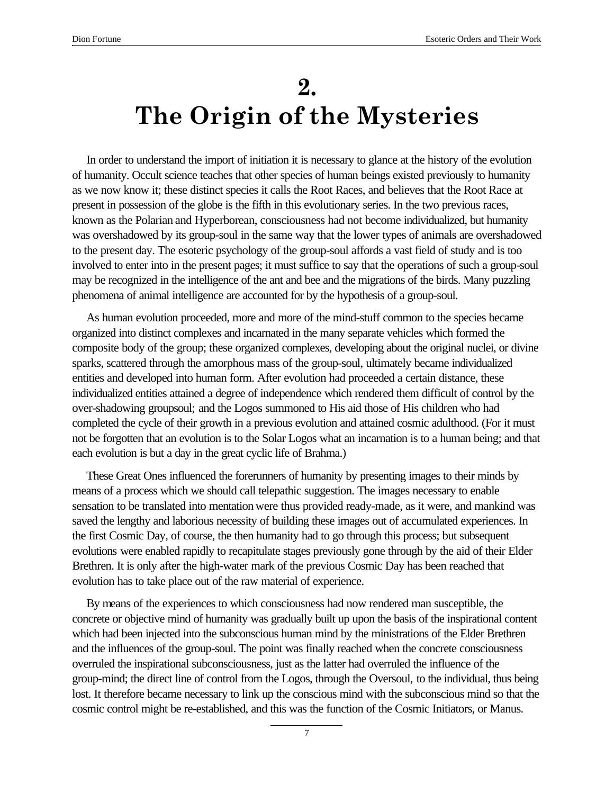# **2. The Origin of the Mysteries**

In order to understand the import of initiation it is necessary to glance at the history of the evolution of humanity. Occult science teaches that other species of human beings existed previously to humanity as we now know it; these distinct species it calls the Root Races, and believes that the Root Race at present in possession of the globe is the fifth in this evolutionary series. In the two previous races, known as the Polarian and Hyperborean, consciousness had not become individualized, but humanity was overshadowed by its group-soul in the same way that the lower types of animals are overshadowed to the present day. The esoteric psychology of the group-soul affords a vast field of study and is too involved to enter into in the present pages; it must suffice to say that the operations of such a group-soul may be recognized in the intelligence of the ant and bee and the migrations of the birds. Many puzzling phenomena of animal intelligence are accounted for by the hypothesis of a group-soul.

As human evolution proceeded, more and more of the mind-stuff common to the species became organized into distinct complexes and incarnated in the many separate vehicles which formed the composite body of the group; these organized complexes, developing about the original nuclei, or divine sparks, scattered through the amorphous mass of the group-soul, ultimately became individualized entities and developed into human form. After evolution had proceeded a certain distance, these individualized entities attained a degree of independence which rendered them difficult of control by the over-shadowing groupsoul; and the Logos summoned to His aid those of His children who had completed the cycle of their growth in a previous evolution and attained cosmic adulthood. (For it must not be forgotten that an evolution is to the Solar Logos what an incarnation is to a human being; and that each evolution is but a day in the great cyclic life of Brahma.)

These Great Ones influenced the forerunners of humanity by presenting images to their minds by means of a process which we should call telepathic suggestion. The images necessary to enable sensation to be translated into mentation were thus provided ready-made, as it were, and mankind was saved the lengthy and laborious necessity of building these images out of accumulated experiences. In the first Cosmic Day, of course, the then humanity had to go through this process; but subsequent evolutions were enabled rapidly to recapitulate stages previously gone through by the aid of their Elder Brethren. It is only after the high-water mark of the previous Cosmic Day has been reached that evolution has to take place out of the raw material of experience.

By means of the experiences to which consciousness had now rendered man susceptible, the concrete or objective mind of humanity was gradually built up upon the basis of the inspirational content which had been injected into the subconscious human mind by the ministrations of the Elder Brethren and the influences of the group-soul. The point was finally reached when the concrete consciousness overruled the inspirational subconsciousness, just as the latter had overruled the influence of the group-mind; the direct line of control from the Logos, through the Oversoul, to the individual, thus being lost. It therefore became necessary to link up the conscious mind with the subconscious mind so that the cosmic control might be re-established, and this was the function of the Cosmic Initiators, or Manus.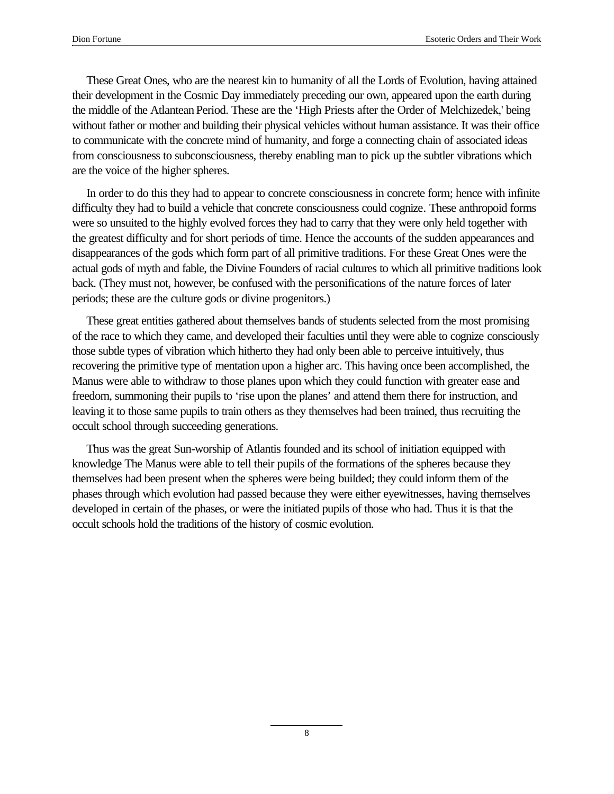These Great Ones, who are the nearest kin to humanity of all the Lords of Evolution, having attained their development in the Cosmic Day immediately preceding our own, appeared upon the earth during the middle of the Atlantean Period. These are the 'High Priests after the Order of Melchizedek,' being without father or mother and building their physical vehicles without human assistance. It was their office to communicate with the concrete mind of humanity, and forge a connecting chain of associated ideas from consciousness to subconsciousness, thereby enabling man to pick up the subtler vibrations which are the voice of the higher spheres.

In order to do this they had to appear to concrete consciousness in concrete form; hence with infinite difficulty they had to build a vehicle that concrete consciousness could cognize. These anthropoid forms were so unsuited to the highly evolved forces they had to carry that they were only held together with the greatest difficulty and for short periods of time. Hence the accounts of the sudden appearances and disappearances of the gods which form part of all primitive traditions. For these Great Ones were the actual gods of myth and fable, the Divine Founders of racial cultures to which all primitive traditions look back. (They must not, however, be confused with the personifications of the nature forces of later periods; these are the culture gods or divine progenitors.)

These great entities gathered about themselves bands of students selected from the most promising of the race to which they came, and developed their faculties until they were able to cognize consciously those subtle types of vibration which hitherto they had only been able to perceive intuitively, thus recovering the primitive type of mentation upon a higher arc. This having once been accomplished, the Manus were able to withdraw to those planes upon which they could function with greater ease and freedom, summoning their pupils to 'rise upon the planes' and attend them there for instruction, and leaving it to those same pupils to train others as they themselves had been trained, thus recruiting the occult school through succeeding generations.

Thus was the great Sun-worship of Atlantis founded and its school of initiation equipped with knowledge The Manus were able to tell their pupils of the formations of the spheres because they themselves had been present when the spheres were being builded; they could inform them of the phases through which evolution had passed because they were either eyewitnesses, having themselves developed in certain of the phases, or were the initiated pupils of those who had. Thus it is that the occult schools hold the traditions of the history of cosmic evolution.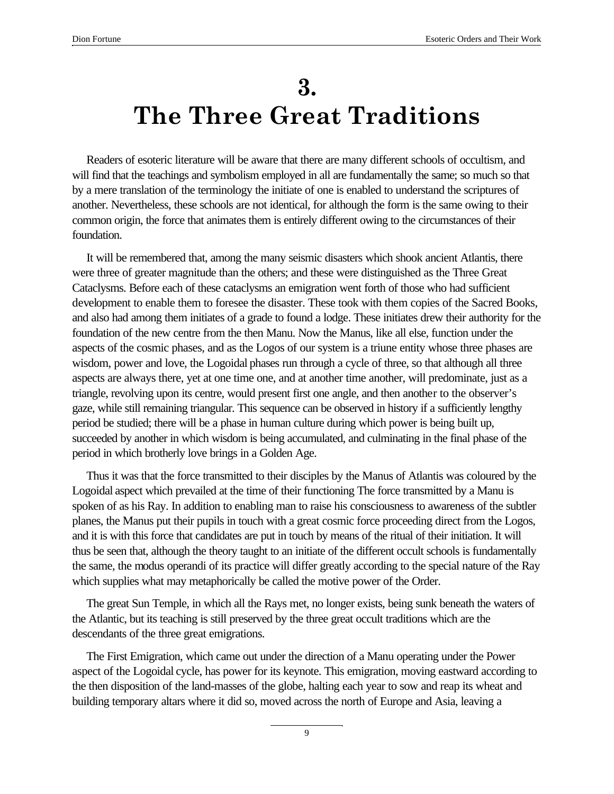#### **3. The Three Great Traditions**

Readers of esoteric literature will be aware that there are many different schools of occultism, and will find that the teachings and symbolism employed in all are fundamentally the same; so much so that by a mere translation of the terminology the initiate of one is enabled to understand the scriptures of another. Nevertheless, these schools are not identical, for although the form is the same owing to their common origin, the force that animates them is entirely different owing to the circumstances of their foundation.

It will be remembered that, among the many seismic disasters which shook ancient Atlantis, there were three of greater magnitude than the others; and these were distinguished as the Three Great Cataclysms. Before each of these cataclysms an emigration went forth of those who had sufficient development to enable them to foresee the disaster. These took with them copies of the Sacred Books, and also had among them initiates of a grade to found a lodge. These initiates drew their authority for the foundation of the new centre from the then Manu. Now the Manus, like all else, function under the aspects of the cosmic phases, and as the Logos of our system is a triune entity whose three phases are wisdom, power and love, the Logoidal phases run through a cycle of three, so that although all three aspects are always there, yet at one time one, and at another time another, will predominate, just as a triangle, revolving upon its centre, would present first one angle, and then another to the observer's gaze, while still remaining triangular. This sequence can be observed in history if a sufficiently lengthy period be studied; there will be a phase in human culture during which power is being built up, succeeded by another in which wisdom is being accumulated, and culminating in the final phase of the period in which brotherly love brings in a Golden Age.

Thus it was that the force transmitted to their disciples by the Manus of Atlantis was coloured by the Logoidal aspect which prevailed at the time of their functioning The force transmitted by a Manu is spoken of as his Ray. In addition to enabling man to raise his consciousness to awareness of the subtler planes, the Manus put their pupils in touch with a great cosmic force proceeding direct from the Logos, and it is with this force that candidates are put in touch by means of the ritual of their initiation. It will thus be seen that, although the theory taught to an initiate of the different occult schools is fundamentally the same, the modus operandi of its practice will differ greatly according to the special nature of the Ray which supplies what may metaphorically be called the motive power of the Order.

The great Sun Temple, in which all the Rays met, no longer exists, being sunk beneath the waters of the Atlantic, but its teaching is still preserved by the three great occult traditions which are the descendants of the three great emigrations.

The First Emigration, which came out under the direction of a Manu operating under the Power aspect of the Logoidal cycle, has power for its keynote. This emigration, moving eastward according to the then disposition of the land-masses of the globe, halting each year to sow and reap its wheat and building temporary altars where it did so, moved across the north of Europe and Asia, leaving a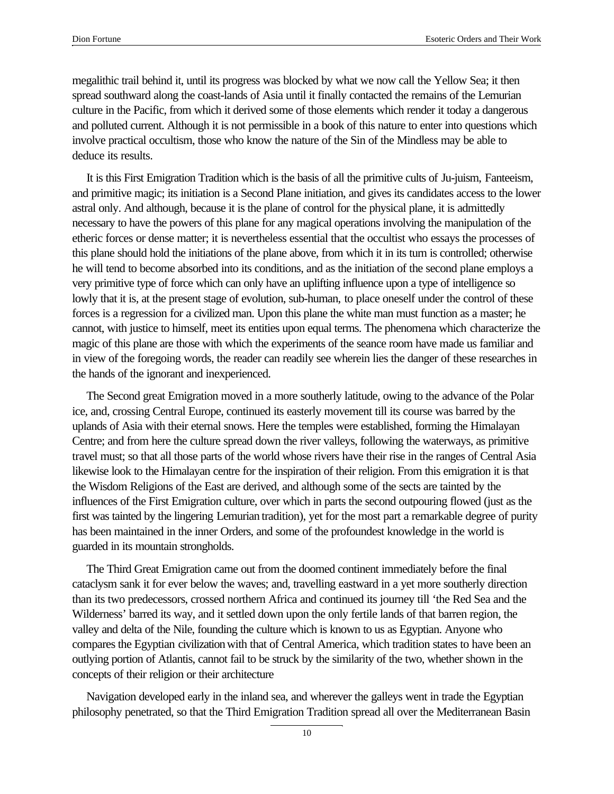megalithic trail behind it, until its progress was blocked by what we now call the Yellow Sea; it then spread southward along the coast-lands of Asia until it finally contacted the remains of the Lemurian culture in the Pacific, from which it derived some of those elements which render it today a dangerous and polluted current. Although it is not permissible in a book of this nature to enter into questions which involve practical occultism, those who know the nature of the Sin of the Mindless may be able to deduce its results.

It is this First Emigration Tradition which is the basis of all the primitive cults of Ju-juism, Fanteeism, and primitive magic; its initiation is a Second Plane initiation, and gives its candidates access to the lower astral only. And although, because it is the plane of control for the physical plane, it is admittedly necessary to have the powers of this plane for any magical operations involving the manipulation of the etheric forces or dense matter; it is nevertheless essential that the occultist who essays the processes of this plane should hold the initiations of the plane above, from which it in its turn is controlled; otherwise he will tend to become absorbed into its conditions, and as the initiation of the second plane employs a very primitive type of force which can only have an uplifting influence upon a type of intelligence so lowly that it is, at the present stage of evolution, sub-human, to place oneself under the control of these forces is a regression for a civilized man. Upon this plane the white man must function as a master; he cannot, with justice to himself, meet its entities upon equal terms. The phenomena which characterize the magic of this plane are those with which the experiments of the seance room have made us familiar and in view of the foregoing words, the reader can readily see wherein lies the danger of these researches in the hands of the ignorant and inexperienced.

The Second great Emigration moved in a more southerly latitude, owing to the advance of the Polar ice, and, crossing Central Europe, continued its easterly movement till its course was barred by the uplands of Asia with their eternal snows. Here the temples were established, forming the Himalayan Centre; and from here the culture spread down the river valleys, following the waterways, as primitive travel must; so that all those parts of the world whose rivers have their rise in the ranges of Central Asia likewise look to the Himalayan centre for the inspiration of their religion. From this emigration it is that the Wisdom Religions of the East are derived, and although some of the sects are tainted by the influences of the First Emigration culture, over which in parts the second outpouring flowed (just as the first was tainted by the lingering Lemurian tradition), yet for the most part a remarkable degree of purity has been maintained in the inner Orders, and some of the profoundest knowledge in the world is guarded in its mountain strongholds.

The Third Great Emigration came out from the doomed continent immediately before the final cataclysm sank it for ever below the waves; and, travelling eastward in a yet more southerly direction than its two predecessors, crossed northern Africa and continued its journey till 'the Red Sea and the Wilderness' barred its way, and it settled down upon the only fertile lands of that barren region, the valley and delta of the Nile, founding the culture which is known to us as Egyptian. Anyone who compares the Egyptian civilization with that of Central America, which tradition states to have been an outlying portion of Atlantis, cannot fail to be struck by the similarity of the two, whether shown in the concepts of their religion or their architecture

Navigation developed early in the inland sea, and wherever the galleys went in trade the Egyptian philosophy penetrated, so that the Third Emigration Tradition spread all over the Mediterranean Basin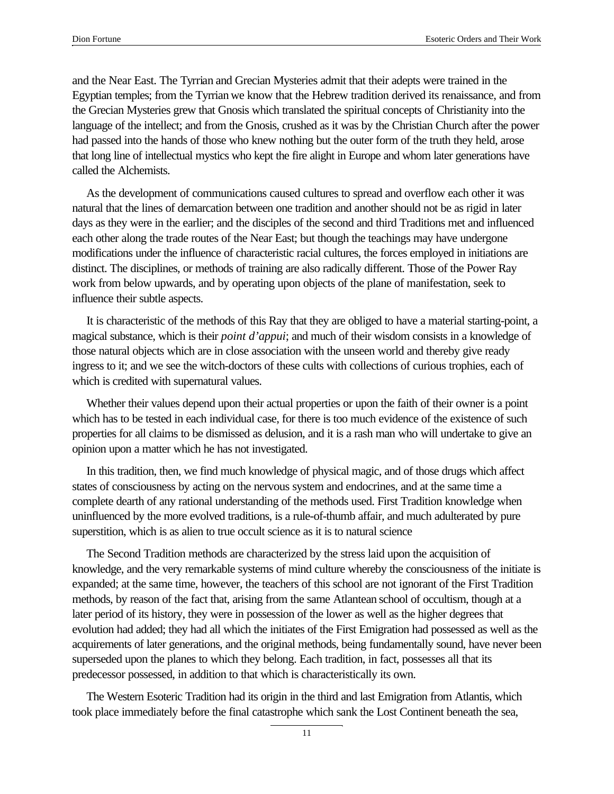and the Near East. The Tyrrian and Grecian Mysteries admit that their adepts were trained in the Egyptian temples; from the Tyrrian we know that the Hebrew tradition derived its renaissance, and from the Grecian Mysteries grew that Gnosis which translated the spiritual concepts of Christianity into the language of the intellect; and from the Gnosis, crushed as it was by the Christian Church after the power had passed into the hands of those who knew nothing but the outer form of the truth they held, arose that long line of intellectual mystics who kept the fire alight in Europe and whom later generations have called the Alchemists.

As the development of communications caused cultures to spread and overflow each other it was natural that the lines of demarcation between one tradition and another should not be as rigid in later days as they were in the earlier; and the disciples of the second and third Traditions met and influenced each other along the trade routes of the Near East; but though the teachings may have undergone modifications under the influence of characteristic racial cultures, the forces employed in initiations are distinct. The disciplines, or methods of training are also radically different. Those of the Power Ray work from below upwards, and by operating upon objects of the plane of manifestation, seek to influence their subtle aspects.

It is characteristic of the methods of this Ray that they are obliged to have a material starting-point, a magical substance, which is their *point d'appui*; and much of their wisdom consists in a knowledge of those natural objects which are in close association with the unseen world and thereby give ready ingress to it; and we see the witch-doctors of these cults with collections of curious trophies, each of which is credited with supernatural values.

Whether their values depend upon their actual properties or upon the faith of their owner is a point which has to be tested in each individual case, for there is too much evidence of the existence of such properties for all claims to be dismissed as delusion, and it is a rash man who will undertake to give an opinion upon a matter which he has not investigated.

In this tradition, then, we find much knowledge of physical magic, and of those drugs which affect states of consciousness by acting on the nervous system and endocrines, and at the same time a complete dearth of any rational understanding of the methods used. First Tradition knowledge when uninfluenced by the more evolved traditions, is a rule-of-thumb affair, and much adulterated by pure superstition, which is as alien to true occult science as it is to natural science

The Second Tradition methods are characterized by the stress laid upon the acquisition of knowledge, and the very remarkable systems of mind culture whereby the consciousness of the initiate is expanded; at the same time, however, the teachers of this school are not ignorant of the First Tradition methods, by reason of the fact that, arising from the same Atlantean school of occultism, though at a later period of its history, they were in possession of the lower as well as the higher degrees that evolution had added; they had all which the initiates of the First Emigration had possessed as well as the acquirements of later generations, and the original methods, being fundamentally sound, have never been superseded upon the planes to which they belong. Each tradition, in fact, possesses all that its predecessor possessed, in addition to that which is characteristically its own.

The Western Esoteric Tradition had its origin in the third and last Emigration from Atlantis, which took place immediately before the final catastrophe which sank the Lost Continent beneath the sea,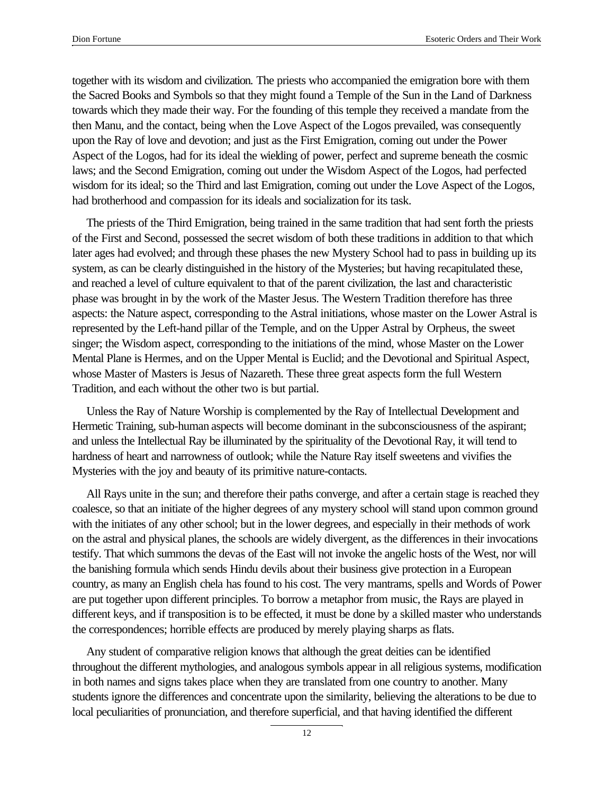together with its wisdom and civilization. The priests who accompanied the emigration bore with them the Sacred Books and Symbols so that they might found a Temple of the Sun in the Land of Darkness towards which they made their way. For the founding of this temple they received a mandate from the then Manu, and the contact, being when the Love Aspect of the Logos prevailed, was consequently upon the Ray of love and devotion; and just as the First Emigration, coming out under the Power Aspect of the Logos, had for its ideal the wielding of power, perfect and supreme beneath the cosmic laws; and the Second Emigration, coming out under the Wisdom Aspect of the Logos, had perfected wisdom for its ideal; so the Third and last Emigration, coming out under the Love Aspect of the Logos, had brotherhood and compassion for its ideals and socialization for its task.

The priests of the Third Emigration, being trained in the same tradition that had sent forth the priests of the First and Second, possessed the secret wisdom of both these traditions in addition to that which later ages had evolved; and through these phases the new Mystery School had to pass in building up its system, as can be clearly distinguished in the history of the Mysteries; but having recapitulated these, and reached a level of culture equivalent to that of the parent civilization, the last and characteristic phase was brought in by the work of the Master Jesus. The Western Tradition therefore has three aspects: the Nature aspect, corresponding to the Astral initiations, whose master on the Lower Astral is represented by the Left-hand pillar of the Temple, and on the Upper Astral by Orpheus, the sweet singer; the Wisdom aspect, corresponding to the initiations of the mind, whose Master on the Lower Mental Plane is Hermes, and on the Upper Mental is Euclid; and the Devotional and Spiritual Aspect, whose Master of Masters is Jesus of Nazareth. These three great aspects form the full Western Tradition, and each without the other two is but partial.

Unless the Ray of Nature Worship is complemented by the Ray of Intellectual Development and Hermetic Training, sub-human aspects will become dominant in the subconsciousness of the aspirant; and unless the Intellectual Ray be illuminated by the spirituality of the Devotional Ray, it will tend to hardness of heart and narrowness of outlook; while the Nature Ray itself sweetens and vivifies the Mysteries with the joy and beauty of its primitive nature-contacts.

All Rays unite in the sun; and therefore their paths converge, and after a certain stage is reached they coalesce, so that an initiate of the higher degrees of any mystery school will stand upon common ground with the initiates of any other school; but in the lower degrees, and especially in their methods of work on the astral and physical planes, the schools are widely divergent, as the differences in their invocations testify. That which summons the devas of the East will not invoke the angelic hosts of the West, nor will the banishing formula which sends Hindu devils about their business give protection in a European country, as many an English chela has found to his cost. The very mantrams, spells and Words of Power are put together upon different principles. To borrow a metaphor from music, the Rays are played in different keys, and if transposition is to be effected, it must be done by a skilled master who understands the correspondences; horrible effects are produced by merely playing sharps as flats.

Any student of comparative religion knows that although the great deities can be identified throughout the different mythologies, and analogous symbols appear in all religious systems, modification in both names and signs takes place when they are translated from one country to another. Many students ignore the differences and concentrate upon the similarity, believing the alterations to be due to local peculiarities of pronunciation, and therefore superficial, and that having identified the different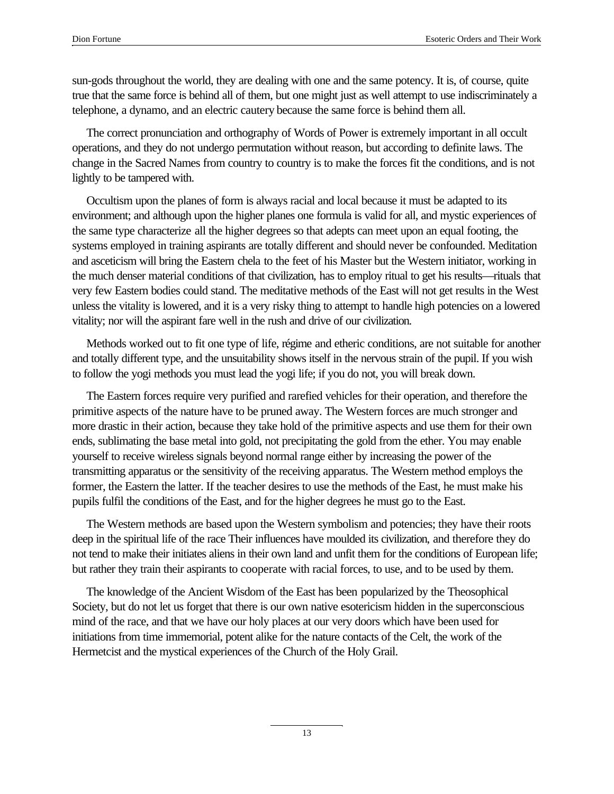sun-gods throughout the world, they are dealing with one and the same potency. It is, of course, quite true that the same force is behind all of them, but one might just as well attempt to use indiscriminately a telephone, a dynamo, and an electric cautery because the same force is behind them all.

The correct pronunciation and orthography of Words of Power is extremely important in all occult operations, and they do not undergo permutation without reason, but according to definite laws. The change in the Sacred Names from country to country is to make the forces fit the conditions, and is not lightly to be tampered with.

Occultism upon the planes of form is always racial and local because it must be adapted to its environment; and although upon the higher planes one formula is valid for all, and mystic experiences of the same type characterize all the higher degrees so that adepts can meet upon an equal footing, the systems employed in training aspirants are totally different and should never be confounded. Meditation and asceticism will bring the Eastern chela to the feet of his Master but the Western initiator, working in the much denser material conditions of that civilization, has to employ ritual to get his results—rituals that very few Eastern bodies could stand. The meditative methods of the East will not get results in the West unless the vitality is lowered, and it is a very risky thing to attempt to handle high potencies on a lowered vitality; nor will the aspirant fare well in the rush and drive of our civilization.

Methods worked out to fit one type of life, régime and etheric conditions, are not suitable for another and totally different type, and the unsuitability shows itself in the nervous strain of the pupil. If you wish to follow the yogi methods you must lead the yogi life; if you do not, you will break down.

The Eastern forces require very purified and rarefied vehicles for their operation, and therefore the primitive aspects of the nature have to be pruned away. The Western forces are much stronger and more drastic in their action, because they take hold of the primitive aspects and use them for their own ends, sublimating the base metal into gold, not precipitating the gold from the ether. You may enable yourself to receive wireless signals beyond normal range either by increasing the power of the transmitting apparatus or the sensitivity of the receiving apparatus. The Western method employs the former, the Eastern the latter. If the teacher desires to use the methods of the East, he must make his pupils fulfil the conditions of the East, and for the higher degrees he must go to the East.

The Western methods are based upon the Western symbolism and potencies; they have their roots deep in the spiritual life of the race Their influences have moulded its civilization, and therefore they do not tend to make their initiates aliens in their own land and unfit them for the conditions of European life; but rather they train their aspirants to cooperate with racial forces, to use, and to be used by them.

The knowledge of the Ancient Wisdom of the East has been popularized by the Theosophical Society, but do not let us forget that there is our own native esotericism hidden in the superconscious mind of the race, and that we have our holy places at our very doors which have been used for initiations from time immemorial, potent alike for the nature contacts of the Celt, the work of the Hermetcist and the mystical experiences of the Church of the Holy Grail.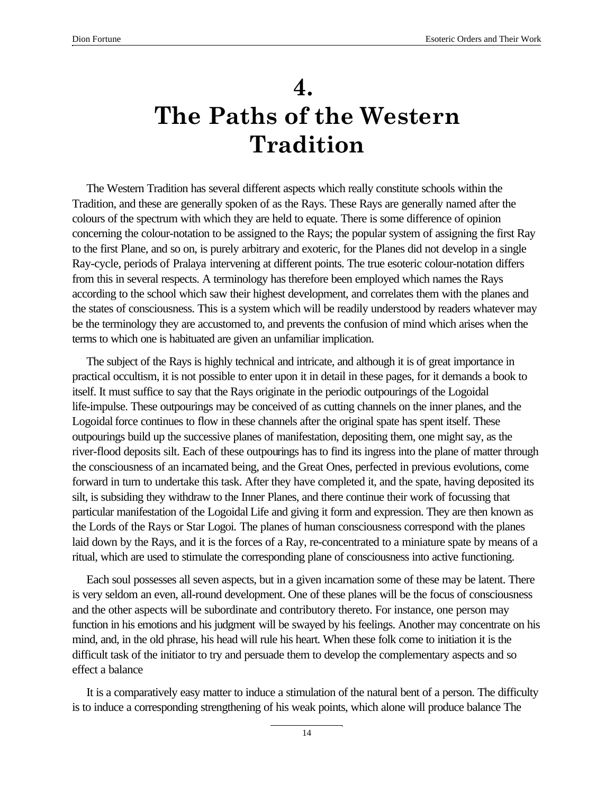### **4. The Paths of the Western Tradition**

The Western Tradition has several different aspects which really constitute schools within the Tradition, and these are generally spoken of as the Rays. These Rays are generally named after the colours of the spectrum with which they are held to equate. There is some difference of opinion concerning the colour-notation to be assigned to the Rays; the popular system of assigning the first Ray to the first Plane, and so on, is purely arbitrary and exoteric, for the Planes did not develop in a single Ray-cycle, periods of Pralaya intervening at different points. The true esoteric colour-notation differs from this in several respects. A terminology has therefore been employed which names the Rays according to the school which saw their highest development, and correlates them with the planes and the states of consciousness. This is a system which will be readily understood by readers whatever may be the terminology they are accustomed to, and prevents the confusion of mind which arises when the terms to which one is habituated are given an unfamiliar implication.

The subject of the Rays is highly technical and intricate, and although it is of great importance in practical occultism, it is not possible to enter upon it in detail in these pages, for it demands a book to itself. It must suffice to say that the Rays originate in the periodic outpourings of the Logoidal life-impulse. These outpourings may be conceived of as cutting channels on the inner planes, and the Logoidal force continues to flow in these channels after the original spate has spent itself. These outpourings build up the successive planes of manifestation, depositing them, one might say, as the river-flood deposits silt. Each of these outpourings has to find its ingress into the plane of matter through the consciousness of an incarnated being, and the Great Ones, perfected in previous evolutions, come forward in turn to undertake this task. After they have completed it, and the spate, having deposited its silt, is subsiding they withdraw to the Inner Planes, and there continue their work of focussing that particular manifestation of the Logoidal Life and giving it form and expression. They are then known as the Lords of the Rays or Star Logoi. The planes of human consciousness correspond with the planes laid down by the Rays, and it is the forces of a Ray, re-concentrated to a miniature spate by means of a ritual, which are used to stimulate the corresponding plane of consciousness into active functioning.

Each soul possesses all seven aspects, but in a given incarnation some of these may be latent. There is very seldom an even, all-round development. One of these planes will be the focus of consciousness and the other aspects will be subordinate and contributory thereto. For instance, one person may function in his emotions and his judgment will be swayed by his feelings. Another may concentrate on his mind, and, in the old phrase, his head will rule his heart. When these folk come to initiation it is the difficult task of the initiator to try and persuade them to develop the complementary aspects and so effect a balance

It is a comparatively easy matter to induce a stimulation of the natural bent of a person. The difficulty is to induce a corresponding strengthening of his weak points, which alone will produce balance The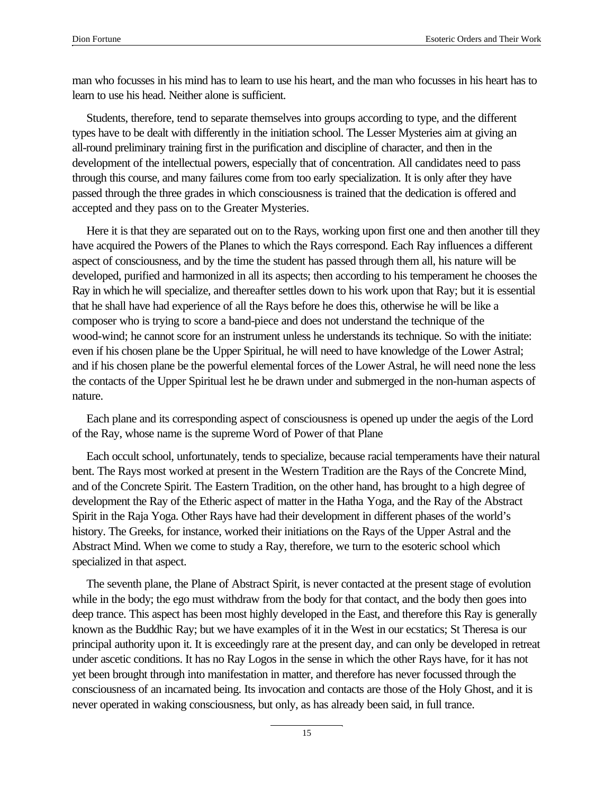man who focusses in his mind has to learn to use his heart, and the man who focusses in his heart has to learn to use his head. Neither alone is sufficient.

Students, therefore, tend to separate themselves into groups according to type, and the different types have to be dealt with differently in the initiation school. The Lesser Mysteries aim at giving an all-round preliminary training first in the purification and discipline of character, and then in the development of the intellectual powers, especially that of concentration. All candidates need to pass through this course, and many failures come from too early specialization. It is only after they have passed through the three grades in which consciousness is trained that the dedication is offered and accepted and they pass on to the Greater Mysteries.

Here it is that they are separated out on to the Rays, working upon first one and then another till they have acquired the Powers of the Planes to which the Rays correspond. Each Ray influences a different aspect of consciousness, and by the time the student has passed through them all, his nature will be developed, purified and harmonized in all its aspects; then according to his temperament he chooses the Ray in which he will specialize, and thereafter settles down to his work upon that Ray; but it is essential that he shall have had experience of all the Rays before he does this, otherwise he will be like a composer who is trying to score a band-piece and does not understand the technique of the wood-wind; he cannot score for an instrument unless he understands its technique. So with the initiate: even if his chosen plane be the Upper Spiritual, he will need to have knowledge of the Lower Astral; and if his chosen plane be the powerful elemental forces of the Lower Astral, he will need none the less the contacts of the Upper Spiritual lest he be drawn under and submerged in the non-human aspects of nature.

Each plane and its corresponding aspect of consciousness is opened up under the aegis of the Lord of the Ray, whose name is the supreme Word of Power of that Plane

Each occult school, unfortunately, tends to specialize, because racial temperaments have their natural bent. The Rays most worked at present in the Western Tradition are the Rays of the Concrete Mind, and of the Concrete Spirit. The Eastern Tradition, on the other hand, has brought to a high degree of development the Ray of the Etheric aspect of matter in the Hatha Yoga, and the Ray of the Abstract Spirit in the Raja Yoga. Other Rays have had their development in different phases of the world's history. The Greeks, for instance, worked their initiations on the Rays of the Upper Astral and the Abstract Mind. When we come to study a Ray, therefore, we turn to the esoteric school which specialized in that aspect.

The seventh plane, the Plane of Abstract Spirit, is never contacted at the present stage of evolution while in the body; the ego must withdraw from the body for that contact, and the body then goes into deep trance. This aspect has been most highly developed in the East, and therefore this Ray is generally known as the Buddhic Ray; but we have examples of it in the West in our ecstatics; St Theresa is our principal authority upon it. It is exceedingly rare at the present day, and can only be developed in retreat under ascetic conditions. It has no Ray Logos in the sense in which the other Rays have, for it has not yet been brought through into manifestation in matter, and therefore has never focussed through the consciousness of an incarnated being. Its invocation and contacts are those of the Holy Ghost, and it is never operated in waking consciousness, but only, as has already been said, in full trance.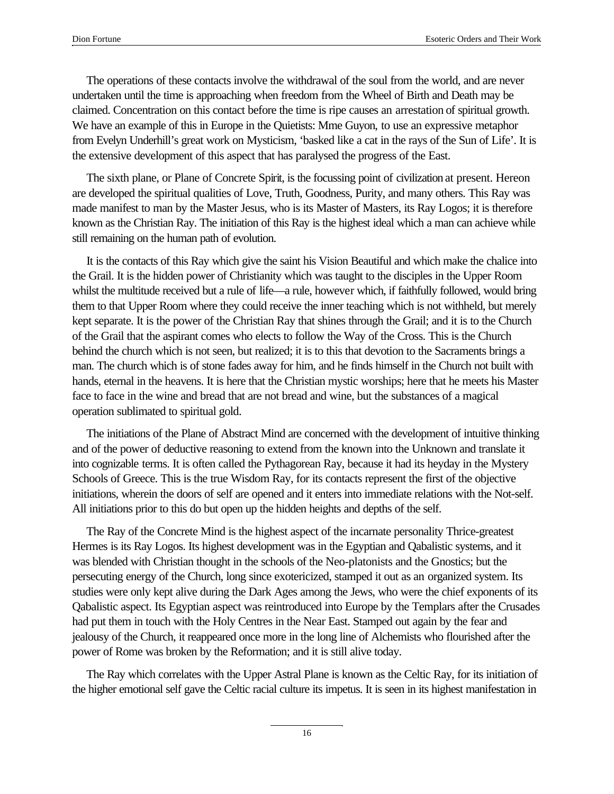The operations of these contacts involve the withdrawal of the soul from the world, and are never undertaken until the time is approaching when freedom from the Wheel of Birth and Death may be claimed. Concentration on this contact before the time is ripe causes an arrestation of spiritual growth. We have an example of this in Europe in the Quietists: Mme Guyon, to use an expressive metaphor from Evelyn Underhill's great work on Mysticism, 'basked like a cat in the rays of the Sun of Life'. It is the extensive development of this aspect that has paralysed the progress of the East.

The sixth plane, or Plane of Concrete Spirit, is the focussing point of civilization at present. Hereon are developed the spiritual qualities of Love, Truth, Goodness, Purity, and many others. This Ray was made manifest to man by the Master Jesus, who is its Master of Masters, its Ray Logos; it is therefore known as the Christian Ray. The initiation of this Ray is the highest ideal which a man can achieve while still remaining on the human path of evolution.

It is the contacts of this Ray which give the saint his Vision Beautiful and which make the chalice into the Grail. It is the hidden power of Christianity which was taught to the disciples in the Upper Room whilst the multitude received but a rule of life—a rule, however which, if faithfully followed, would bring them to that Upper Room where they could receive the inner teaching which is not withheld, but merely kept separate. It is the power of the Christian Ray that shines through the Grail; and it is to the Church of the Grail that the aspirant comes who elects to follow the Way of the Cross. This is the Church behind the church which is not seen, but realized; it is to this that devotion to the Sacraments brings a man. The church which is of stone fades away for him, and he finds himself in the Church not built with hands, eternal in the heavens. It is here that the Christian mystic worships; here that he meets his Master face to face in the wine and bread that are not bread and wine, but the substances of a magical operation sublimated to spiritual gold.

The initiations of the Plane of Abstract Mind are concerned with the development of intuitive thinking and of the power of deductive reasoning to extend from the known into the Unknown and translate it into cognizable terms. It is often called the Pythagorean Ray, because it had its heyday in the Mystery Schools of Greece. This is the true Wisdom Ray, for its contacts represent the first of the objective initiations, wherein the doors of self are opened and it enters into immediate relations with the Not-self. All initiations prior to this do but open up the hidden heights and depths of the self.

The Ray of the Concrete Mind is the highest aspect of the incarnate personality Thrice-greatest Hermes is its Ray Logos. Its highest development was in the Egyptian and Qabalistic systems, and it was blended with Christian thought in the schools of the Neo-platonists and the Gnostics; but the persecuting energy of the Church, long since exotericized, stamped it out as an organized system. Its studies were only kept alive during the Dark Ages among the Jews, who were the chief exponents of its Qabalistic aspect. Its Egyptian aspect was reintroduced into Europe by the Templars after the Crusades had put them in touch with the Holy Centres in the Near East. Stamped out again by the fear and jealousy of the Church, it reappeared once more in the long line of Alchemists who flourished after the power of Rome was broken by the Reformation; and it is still alive today.

The Ray which correlates with the Upper Astral Plane is known as the Celtic Ray, for its initiation of the higher emotional self gave the Celtic racial culture its impetus. It is seen in its highest manifestation in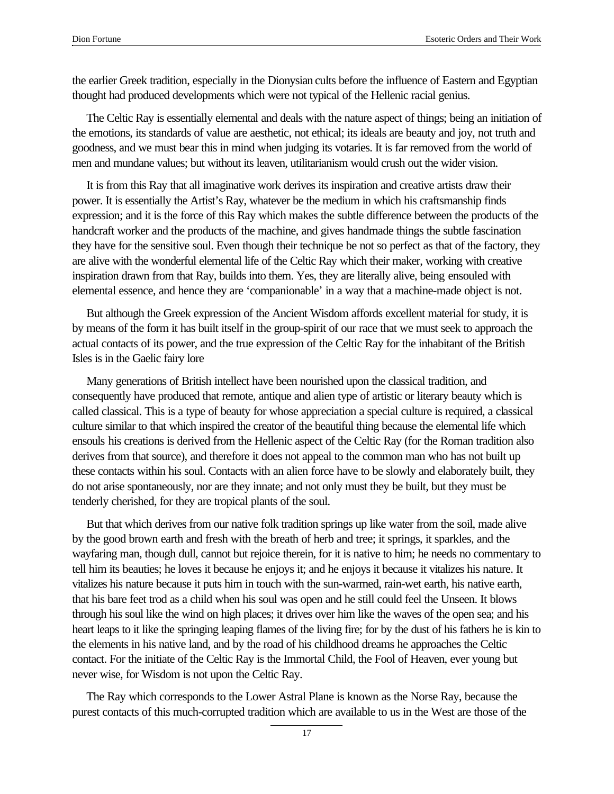the earlier Greek tradition, especially in the Dionysian cults before the influence of Eastern and Egyptian thought had produced developments which were not typical of the Hellenic racial genius.

The Celtic Ray is essentially elemental and deals with the nature aspect of things; being an initiation of the emotions, its standards of value are aesthetic, not ethical; its ideals are beauty and joy, not truth and goodness, and we must bear this in mind when judging its votaries. It is far removed from the world of men and mundane values; but without its leaven, utilitarianism would crush out the wider vision.

It is from this Ray that all imaginative work derives its inspiration and creative artists draw their power. It is essentially the Artist's Ray, whatever be the medium in which his craftsmanship finds expression; and it is the force of this Ray which makes the subtle difference between the products of the handcraft worker and the products of the machine, and gives handmade things the subtle fascination they have for the sensitive soul. Even though their technique be not so perfect as that of the factory, they are alive with the wonderful elemental life of the Celtic Ray which their maker, working with creative inspiration drawn from that Ray, builds into them. Yes, they are literally alive, being ensouled with elemental essence, and hence they are 'companionable' in a way that a machine-made object is not.

But although the Greek expression of the Ancient Wisdom affords excellent material for study, it is by means of the form it has built itself in the group-spirit of our race that we must seek to approach the actual contacts of its power, and the true expression of the Celtic Ray for the inhabitant of the British Isles is in the Gaelic fairy lore

Many generations of British intellect have been nourished upon the classical tradition, and consequently have produced that remote, antique and alien type of artistic or literary beauty which is called classical. This is a type of beauty for whose appreciation a special culture is required, a classical culture similar to that which inspired the creator of the beautiful thing because the elemental life which ensouls his creations is derived from the Hellenic aspect of the Celtic Ray (for the Roman tradition also derives from that source), and therefore it does not appeal to the common man who has not built up these contacts within his soul. Contacts with an alien force have to be slowly and elaborately built, they do not arise spontaneously, nor are they innate; and not only must they be built, but they must be tenderly cherished, for they are tropical plants of the soul.

But that which derives from our native folk tradition springs up like water from the soil, made alive by the good brown earth and fresh with the breath of herb and tree; it springs, it sparkles, and the wayfaring man, though dull, cannot but rejoice therein, for it is native to him; he needs no commentary to tell him its beauties; he loves it because he enjoys it; and he enjoys it because it vitalizes his nature. It vitalizes his nature because it puts him in touch with the sun-warmed, rain-wet earth, his native earth, that his bare feet trod as a child when his soul was open and he still could feel the Unseen. It blows through his soul like the wind on high places; it drives over him like the waves of the open sea; and his heart leaps to it like the springing leaping flames of the living fire; for by the dust of his fathers he is kin to the elements in his native land, and by the road of his childhood dreams he approaches the Celtic contact. For the initiate of the Celtic Ray is the Immortal Child, the Fool of Heaven, ever young but never wise, for Wisdom is not upon the Celtic Ray.

The Ray which corresponds to the Lower Astral Plane is known as the Norse Ray, because the purest contacts of this much-corrupted tradition which are available to us in the West are those of the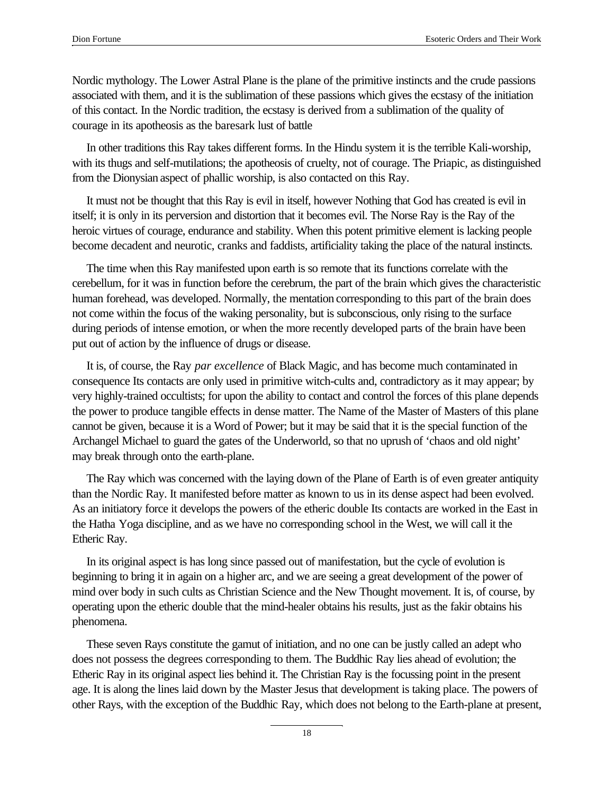Nordic mythology. The Lower Astral Plane is the plane of the primitive instincts and the crude passions associated with them, and it is the sublimation of these passions which gives the ecstasy of the initiation of this contact. In the Nordic tradition, the ecstasy is derived from a sublimation of the quality of courage in its apotheosis as the baresark lust of battle

In other traditions this Ray takes different forms. In the Hindu system it is the terrible Kali-worship, with its thugs and self-mutilations; the apotheosis of cruelty, not of courage. The Priapic, as distinguished from the Dionysian aspect of phallic worship, is also contacted on this Ray.

It must not be thought that this Ray is evil in itself, however Nothing that God has created is evil in itself; it is only in its perversion and distortion that it becomes evil. The Norse Ray is the Ray of the heroic virtues of courage, endurance and stability. When this potent primitive element is lacking people become decadent and neurotic, cranks and faddists, artificiality taking the place of the natural instincts.

The time when this Ray manifested upon earth is so remote that its functions correlate with the cerebellum, for it was in function before the cerebrum, the part of the brain which gives the characteristic human forehead, was developed. Normally, the mentation corresponding to this part of the brain does not come within the focus of the waking personality, but is subconscious, only rising to the surface during periods of intense emotion, or when the more recently developed parts of the brain have been put out of action by the influence of drugs or disease.

It is, of course, the Ray *par excellence* of Black Magic, and has become much contaminated in consequence Its contacts are only used in primitive witch-cults and, contradictory as it may appear; by very highly-trained occultists; for upon the ability to contact and control the forces of this plane depends the power to produce tangible effects in dense matter. The Name of the Master of Masters of this plane cannot be given, because it is a Word of Power; but it may be said that it is the special function of the Archangel Michael to guard the gates of the Underworld, so that no uprush of 'chaos and old night' may break through onto the earth-plane.

The Ray which was concerned with the laying down of the Plane of Earth is of even greater antiquity than the Nordic Ray. It manifested before matter as known to us in its dense aspect had been evolved. As an initiatory force it develops the powers of the etheric double Its contacts are worked in the East in the Hatha Yoga discipline, and as we have no corresponding school in the West, we will call it the Etheric Ray.

In its original aspect is has long since passed out of manifestation, but the cycle of evolution is beginning to bring it in again on a higher arc, and we are seeing a great development of the power of mind over body in such cults as Christian Science and the New Thought movement. It is, of course, by operating upon the etheric double that the mind-healer obtains his results, just as the fakir obtains his phenomena.

These seven Rays constitute the gamut of initiation, and no one can be justly called an adept who does not possess the degrees corresponding to them. The Buddhic Ray lies ahead of evolution; the Etheric Ray in its original aspect lies behind it. The Christian Ray is the focussing point in the present age. It is along the lines laid down by the Master Jesus that development is taking place. The powers of other Rays, with the exception of the Buddhic Ray, which does not belong to the Earth-plane at present,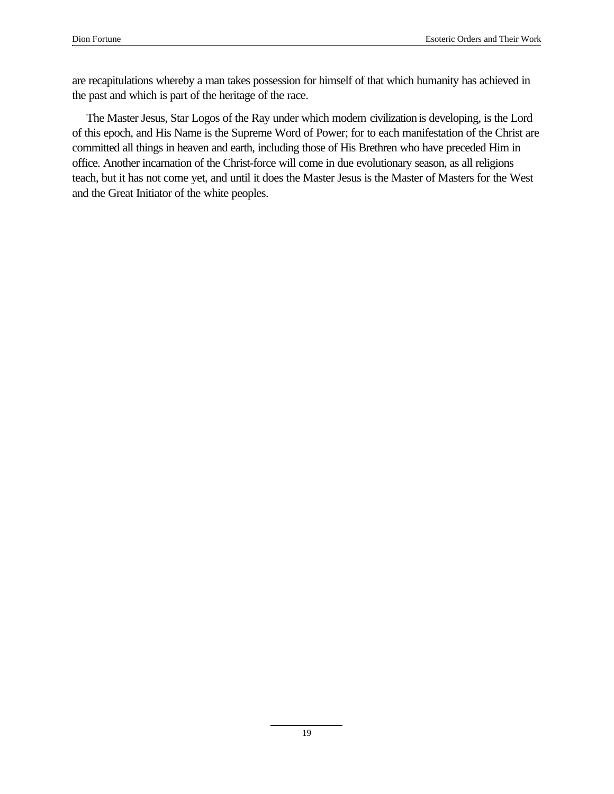are recapitulations whereby a man takes possession for himself of that which humanity has achieved in the past and which is part of the heritage of the race.

The Master Jesus, Star Logos of the Ray under which modem civilization is developing, is the Lord of this epoch, and His Name is the Supreme Word of Power; for to each manifestation of the Christ are committed all things in heaven and earth, including those of His Brethren who have preceded Him in office. Another incarnation of the Christ-force will come in due evolutionary season, as all religions teach, but it has not come yet, and until it does the Master Jesus is the Master of Masters for the West and the Great Initiator of the white peoples.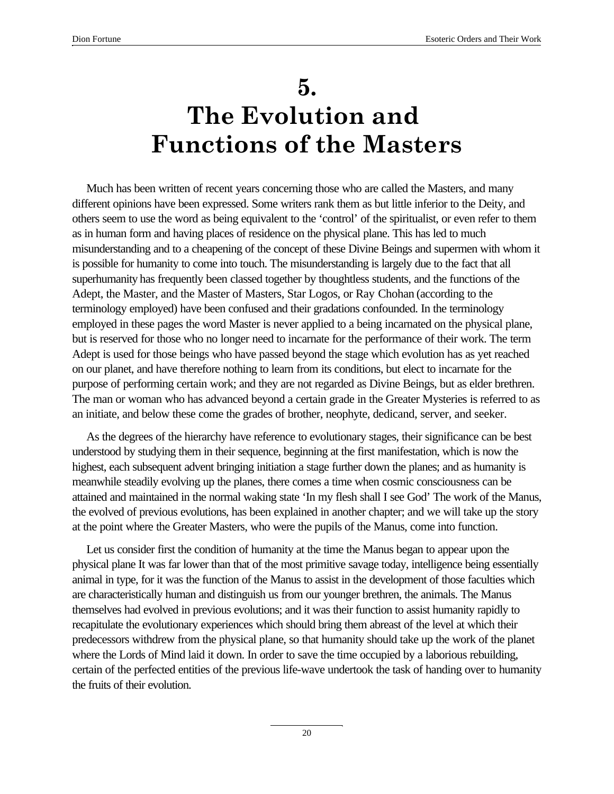**5.**

# **The Evolution and Functions of the Masters**

Much has been written of recent years concerning those who are called the Masters, and many different opinions have been expressed. Some writers rank them as but little inferior to the Deity, and others seem to use the word as being equivalent to the 'control' of the spiritualist, or even refer to them as in human form and having places of residence on the physical plane. This has led to much misunderstanding and to a cheapening of the concept of these Divine Beings and supermen with whom it is possible for humanity to come into touch. The misunderstanding is largely due to the fact that all superhumanity has frequently been classed together by thoughtless students, and the functions of the Adept, the Master, and the Master of Masters, Star Logos, or Ray Chohan (according to the terminology employed) have been confused and their gradations confounded. In the terminology employed in these pages the word Master is never applied to a being incarnated on the physical plane, but is reserved for those who no longer need to incarnate for the performance of their work. The term Adept is used for those beings who have passed beyond the stage which evolution has as yet reached on our planet, and have therefore nothing to learn from its conditions, but elect to incarnate for the purpose of performing certain work; and they are not regarded as Divine Beings, but as elder brethren. The man or woman who has advanced beyond a certain grade in the Greater Mysteries is referred to as an initiate, and below these come the grades of brother, neophyte, dedicand, server, and seeker.

As the degrees of the hierarchy have reference to evolutionary stages, their significance can be best understood by studying them in their sequence, beginning at the first manifestation, which is now the highest, each subsequent advent bringing initiation a stage further down the planes; and as humanity is meanwhile steadily evolving up the planes, there comes a time when cosmic consciousness can be attained and maintained in the normal waking state 'In my flesh shall I see God' The work of the Manus, the evolved of previous evolutions, has been explained in another chapter; and we will take up the story at the point where the Greater Masters, who were the pupils of the Manus, come into function.

Let us consider first the condition of humanity at the time the Manus began to appear upon the physical plane It was far lower than that of the most primitive savage today, intelligence being essentially animal in type, for it was the function of the Manus to assist in the development of those faculties which are characteristically human and distinguish us from our younger brethren, the animals. The Manus themselves had evolved in previous evolutions; and it was their function to assist humanity rapidly to recapitulate the evolutionary experiences which should bring them abreast of the level at which their predecessors withdrew from the physical plane, so that humanity should take up the work of the planet where the Lords of Mind laid it down. In order to save the time occupied by a laborious rebuilding, certain of the perfected entities of the previous life-wave undertook the task of handing over to humanity the fruits of their evolution.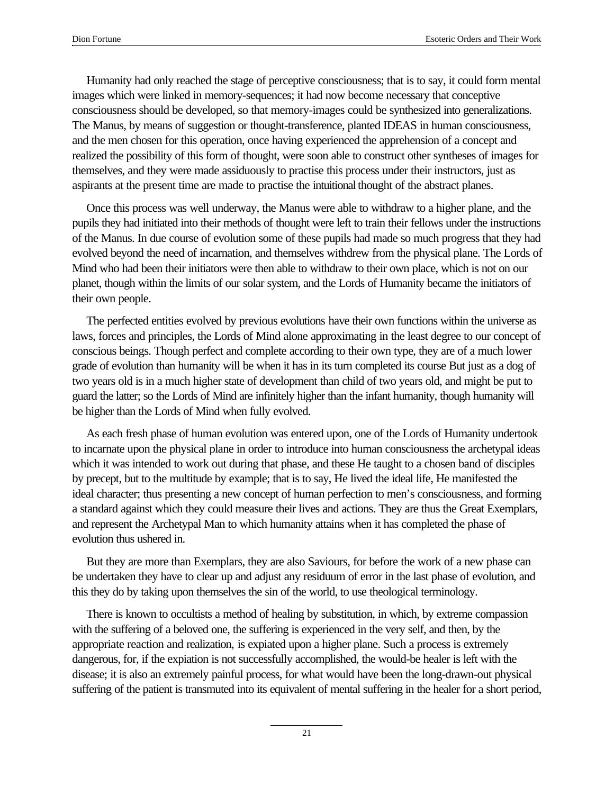Humanity had only reached the stage of perceptive consciousness; that is to say, it could form mental images which were linked in memory-sequences; it had now become necessary that conceptive consciousness should be developed, so that memory-images could be synthesized into generalizations. The Manus, by means of suggestion or thought-transference, planted IDEAS in human consciousness, and the men chosen for this operation, once having experienced the apprehension of a concept and realized the possibility of this form of thought, were soon able to construct other syntheses of images for themselves, and they were made assiduously to practise this process under their instructors, just as aspirants at the present time are made to practise the intuitional thought of the abstract planes.

Once this process was well underway, the Manus were able to withdraw to a higher plane, and the pupils they had initiated into their methods of thought were left to train their fellows under the instructions of the Manus. In due course of evolution some of these pupils had made so much progress that they had evolved beyond the need of incarnation, and themselves withdrew from the physical plane. The Lords of Mind who had been their initiators were then able to withdraw to their own place, which is not on our planet, though within the limits of our solar system, and the Lords of Humanity became the initiators of their own people.

The perfected entities evolved by previous evolutions have their own functions within the universe as laws, forces and principles, the Lords of Mind alone approximating in the least degree to our concept of conscious beings. Though perfect and complete according to their own type, they are of a much lower grade of evolution than humanity will be when it has in its turn completed its course But just as a dog of two years old is in a much higher state of development than child of two years old, and might be put to guard the latter; so the Lords of Mind are infinitely higher than the infant humanity, though humanity will be higher than the Lords of Mind when fully evolved.

As each fresh phase of human evolution was entered upon, one of the Lords of Humanity undertook to incarnate upon the physical plane in order to introduce into human consciousness the archetypal ideas which it was intended to work out during that phase, and these He taught to a chosen band of disciples by precept, but to the multitude by example; that is to say, He lived the ideal life, He manifested the ideal character; thus presenting a new concept of human perfection to men's consciousness, and forming a standard against which they could measure their lives and actions. They are thus the Great Exemplars, and represent the Archetypal Man to which humanity attains when it has completed the phase of evolution thus ushered in.

But they are more than Exemplars, they are also Saviours, for before the work of a new phase can be undertaken they have to clear up and adjust any residuum of error in the last phase of evolution, and this they do by taking upon themselves the sin of the world, to use theological terminology.

There is known to occultists a method of healing by substitution, in which, by extreme compassion with the suffering of a beloved one, the suffering is experienced in the very self, and then, by the appropriate reaction and realization, is expiated upon a higher plane. Such a process is extremely dangerous, for, if the expiation is not successfully accomplished, the would-be healer is left with the disease; it is also an extremely painful process, for what would have been the long-drawn-out physical suffering of the patient is transmuted into its equivalent of mental suffering in the healer for a short period,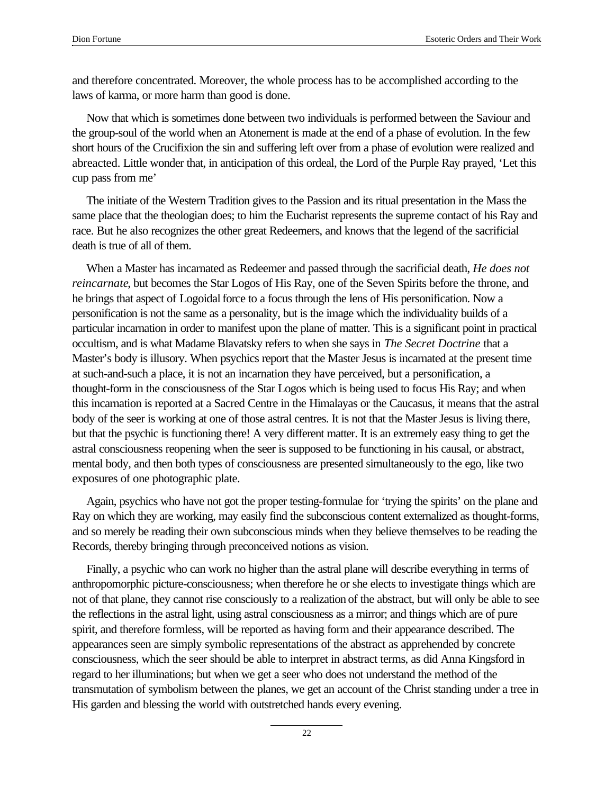and therefore concentrated. Moreover, the whole process has to be accomplished according to the laws of karma, or more harm than good is done.

Now that which is sometimes done between two individuals is performed between the Saviour and the group-soul of the world when an Atonement is made at the end of a phase of evolution. In the few short hours of the Crucifixion the sin and suffering left over from a phase of evolution were realized and abreacted. Little wonder that, in anticipation of this ordeal, the Lord of the Purple Ray prayed, 'Let this cup pass from me'

The initiate of the Western Tradition gives to the Passion and its ritual presentation in the Mass the same place that the theologian does; to him the Eucharist represents the supreme contact of his Ray and race. But he also recognizes the other great Redeemers, and knows that the legend of the sacrificial death is true of all of them.

When a Master has incarnated as Redeemer and passed through the sacrificial death, *He does not reincarnate*, but becomes the Star Logos of His Ray, one of the Seven Spirits before the throne, and he brings that aspect of Logoidal force to a focus through the lens of His personification. Now a personification is not the same as a personality, but is the image which the individuality builds of a particular incarnation in order to manifest upon the plane of matter. This is a significant point in practical occultism, and is what Madame Blavatsky refers to when she says in *The Secret Doctrine* that a Master's body is illusory. When psychics report that the Master Jesus is incarnated at the present time at such-and-such a place, it is not an incarnation they have perceived, but a personification, a thought-form in the consciousness of the Star Logos which is being used to focus His Ray; and when this incarnation is reported at a Sacred Centre in the Himalayas or the Caucasus, it means that the astral body of the seer is working at one of those astral centres. It is not that the Master Jesus is living there, but that the psychic is functioning there! A very different matter. It is an extremely easy thing to get the astral consciousness reopening when the seer is supposed to be functioning in his causal, or abstract, mental body, and then both types of consciousness are presented simultaneously to the ego, like two exposures of one photographic plate.

Again, psychics who have not got the proper testing-formulae for 'trying the spirits' on the plane and Ray on which they are working, may easily find the subconscious content externalized as thought-forms, and so merely be reading their own subconscious minds when they believe themselves to be reading the Records, thereby bringing through preconceived notions as vision.

Finally, a psychic who can work no higher than the astral plane will describe everything in terms of anthropomorphic picture-consciousness; when therefore he or she elects to investigate things which are not of that plane, they cannot rise consciously to a realization of the abstract, but will only be able to see the reflections in the astral light, using astral consciousness as a mirror; and things which are of pure spirit, and therefore formless, will be reported as having form and their appearance described. The appearances seen are simply symbolic representations of the abstract as apprehended by concrete consciousness, which the seer should be able to interpret in abstract terms, as did Anna Kingsford in regard to her illuminations; but when we get a seer who does not understand the method of the transmutation of symbolism between the planes, we get an account of the Christ standing under a tree in His garden and blessing the world with outstretched hands every evening.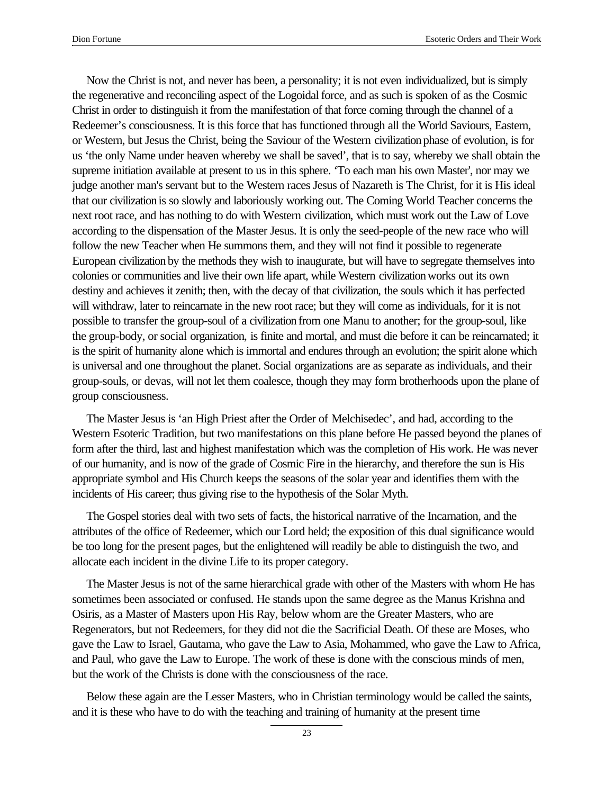Now the Christ is not, and never has been, a personality; it is not even individualized, but is simply the regenerative and reconciling aspect of the Logoidal force, and as such is spoken of as the Cosmic Christ in order to distinguish it from the manifestation of that force coming through the channel of a Redeemer's consciousness. It is this force that has functioned through all the World Saviours, Eastern, or Western, but Jesus the Christ, being the Saviour of the Western civilization phase of evolution, is for us 'the only Name under heaven whereby we shall be saved', that is to say, whereby we shall obtain the supreme initiation available at present to us in this sphere. 'To each man his own Master', nor may we judge another man's servant but to the Western races Jesus of Nazareth is The Christ, for it is His ideal that our civilization is so slowly and laboriously working out. The Coming World Teacher concerns the next root race, and has nothing to do with Western civilization, which must work out the Law of Love according to the dispensation of the Master Jesus. It is only the seed-people of the new race who will follow the new Teacher when He summons them, and they will not find it possible to regenerate European civilization by the methods they wish to inaugurate, but will have to segregate themselves into colonies or communities and live their own life apart, while Western civilization works out its own destiny and achieves it zenith; then, with the decay of that civilization, the souls which it has perfected will withdraw, later to reincarnate in the new root race; but they will come as individuals, for it is not possible to transfer the group-soul of a civilization from one Manu to another; for the group-soul, like the group-body, or social organization, is finite and mortal, and must die before it can be reincarnated; it is the spirit of humanity alone which is immortal and endures through an evolution; the spirit alone which is universal and one throughout the planet. Social organizations are as separate as individuals, and their group-souls, or devas, will not let them coalesce, though they may form brotherhoods upon the plane of group consciousness.

The Master Jesus is 'an High Priest after the Order of Melchisedec', and had, according to the Western Esoteric Tradition, but two manifestations on this plane before He passed beyond the planes of form after the third, last and highest manifestation which was the completion of His work. He was never of our humanity, and is now of the grade of Cosmic Fire in the hierarchy, and therefore the sun is His appropriate symbol and His Church keeps the seasons of the solar year and identifies them with the incidents of His career; thus giving rise to the hypothesis of the Solar Myth.

The Gospel stories deal with two sets of facts, the historical narrative of the Incarnation, and the attributes of the office of Redeemer, which our Lord held; the exposition of this dual significance would be too long for the present pages, but the enlightened will readily be able to distinguish the two, and allocate each incident in the divine Life to its proper category.

The Master Jesus is not of the same hierarchical grade with other of the Masters with whom He has sometimes been associated or confused. He stands upon the same degree as the Manus Krishna and Osiris, as a Master of Masters upon His Ray, below whom are the Greater Masters, who are Regenerators, but not Redeemers, for they did not die the Sacrificial Death. Of these are Moses, who gave the Law to Israel, Gautama, who gave the Law to Asia, Mohammed, who gave the Law to Africa, and Paul, who gave the Law to Europe. The work of these is done with the conscious minds of men, but the work of the Christs is done with the consciousness of the race.

Below these again are the Lesser Masters, who in Christian terminology would be called the saints, and it is these who have to do with the teaching and training of humanity at the present time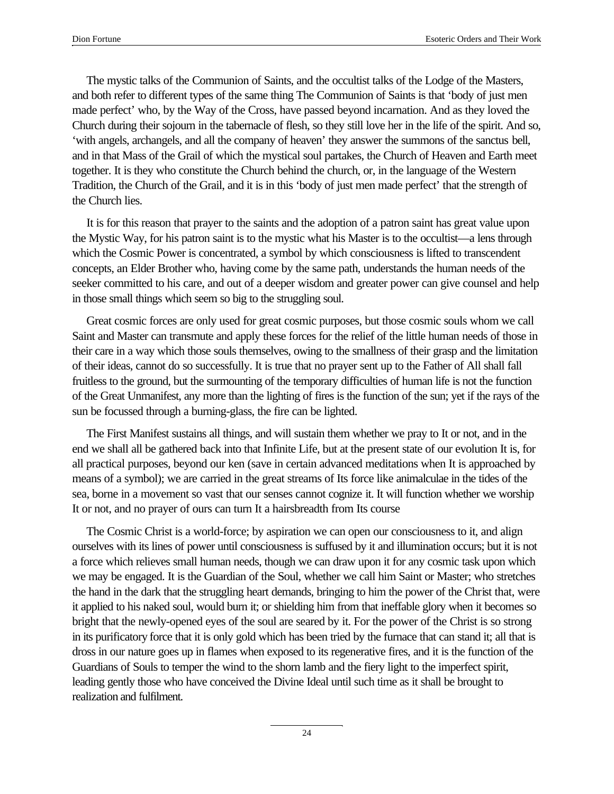The mystic talks of the Communion of Saints, and the occultist talks of the Lodge of the Masters, and both refer to different types of the same thing The Communion of Saints is that 'body of just men made perfect' who, by the Way of the Cross, have passed beyond incarnation. And as they loved the Church during their sojourn in the tabernacle of flesh, so they still love her in the life of the spirit. And so, 'with angels, archangels, and all the company of heaven' they answer the summons of the sanctus bell, and in that Mass of the Grail of which the mystical soul partakes, the Church of Heaven and Earth meet together. It is they who constitute the Church behind the church, or, in the language of the Western Tradition, the Church of the Grail, and it is in this 'body of just men made perfect' that the strength of the Church lies.

It is for this reason that prayer to the saints and the adoption of a patron saint has great value upon the Mystic Way, for his patron saint is to the mystic what his Master is to the occultist—a lens through which the Cosmic Power is concentrated, a symbol by which consciousness is lifted to transcendent concepts, an Elder Brother who, having come by the same path, understands the human needs of the seeker committed to his care, and out of a deeper wisdom and greater power can give counsel and help in those small things which seem so big to the struggling soul.

Great cosmic forces are only used for great cosmic purposes, but those cosmic souls whom we call Saint and Master can transmute and apply these forces for the relief of the little human needs of those in their care in a way which those souls themselves, owing to the smallness of their grasp and the limitation of their ideas, cannot do so successfully. It is true that no prayer sent up to the Father of All shall fall fruitless to the ground, but the surmounting of the temporary difficulties of human life is not the function of the Great Unmanifest, any more than the lighting of fires is the function of the sun; yet if the rays of the sun be focussed through a burning-glass, the fire can be lighted.

The First Manifest sustains all things, and will sustain them whether we pray to It or not, and in the end we shall all be gathered back into that Infinite Life, but at the present state of our evolution It is, for all practical purposes, beyond our ken (save in certain advanced meditations when It is approached by means of a symbol); we are carried in the great streams of Its force like animalculae in the tides of the sea, borne in a movement so vast that our senses cannot cognize it. It will function whether we worship It or not, and no prayer of ours can turn It a hairsbreadth from Its course

The Cosmic Christ is a world-force; by aspiration we can open our consciousness to it, and align ourselves with its lines of power until consciousness is suffused by it and illumination occurs; but it is not a force which relieves small human needs, though we can draw upon it for any cosmic task upon which we may be engaged. It is the Guardian of the Soul, whether we call him Saint or Master; who stretches the hand in the dark that the struggling heart demands, bringing to him the power of the Christ that, were it applied to his naked soul, would burn it; or shielding him from that ineffable glory when it becomes so bright that the newly-opened eyes of the soul are seared by it. For the power of the Christ is so strong in its purificatory force that it is only gold which has been tried by the furnace that can stand it; all that is dross in our nature goes up in flames when exposed to its regenerative fires, and it is the function of the Guardians of Souls to temper the wind to the shorn lamb and the fiery light to the imperfect spirit, leading gently those who have conceived the Divine Ideal until such time as it shall be brought to realization and fulfilment.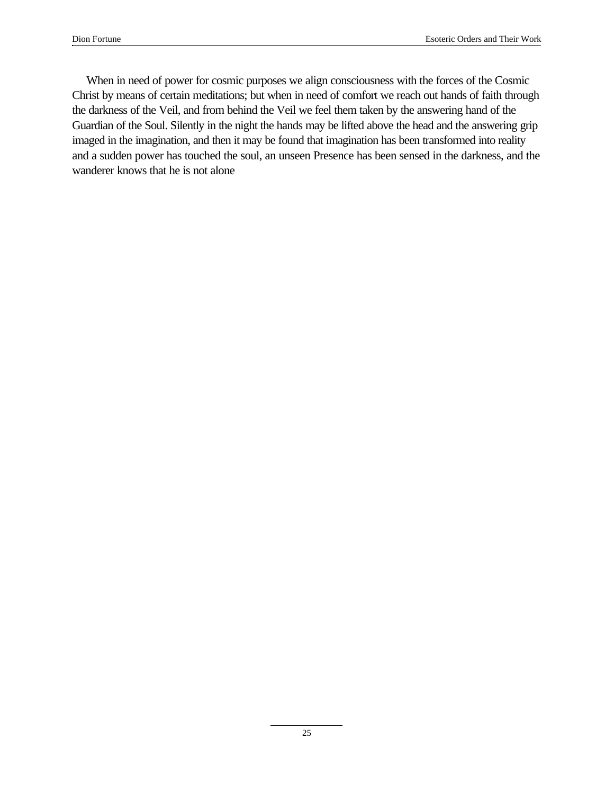When in need of power for cosmic purposes we align consciousness with the forces of the Cosmic Christ by means of certain meditations; but when in need of comfort we reach out hands of faith through the darkness of the Veil, and from behind the Veil we feel them taken by the answering hand of the Guardian of the Soul. Silently in the night the hands may be lifted above the head and the answering grip imaged in the imagination, and then it may be found that imagination has been transformed into reality and a sudden power has touched the soul, an unseen Presence has been sensed in the darkness, and the wanderer knows that he is not alone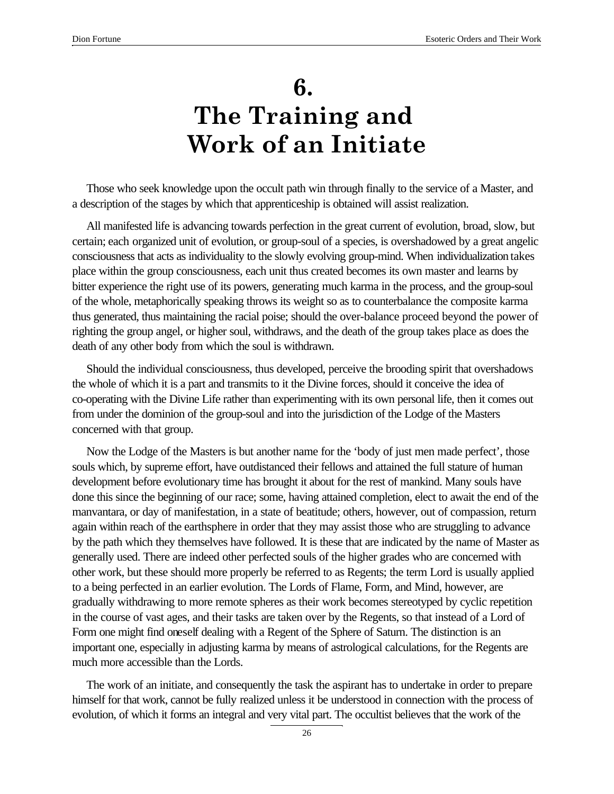# **6. The Training and Work of an Initiate**

Those who seek knowledge upon the occult path win through finally to the service of a Master, and a description of the stages by which that apprenticeship is obtained will assist realization.

All manifested life is advancing towards perfection in the great current of evolution, broad, slow, but certain; each organized unit of evolution, or group-soul of a species, is overshadowed by a great angelic consciousness that acts as individuality to the slowly evolving group-mind. When individualization takes place within the group consciousness, each unit thus created becomes its own master and learns by bitter experience the right use of its powers, generating much karma in the process, and the group-soul of the whole, metaphorically speaking throws its weight so as to counterbalance the composite karma thus generated, thus maintaining the racial poise; should the over-balance proceed beyond the power of righting the group angel, or higher soul, withdraws, and the death of the group takes place as does the death of any other body from which the soul is withdrawn.

Should the individual consciousness, thus developed, perceive the brooding spirit that overshadows the whole of which it is a part and transmits to it the Divine forces, should it conceive the idea of co-operating with the Divine Life rather than experimenting with its own personal life, then it comes out from under the dominion of the group-soul and into the jurisdiction of the Lodge of the Masters concerned with that group.

Now the Lodge of the Masters is but another name for the 'body of just men made perfect', those souls which, by supreme effort, have outdistanced their fellows and attained the full stature of human development before evolutionary time has brought it about for the rest of mankind. Many souls have done this since the beginning of our race; some, having attained completion, elect to await the end of the manvantara, or day of manifestation, in a state of beatitude; others, however, out of compassion, return again within reach of the earthsphere in order that they may assist those who are struggling to advance by the path which they themselves have followed. It is these that are indicated by the name of Master as generally used. There are indeed other perfected souls of the higher grades who are concerned with other work, but these should more properly be referred to as Regents; the term Lord is usually applied to a being perfected in an earlier evolution. The Lords of Flame, Form, and Mind, however, are gradually withdrawing to more remote spheres as their work becomes stereotyped by cyclic repetition in the course of vast ages, and their tasks are taken over by the Regents, so that instead of a Lord of Form one might find oneself dealing with a Regent of the Sphere of Saturn. The distinction is an important one, especially in adjusting karma by means of astrological calculations, for the Regents are much more accessible than the Lords.

The work of an initiate, and consequently the task the aspirant has to undertake in order to prepare himself for that work, cannot be fully realized unless it be understood in connection with the process of evolution, of which it forms an integral and very vital part. The occultist believes that the work of the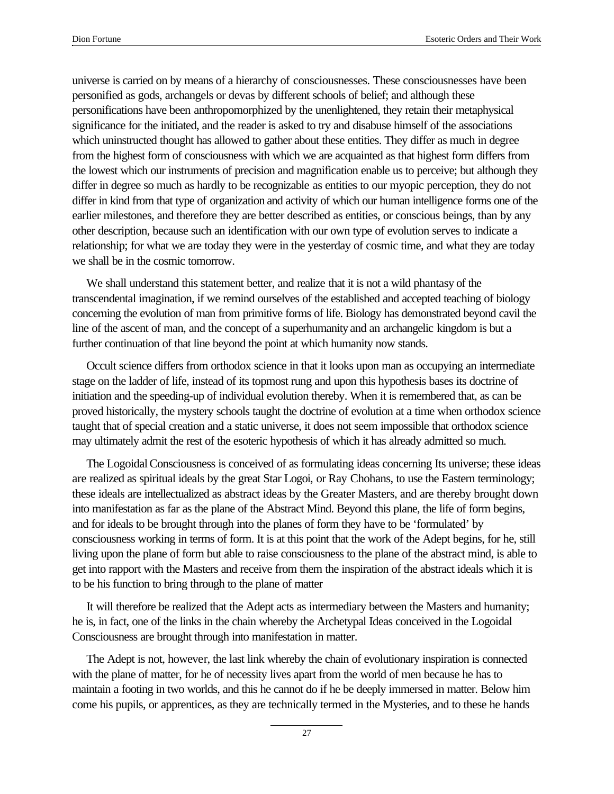universe is carried on by means of a hierarchy of consciousnesses. These consciousnesses have been personified as gods, archangels or devas by different schools of belief; and although these personifications have been anthropomorphized by the unenlightened, they retain their metaphysical significance for the initiated, and the reader is asked to try and disabuse himself of the associations which uninstructed thought has allowed to gather about these entities. They differ as much in degree from the highest form of consciousness with which we are acquainted as that highest form differs from the lowest which our instruments of precision and magnification enable us to perceive; but although they differ in degree so much as hardly to be recognizable as entities to our myopic perception, they do not differ in kind from that type of organization and activity of which our human intelligence forms one of the earlier milestones, and therefore they are better described as entities, or conscious beings, than by any other description, because such an identification with our own type of evolution serves to indicate a relationship; for what we are today they were in the yesterday of cosmic time, and what they are today we shall be in the cosmic tomorrow.

We shall understand this statement better, and realize that it is not a wild phantasy of the transcendental imagination, if we remind ourselves of the established and accepted teaching of biology concerning the evolution of man from primitive forms of life. Biology has demonstrated beyond cavil the line of the ascent of man, and the concept of a superhumanity and an archangelic kingdom is but a further continuation of that line beyond the point at which humanity now stands.

Occult science differs from orthodox science in that it looks upon man as occupying an intermediate stage on the ladder of life, instead of its topmost rung and upon this hypothesis bases its doctrine of initiation and the speeding-up of individual evolution thereby. When it is remembered that, as can be proved historically, the mystery schools taught the doctrine of evolution at a time when orthodox science taught that of special creation and a static universe, it does not seem impossible that orthodox science may ultimately admit the rest of the esoteric hypothesis of which it has already admitted so much.

The Logoidal Consciousness is conceived of as formulating ideas concerning Its universe; these ideas are realized as spiritual ideals by the great Star Logoi, or Ray Chohans, to use the Eastern terminology; these ideals are intellectualized as abstract ideas by the Greater Masters, and are thereby brought down into manifestation as far as the plane of the Abstract Mind. Beyond this plane, the life of form begins, and for ideals to be brought through into the planes of form they have to be 'formulated' by consciousness working in terms of form. It is at this point that the work of the Adept begins, for he, still living upon the plane of form but able to raise consciousness to the plane of the abstract mind, is able to get into rapport with the Masters and receive from them the inspiration of the abstract ideals which it is to be his function to bring through to the plane of matter

It will therefore be realized that the Adept acts as intermediary between the Masters and humanity; he is, in fact, one of the links in the chain whereby the Archetypal Ideas conceived in the Logoidal Consciousness are brought through into manifestation in matter.

The Adept is not, however, the last link whereby the chain of evolutionary inspiration is connected with the plane of matter, for he of necessity lives apart from the world of men because he has to maintain a footing in two worlds, and this he cannot do if he be deeply immersed in matter. Below him come his pupils, or apprentices, as they are technically termed in the Mysteries, and to these he hands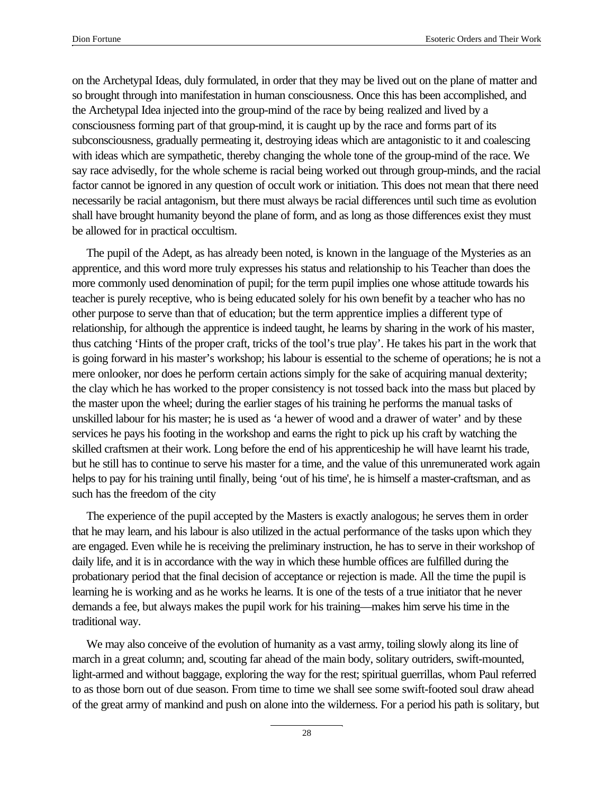on the Archetypal Ideas, duly formulated, in order that they may be lived out on the plane of matter and so brought through into manifestation in human consciousness. Once this has been accomplished, and the Archetypal Idea injected into the group-mind of the race by being realized and lived by a consciousness forming part of that group-mind, it is caught up by the race and forms part of its subconsciousness, gradually permeating it, destroying ideas which are antagonistic to it and coalescing with ideas which are sympathetic, thereby changing the whole tone of the group-mind of the race. We say race advisedly, for the whole scheme is racial being worked out through group-minds, and the racial factor cannot be ignored in any question of occult work or initiation. This does not mean that there need necessarily be racial antagonism, but there must always be racial differences until such time as evolution shall have brought humanity beyond the plane of form, and as long as those differences exist they must be allowed for in practical occultism.

The pupil of the Adept, as has already been noted, is known in the language of the Mysteries as an apprentice, and this word more truly expresses his status and relationship to his Teacher than does the more commonly used denomination of pupil; for the term pupil implies one whose attitude towards his teacher is purely receptive, who is being educated solely for his own benefit by a teacher who has no other purpose to serve than that of education; but the term apprentice implies a different type of relationship, for although the apprentice is indeed taught, he learns by sharing in the work of his master, thus catching 'Hints of the proper craft, tricks of the tool's true play'. He takes his part in the work that is going forward in his master's workshop; his labour is essential to the scheme of operations; he is not a mere onlooker, nor does he perform certain actions simply for the sake of acquiring manual dexterity; the clay which he has worked to the proper consistency is not tossed back into the mass but placed by the master upon the wheel; during the earlier stages of his training he performs the manual tasks of unskilled labour for his master; he is used as 'a hewer of wood and a drawer of water' and by these services he pays his footing in the workshop and earns the right to pick up his craft by watching the skilled craftsmen at their work. Long before the end of his apprenticeship he will have learnt his trade, but he still has to continue to serve his master for a time, and the value of this unremunerated work again helps to pay for his training until finally, being 'out of his time', he is himself a master-craftsman, and as such has the freedom of the city

The experience of the pupil accepted by the Masters is exactly analogous; he serves them in order that he may learn, and his labour is also utilized in the actual performance of the tasks upon which they are engaged. Even while he is receiving the preliminary instruction, he has to serve in their workshop of daily life, and it is in accordance with the way in which these humble offices are fulfilled during the probationary period that the final decision of acceptance or rejection is made. All the time the pupil is learning he is working and as he works he learns. It is one of the tests of a true initiator that he never demands a fee, but always makes the pupil work for his training—makes him serve his time in the traditional way.

We may also conceive of the evolution of humanity as a vast army, toiling slowly along its line of march in a great column; and, scouting far ahead of the main body, solitary outriders, swift-mounted, light-armed and without baggage, exploring the way for the rest; spiritual guerrillas, whom Paul referred to as those born out of due season. From time to time we shall see some swift-footed soul draw ahead of the great army of mankind and push on alone into the wilderness. For a period his path is solitary, but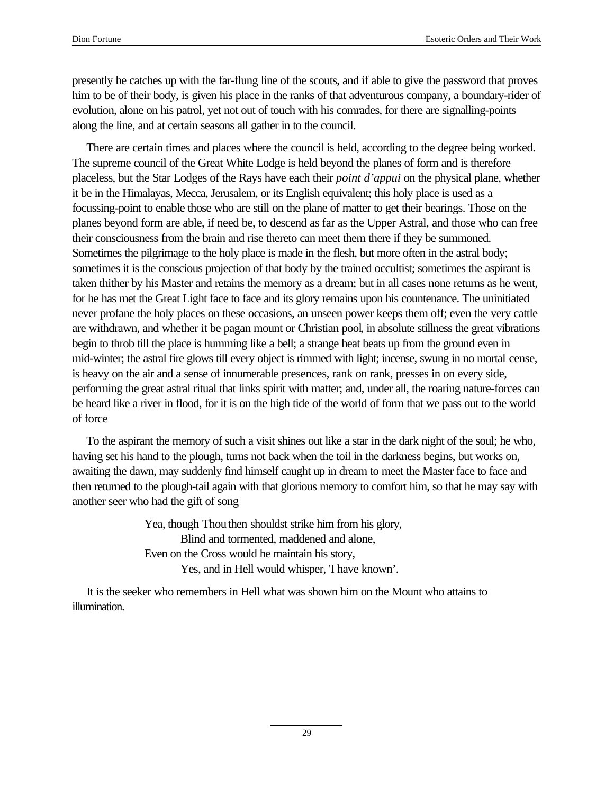presently he catches up with the far-flung line of the scouts, and if able to give the password that proves him to be of their body, is given his place in the ranks of that adventurous company, a boundary-rider of evolution, alone on his patrol, yet not out of touch with his comrades, for there are signalling-points along the line, and at certain seasons all gather in to the council.

There are certain times and places where the council is held, according to the degree being worked. The supreme council of the Great White Lodge is held beyond the planes of form and is therefore placeless, but the Star Lodges of the Rays have each their *point d'appui* on the physical plane, whether it be in the Himalayas, Mecca, Jerusalem, or its English equivalent; this holy place is used as a focussing-point to enable those who are still on the plane of matter to get their bearings. Those on the planes beyond form are able, if need be, to descend as far as the Upper Astral, and those who can free their consciousness from the brain and rise thereto can meet them there if they be summoned. Sometimes the pilgrimage to the holy place is made in the flesh, but more often in the astral body; sometimes it is the conscious projection of that body by the trained occultist; sometimes the aspirant is taken thither by his Master and retains the memory as a dream; but in all cases none returns as he went, for he has met the Great Light face to face and its glory remains upon his countenance. The uninitiated never profane the holy places on these occasions, an unseen power keeps them off; even the very cattle are withdrawn, and whether it be pagan mount or Christian pool, in absolute stillness the great vibrations begin to throb till the place is humming like a bell; a strange heat beats up from the ground even in mid-winter; the astral fire glows till every object is rimmed with light; incense, swung in no mortal cense, is heavy on the air and a sense of innumerable presences, rank on rank, presses in on every side, performing the great astral ritual that links spirit with matter; and, under all, the roaring nature-forces can be heard like a river in flood, for it is on the high tide of the world of form that we pass out to the world of force

To the aspirant the memory of such a visit shines out like a star in the dark night of the soul; he who, having set his hand to the plough, turns not back when the toil in the darkness begins, but works on, awaiting the dawn, may suddenly find himself caught up in dream to meet the Master face to face and then returned to the plough-tail again with that glorious memory to comfort him, so that he may say with another seer who had the gift of song

> Yea, though Thou then shouldst strike him from his glory, Blind and tormented, maddened and alone, Even on the Cross would he maintain his story, Yes, and in Hell would whisper, 'I have known'.

It is the seeker who remembers in Hell what was shown him on the Mount who attains to illumination.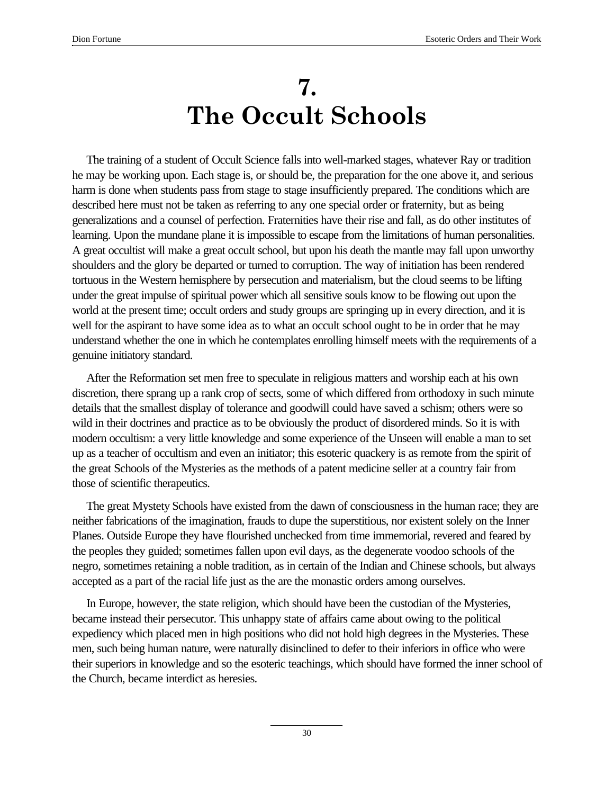# **7. The Occult Schools**

The training of a student of Occult Science falls into well-marked stages, whatever Ray or tradition he may be working upon. Each stage is, or should be, the preparation for the one above it, and serious harm is done when students pass from stage to stage insufficiently prepared. The conditions which are described here must not be taken as referring to any one special order or fraternity, but as being generalizations and a counsel of perfection. Fraternities have their rise and fall, as do other institutes of learning. Upon the mundane plane it is impossible to escape from the limitations of human personalities. A great occultist will make a great occult school, but upon his death the mantle may fall upon unworthy shoulders and the glory be departed or turned to corruption. The way of initiation has been rendered tortuous in the Western hemisphere by persecution and materialism, but the cloud seems to be lifting under the great impulse of spiritual power which all sensitive souls know to be flowing out upon the world at the present time; occult orders and study groups are springing up in every direction, and it is well for the aspirant to have some idea as to what an occult school ought to be in order that he may understand whether the one in which he contemplates enrolling himself meets with the requirements of a genuine initiatory standard.

After the Reformation set men free to speculate in religious matters and worship each at his own discretion, there sprang up a rank crop of sects, some of which differed from orthodoxy in such minute details that the smallest display of tolerance and goodwill could have saved a schism; others were so wild in their doctrines and practice as to be obviously the product of disordered minds. So it is with modern occultism: a very little knowledge and some experience of the Unseen will enable a man to set up as a teacher of occultism and even an initiator; this esoteric quackery is as remote from the spirit of the great Schools of the Mysteries as the methods of a patent medicine seller at a country fair from those of scientific therapeutics.

The great Mystety Schools have existed from the dawn of consciousness in the human race; they are neither fabrications of the imagination, frauds to dupe the superstitious, nor existent solely on the Inner Planes. Outside Europe they have flourished unchecked from time immemorial, revered and feared by the peoples they guided; sometimes fallen upon evil days, as the degenerate voodoo schools of the negro, sometimes retaining a noble tradition, as in certain of the Indian and Chinese schools, but always accepted as a part of the racial life just as the are the monastic orders among ourselves.

In Europe, however, the state religion, which should have been the custodian of the Mysteries, became instead their persecutor. This unhappy state of affairs came about owing to the political expediency which placed men in high positions who did not hold high degrees in the Mysteries. These men, such being human nature, were naturally disinclined to defer to their inferiors in office who were their superiors in knowledge and so the esoteric teachings, which should have formed the inner school of the Church, became interdict as heresies.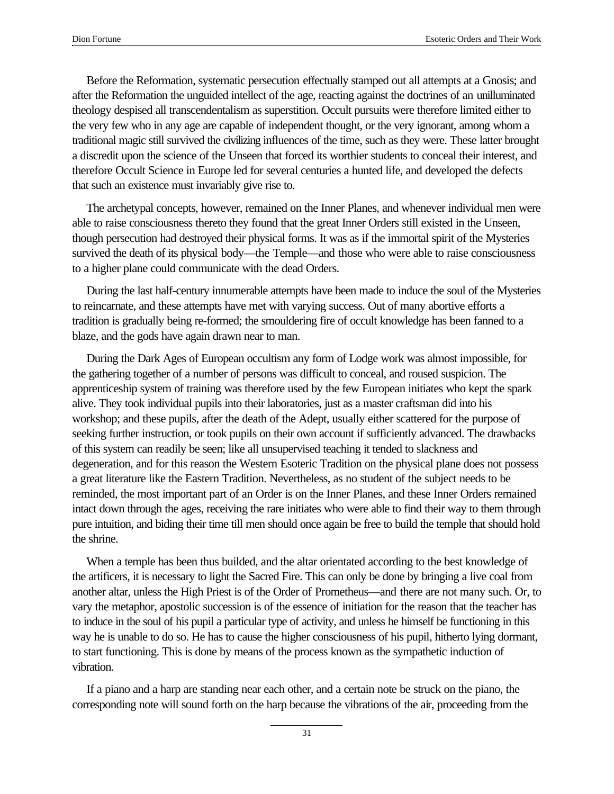Before the Reformation, systematic persecution effectually stamped out all attempts at a Gnosis; and after the Reformation the unguided intellect of the age, reacting against the doctrines of an unilluminated theology despised all transcendentalism as superstition. Occult pursuits were therefore limited either to the very few who in any age are capable of independent thought, or the very ignorant, among whom a traditional magic still survived the civilizing influences of the time, such as they were. These latter brought a discredit upon the science of the Unseen that forced its worthier students to conceal their interest, and therefore Occult Science in Europe led for several centuries a hunted life, and developed the defects that such an existence must invariably give rise to.

The archetypal concepts, however, remained on the Inner Planes, and whenever individual men were able to raise consciousness thereto they found that the great Inner Orders still existed in the Unseen, though persecution had destroyed their physical forms. It was as if the immortal spirit of the Mysteries survived the death of its physical body—the Temple—and those who were able to raise consciousness to a higher plane could communicate with the dead Orders.

During the last half-century innumerable attempts have been made to induce the soul of the Mysteries to reincarnate, and these attempts have met with varying success. Out of many abortive efforts a tradition is gradually being re-formed; the smouldering fire of occult knowledge has been fanned to a blaze, and the gods have again drawn near to man.

During the Dark Ages of European occultism any form of Lodge work was almost impossible, for the gathering together of a number of persons was difficult to conceal, and roused suspicion. The apprenticeship system of training was therefore used by the few European initiates who kept the spark alive. They took individual pupils into their laboratories, just as a master craftsman did into his workshop; and these pupils, after the death of the Adept, usually either scattered for the purpose of seeking further instruction, or took pupils on their own account if sufficiently advanced. The drawbacks of this system can readily be seen; like all unsupervised teaching it tended to slackness and degeneration, and for this reason the Western Esoteric Tradition on the physical plane does not possess a great literature like the Eastern Tradition. Nevertheless, as no student of the subject needs to be reminded, the most important part of an Order is on the Inner Planes, and these Inner Orders remained intact down through the ages, receiving the rare initiates who were able to find their way to them through pure intuition, and biding their time till men should once again be free to build the temple that should hold the shrine.

When a temple has been thus builded, and the altar orientated according to the best knowledge of the artificers, it is necessary to light the Sacred Fire. This can only be done by bringing a live coal from another altar, unless the High Priest is of the Order of Prometheus—and there are not many such. Or, to vary the metaphor, apostolic succession is of the essence of initiation for the reason that the teacher has to induce in the soul of his pupil a particular type of activity, and unless he himself be functioning in this way he is unable to do so. He has to cause the higher consciousness of his pupil, hitherto lying dormant, to start functioning. This is done by means of the process known as the sympathetic induction of vibration.

If a piano and a harp are standing near each other, and a certain note be struck on the piano, the corresponding note will sound forth on the harp because the vibrations of the air, proceeding from the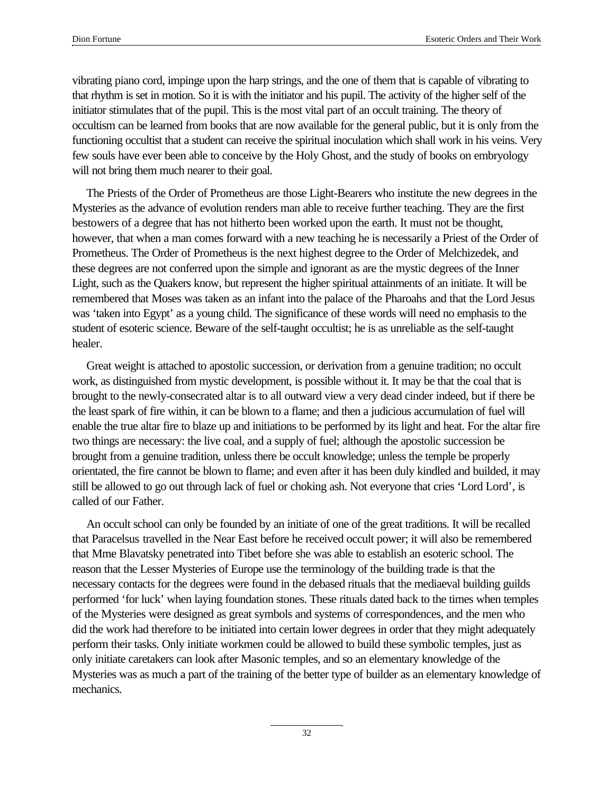vibrating piano cord, impinge upon the harp strings, and the one of them that is capable of vibrating to that rhythm is set in motion. So it is with the initiator and his pupil. The activity of the higher self of the initiator stimulates that of the pupil. This is the most vital part of an occult training. The theory of occultism can be learned from books that are now available for the general public, but it is only from the functioning occultist that a student can receive the spiritual inoculation which shall work in his veins. Very few souls have ever been able to conceive by the Holy Ghost, and the study of books on embryology will not bring them much nearer to their goal.

The Priests of the Order of Prometheus are those Light-Bearers who institute the new degrees in the Mysteries as the advance of evolution renders man able to receive further teaching. They are the first bestowers of a degree that has not hitherto been worked upon the earth. It must not be thought, however, that when a man comes forward with a new teaching he is necessarily a Priest of the Order of Prometheus. The Order of Prometheus is the next highest degree to the Order of Melchizedek, and these degrees are not conferred upon the simple and ignorant as are the mystic degrees of the Inner Light, such as the Quakers know, but represent the higher spiritual attainments of an initiate. It will be remembered that Moses was taken as an infant into the palace of the Pharoahs and that the Lord Jesus was 'taken into Egypt' as a young child. The significance of these words will need no emphasis to the student of esoteric science. Beware of the self-taught occultist; he is as unreliable as the self-taught healer.

Great weight is attached to apostolic succession, or derivation from a genuine tradition; no occult work, as distinguished from mystic development, is possible without it. It may be that the coal that is brought to the newly-consecrated altar is to all outward view a very dead cinder indeed, but if there be the least spark of fire within, it can be blown to a flame; and then a judicious accumulation of fuel will enable the true altar fire to blaze up and initiations to be performed by its light and heat. For the altar fire two things are necessary: the live coal, and a supply of fuel; although the apostolic succession be brought from a genuine tradition, unless there be occult knowledge; unless the temple be properly orientated, the fire cannot be blown to flame; and even after it has been duly kindled and builded, it may still be allowed to go out through lack of fuel or choking ash. Not everyone that cries 'Lord Lord', is called of our Father.

An occult school can only be founded by an initiate of one of the great traditions. It will be recalled that Paracelsus travelled in the Near East before he received occult power; it will also be remembered that Mme Blavatsky penetrated into Tibet before she was able to establish an esoteric school. The reason that the Lesser Mysteries of Europe use the terminology of the building trade is that the necessary contacts for the degrees were found in the debased rituals that the mediaeval building guilds performed 'for luck' when laying foundation stones. These rituals dated back to the times when temples of the Mysteries were designed as great symbols and systems of correspondences, and the men who did the work had therefore to be initiated into certain lower degrees in order that they might adequately perform their tasks. Only initiate workmen could be allowed to build these symbolic temples, just as only initiate caretakers can look after Masonic temples, and so an elementary knowledge of the Mysteries was as much a part of the training of the better type of builder as an elementary knowledge of mechanics.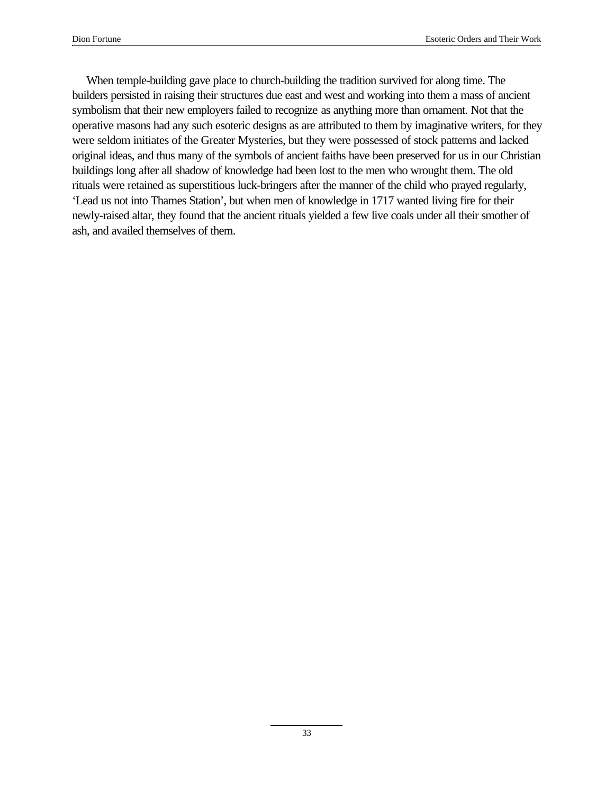When temple-building gave place to church-building the tradition survived for along time. The builders persisted in raising their structures due east and west and working into them a mass of ancient symbolism that their new employers failed to recognize as anything more than ornament. Not that the operative masons had any such esoteric designs as are attributed to them by imaginative writers, for they were seldom initiates of the Greater Mysteries, but they were possessed of stock patterns and lacked original ideas, and thus many of the symbols of ancient faiths have been preserved for us in our Christian buildings long after all shadow of knowledge had been lost to the men who wrought them. The old rituals were retained as superstitious luck-bringers after the manner of the child who prayed regularly, 'Lead us not into Thames Station', but when men of knowledge in 1717 wanted living fire for their newly-raised altar, they found that the ancient rituals yielded a few live coals under all their smother of ash, and availed themselves of them.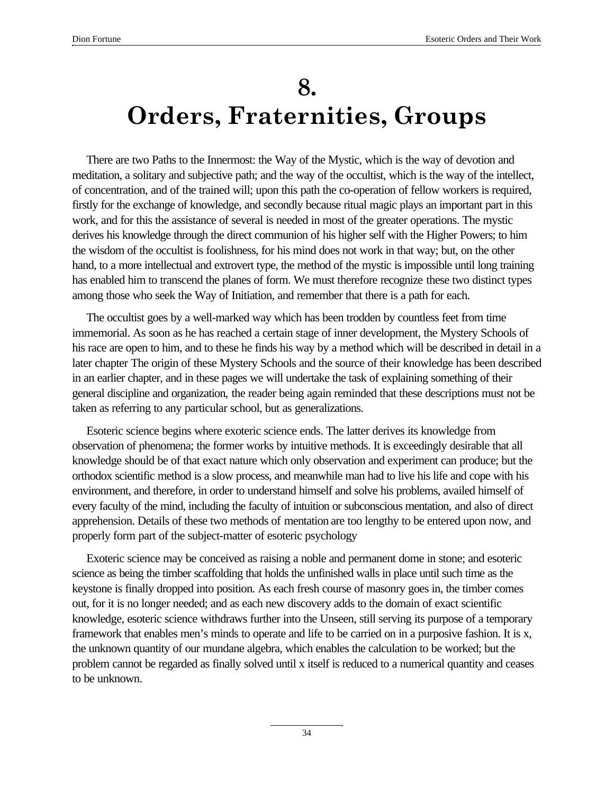## **8. Orders, Fraternities, Groups**

There are two Paths to the Innermost: the Way of the Mystic, which is the way of devotion and meditation, a solitary and subjective path; and the way of the occultist, which is the way of the intellect, of concentration, and of the trained will; upon this path the co-operation of fellow workers is required, firstly for the exchange of knowledge, and secondly because ritual magic plays an important part in this work, and for this the assistance of several is needed in most of the greater operations. The mystic derives his knowledge through the direct communion of his higher self with the Higher Powers; to him the wisdom of the occultist is foolishness, for his mind does not work in that way; but, on the other hand, to a more intellectual and extrovert type, the method of the mystic is impossible until long training has enabled him to transcend the planes of form. We must therefore recognize these two distinct types among those who seek the Way of Initiation, and remember that there is a path for each.

The occultist goes by a well-marked way which has been trodden by countless feet from time immemorial. As soon as he has reached a certain stage of inner development, the Mystery Schools of his race are open to him, and to these he finds his way by a method which will be described in detail in a later chapter The origin of these Mystery Schools and the source of their knowledge has been described in an earlier chapter, and in these pages we will undertake the task of explaining something of their general discipline and organization, the reader being again reminded that these descriptions must not be taken as referring to any particular school, but as generalizations.

Esoteric science begins where exoteric science ends. The latter derives its knowledge from observation of phenomena; the former works by intuitive methods. It is exceedingly desirable that all knowledge should be of that exact nature which only observation and experiment can produce; but the orthodox scientific method is a slow process, and meanwhile man had to live his life and cope with his environment, and therefore, in order to understand himself and solve his problems, availed himself of every faculty of the mind, including the faculty of intuition or subconscious mentation, and also of direct apprehension. Details of these two methods of mentation are too lengthy to be entered upon now, and properly form part of the subject-matter of esoteric psychology

Exoteric science may be conceived as raising a noble and permanent dome in stone; and esoteric science as being the timber scaffolding that holds the unfinished walls in place until such time as the keystone is finally dropped into position. As each fresh course of masonry goes in, the timber comes out, for it is no longer needed; and as each new discovery adds to the domain of exact scientific knowledge, esoteric science withdraws further into the Unseen, still serving its purpose of a temporary framework that enables men's minds to operate and life to be carried on in a purposive fashion. It is x, the unknown quantity of our mundane algebra, which enables the calculation to be worked; but the problem cannot be regarded as finally solved until x itself is reduced to a numerical quantity and ceases to be unknown.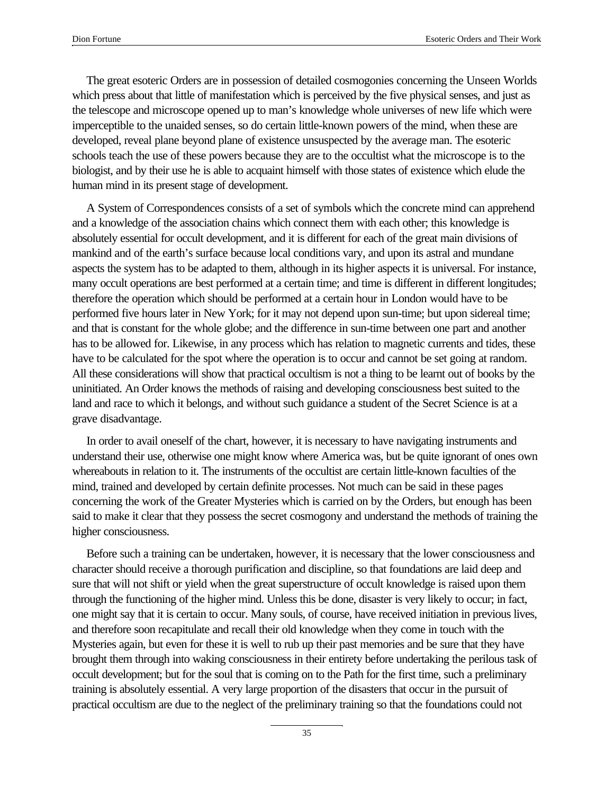The great esoteric Orders are in possession of detailed cosmogonies concerning the Unseen Worlds which press about that little of manifestation which is perceived by the five physical senses, and just as the telescope and microscope opened up to man's knowledge whole universes of new life which were imperceptible to the unaided senses, so do certain little-known powers of the mind, when these are developed, reveal plane beyond plane of existence unsuspected by the average man. The esoteric schools teach the use of these powers because they are to the occultist what the microscope is to the biologist, and by their use he is able to acquaint himself with those states of existence which elude the human mind in its present stage of development.

A System of Correspondences consists of a set of symbols which the concrete mind can apprehend and a knowledge of the association chains which connect them with each other; this knowledge is absolutely essential for occult development, and it is different for each of the great main divisions of mankind and of the earth's surface because local conditions vary, and upon its astral and mundane aspects the system has to be adapted to them, although in its higher aspects it is universal. For instance, many occult operations are best performed at a certain time; and time is different in different longitudes; therefore the operation which should be performed at a certain hour in London would have to be performed five hours later in New York; for it may not depend upon sun-time; but upon sidereal time; and that is constant for the whole globe; and the difference in sun-time between one part and another has to be allowed for. Likewise, in any process which has relation to magnetic currents and tides, these have to be calculated for the spot where the operation is to occur and cannot be set going at random. All these considerations will show that practical occultism is not a thing to be learnt out of books by the uninitiated. An Order knows the methods of raising and developing consciousness best suited to the land and race to which it belongs, and without such guidance a student of the Secret Science is at a grave disadvantage.

In order to avail oneself of the chart, however, it is necessary to have navigating instruments and understand their use, otherwise one might know where America was, but be quite ignorant of ones own whereabouts in relation to it. The instruments of the occultist are certain little-known faculties of the mind, trained and developed by certain definite processes. Not much can be said in these pages concerning the work of the Greater Mysteries which is carried on by the Orders, but enough has been said to make it clear that they possess the secret cosmogony and understand the methods of training the higher consciousness.

Before such a training can be undertaken, however, it is necessary that the lower consciousness and character should receive a thorough purification and discipline, so that foundations are laid deep and sure that will not shift or yield when the great superstructure of occult knowledge is raised upon them through the functioning of the higher mind. Unless this be done, disaster is very likely to occur; in fact, one might say that it is certain to occur. Many souls, of course, have received initiation in previous lives, and therefore soon recapitulate and recall their old knowledge when they come in touch with the Mysteries again, but even for these it is well to rub up their past memories and be sure that they have brought them through into waking consciousness in their entirety before undertaking the perilous task of occult development; but for the soul that is coming on to the Path for the first time, such a preliminary training is absolutely essential. A very large proportion of the disasters that occur in the pursuit of practical occultism are due to the neglect of the preliminary training so that the foundations could not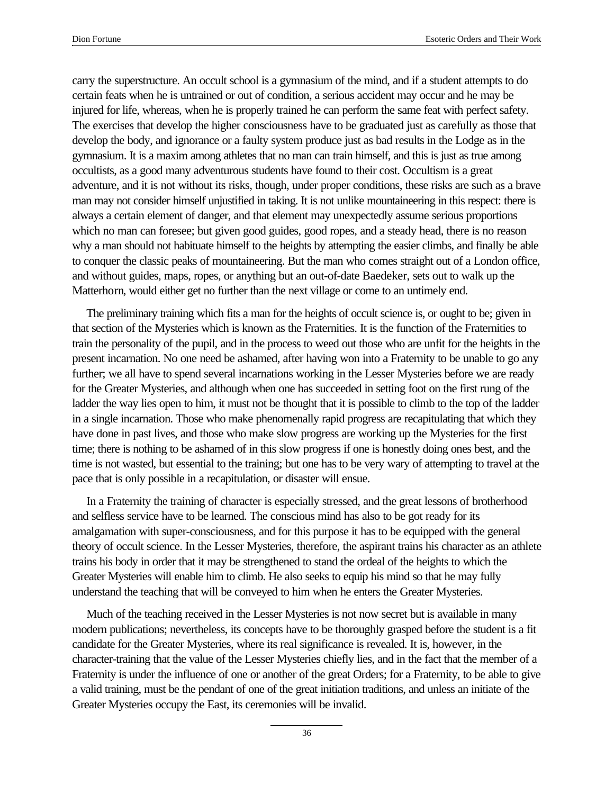carry the superstructure. An occult school is a gymnasium of the mind, and if a student attempts to do certain feats when he is untrained or out of condition, a serious accident may occur and he may be injured for life, whereas, when he is properly trained he can perform the same feat with perfect safety. The exercises that develop the higher consciousness have to be graduated just as carefully as those that develop the body, and ignorance or a faulty system produce just as bad results in the Lodge as in the gymnasium. It is a maxim among athletes that no man can train himself, and this is just as true among occultists, as a good many adventurous students have found to their cost. Occultism is a great adventure, and it is not without its risks, though, under proper conditions, these risks are such as a brave man may not consider himself unjustified in taking. It is not unlike mountaineering in this respect: there is always a certain element of danger, and that element may unexpectedly assume serious proportions which no man can foresee; but given good guides, good ropes, and a steady head, there is no reason why a man should not habituate himself to the heights by attempting the easier climbs, and finally be able to conquer the classic peaks of mountaineering. But the man who comes straight out of a London office, and without guides, maps, ropes, or anything but an out-of-date Baedeker, sets out to walk up the Matterhorn, would either get no further than the next village or come to an untimely end.

The preliminary training which fits a man for the heights of occult science is, or ought to be; given in that section of the Mysteries which is known as the Fraternities. It is the function of the Fraternities to train the personality of the pupil, and in the process to weed out those who are unfit for the heights in the present incarnation. No one need be ashamed, after having won into a Fraternity to be unable to go any further; we all have to spend several incarnations working in the Lesser Mysteries before we are ready for the Greater Mysteries, and although when one has succeeded in setting foot on the first rung of the ladder the way lies open to him, it must not be thought that it is possible to climb to the top of the ladder in a single incarnation. Those who make phenomenally rapid progress are recapitulating that which they have done in past lives, and those who make slow progress are working up the Mysteries for the first time; there is nothing to be ashamed of in this slow progress if one is honestly doing ones best, and the time is not wasted, but essential to the training; but one has to be very wary of attempting to travel at the pace that is only possible in a recapitulation, or disaster will ensue.

In a Fraternity the training of character is especially stressed, and the great lessons of brotherhood and selfless service have to be learned. The conscious mind has also to be got ready for its amalgamation with super-consciousness, and for this purpose it has to be equipped with the general theory of occult science. In the Lesser Mysteries, therefore, the aspirant trains his character as an athlete trains his body in order that it may be strengthened to stand the ordeal of the heights to which the Greater Mysteries will enable him to climb. He also seeks to equip his mind so that he may fully understand the teaching that will be conveyed to him when he enters the Greater Mysteries.

Much of the teaching received in the Lesser Mysteries is not now secret but is available in many modern publications; nevertheless, its concepts have to be thoroughly grasped before the student is a fit candidate for the Greater Mysteries, where its real significance is revealed. It is, however, in the character-training that the value of the Lesser Mysteries chiefly lies, and in the fact that the member of a Fraternity is under the influence of one or another of the great Orders; for a Fraternity, to be able to give a valid training, must be the pendant of one of the great initiation traditions, and unless an initiate of the Greater Mysteries occupy the East, its ceremonies will be invalid.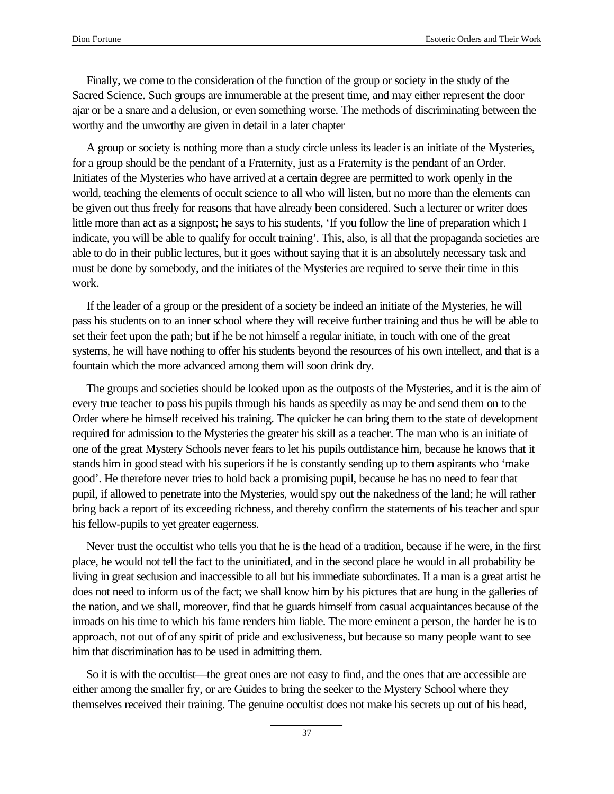Finally, we come to the consideration of the function of the group or society in the study of the Sacred Science. Such groups are innumerable at the present time, and may either represent the door ajar or be a snare and a delusion, or even something worse. The methods of discriminating between the worthy and the unworthy are given in detail in a later chapter

A group or society is nothing more than a study circle unless its leader is an initiate of the Mysteries, for a group should be the pendant of a Fraternity, just as a Fraternity is the pendant of an Order. Initiates of the Mysteries who have arrived at a certain degree are permitted to work openly in the world, teaching the elements of occult science to all who will listen, but no more than the elements can be given out thus freely for reasons that have already been considered. Such a lecturer or writer does little more than act as a signpost; he says to his students, 'If you follow the line of preparation which I indicate, you will be able to qualify for occult training'. This, also, is all that the propaganda societies are able to do in their public lectures, but it goes without saying that it is an absolutely necessary task and must be done by somebody, and the initiates of the Mysteries are required to serve their time in this work.

If the leader of a group or the president of a society be indeed an initiate of the Mysteries, he will pass his students on to an inner school where they will receive further training and thus he will be able to set their feet upon the path; but if he be not himself a regular initiate, in touch with one of the great systems, he will have nothing to offer his students beyond the resources of his own intellect, and that is a fountain which the more advanced among them will soon drink dry.

The groups and societies should be looked upon as the outposts of the Mysteries, and it is the aim of every true teacher to pass his pupils through his hands as speedily as may be and send them on to the Order where he himself received his training. The quicker he can bring them to the state of development required for admission to the Mysteries the greater his skill as a teacher. The man who is an initiate of one of the great Mystery Schools never fears to let his pupils outdistance him, because he knows that it stands him in good stead with his superiors if he is constantly sending up to them aspirants who 'make good'. He therefore never tries to hold back a promising pupil, because he has no need to fear that pupil, if allowed to penetrate into the Mysteries, would spy out the nakedness of the land; he will rather bring back a report of its exceeding richness, and thereby confirm the statements of his teacher and spur his fellow-pupils to yet greater eagerness.

Never trust the occultist who tells you that he is the head of a tradition, because if he were, in the first place, he would not tell the fact to the uninitiated, and in the second place he would in all probability be living in great seclusion and inaccessible to all but his immediate subordinates. If a man is a great artist he does not need to inform us of the fact; we shall know him by his pictures that are hung in the galleries of the nation, and we shall, moreover, find that he guards himself from casual acquaintances because of the inroads on his time to which his fame renders him liable. The more eminent a person, the harder he is to approach, not out of of any spirit of pride and exclusiveness, but because so many people want to see him that discrimination has to be used in admitting them.

So it is with the occultist—the great ones are not easy to find, and the ones that are accessible are either among the smaller fry, or are Guides to bring the seeker to the Mystery School where they themselves received their training. The genuine occultist does not make his secrets up out of his head,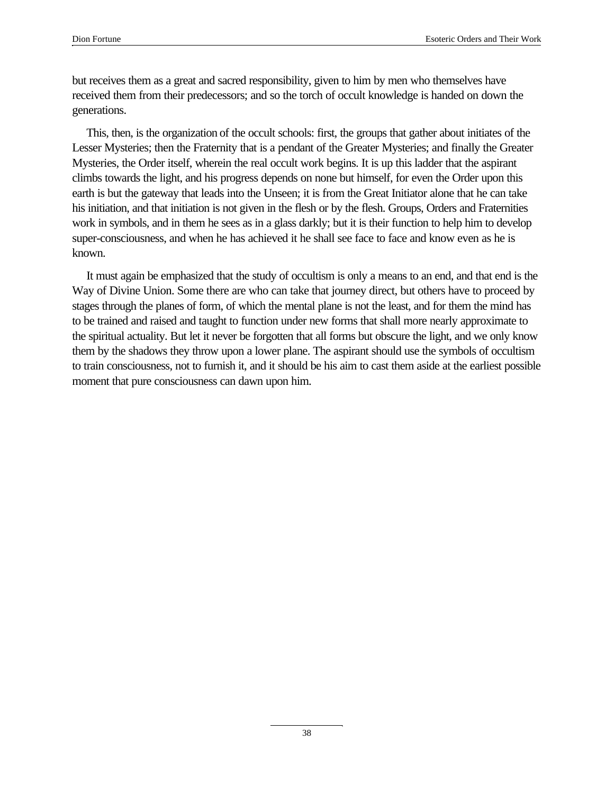but receives them as a great and sacred responsibility, given to him by men who themselves have received them from their predecessors; and so the torch of occult knowledge is handed on down the generations.

This, then, is the organization of the occult schools: first, the groups that gather about initiates of the Lesser Mysteries; then the Fraternity that is a pendant of the Greater Mysteries; and finally the Greater Mysteries, the Order itself, wherein the real occult work begins. It is up this ladder that the aspirant climbs towards the light, and his progress depends on none but himself, for even the Order upon this earth is but the gateway that leads into the Unseen; it is from the Great Initiator alone that he can take his initiation, and that initiation is not given in the flesh or by the flesh. Groups, Orders and Fraternities work in symbols, and in them he sees as in a glass darkly; but it is their function to help him to develop super-consciousness, and when he has achieved it he shall see face to face and know even as he is known.

It must again be emphasized that the study of occultism is only a means to an end, and that end is the Way of Divine Union. Some there are who can take that journey direct, but others have to proceed by stages through the planes of form, of which the mental plane is not the least, and for them the mind has to be trained and raised and taught to function under new forms that shall more nearly approximate to the spiritual actuality. But let it never be forgotten that all forms but obscure the light, and we only know them by the shadows they throw upon a lower plane. The aspirant should use the symbols of occultism to train consciousness, not to furnish it, and it should be his aim to cast them aside at the earliest possible moment that pure consciousness can dawn upon him.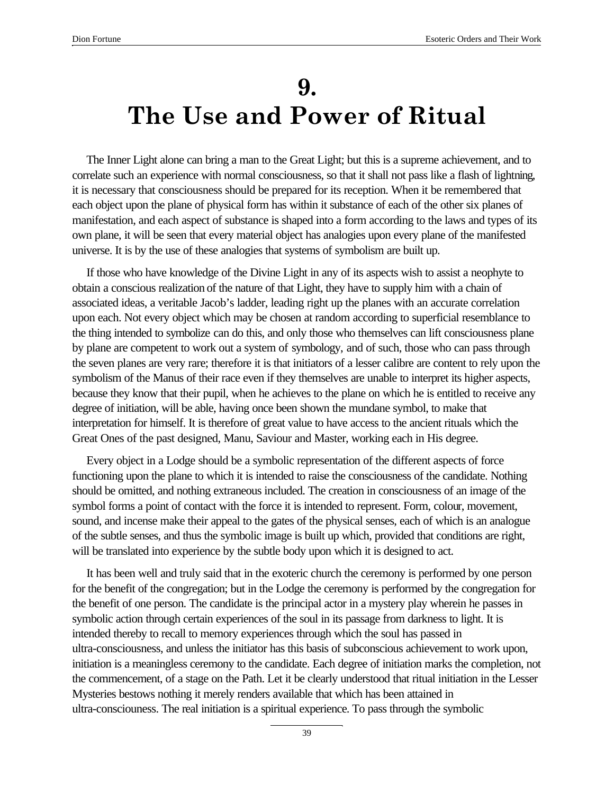#### **9. The Use and Power of Ritual**

The Inner Light alone can bring a man to the Great Light; but this is a supreme achievement, and to correlate such an experience with normal consciousness, so that it shall not pass like a flash of lightning, it is necessary that consciousness should be prepared for its reception. When it be remembered that each object upon the plane of physical form has within it substance of each of the other six planes of manifestation, and each aspect of substance is shaped into a form according to the laws and types of its own plane, it will be seen that every material object has analogies upon every plane of the manifested universe. It is by the use of these analogies that systems of symbolism are built up.

If those who have knowledge of the Divine Light in any of its aspects wish to assist a neophyte to obtain a conscious realization of the nature of that Light, they have to supply him with a chain of associated ideas, a veritable Jacob's ladder, leading right up the planes with an accurate correlation upon each. Not every object which may be chosen at random according to superficial resemblance to the thing intended to symbolize can do this, and only those who themselves can lift consciousness plane by plane are competent to work out a system of symbology, and of such, those who can pass through the seven planes are very rare; therefore it is that initiators of a lesser calibre are content to rely upon the symbolism of the Manus of their race even if they themselves are unable to interpret its higher aspects, because they know that their pupil, when he achieves to the plane on which he is entitled to receive any degree of initiation, will be able, having once been shown the mundane symbol, to make that interpretation for himself. It is therefore of great value to have access to the ancient rituals which the Great Ones of the past designed, Manu, Saviour and Master, working each in His degree.

Every object in a Lodge should be a symbolic representation of the different aspects of force functioning upon the plane to which it is intended to raise the consciousness of the candidate. Nothing should be omitted, and nothing extraneous included. The creation in consciousness of an image of the symbol forms a point of contact with the force it is intended to represent. Form, colour, movement, sound, and incense make their appeal to the gates of the physical senses, each of which is an analogue of the subtle senses, and thus the symbolic image is built up which, provided that conditions are right, will be translated into experience by the subtle body upon which it is designed to act.

It has been well and truly said that in the exoteric church the ceremony is performed by one person for the benefit of the congregation; but in the Lodge the ceremony is performed by the congregation for the benefit of one person. The candidate is the principal actor in a mystery play wherein he passes in symbolic action through certain experiences of the soul in its passage from darkness to light. It is intended thereby to recall to memory experiences through which the soul has passed in ultra-consciousness, and unless the initiator has this basis of subconscious achievement to work upon, initiation is a meaningless ceremony to the candidate. Each degree of initiation marks the completion, not the commencement, of a stage on the Path. Let it be clearly understood that ritual initiation in the Lesser Mysteries bestows nothing it merely renders available that which has been attained in ultra-consciouness. The real initiation is a spiritual experience. To pass through the symbolic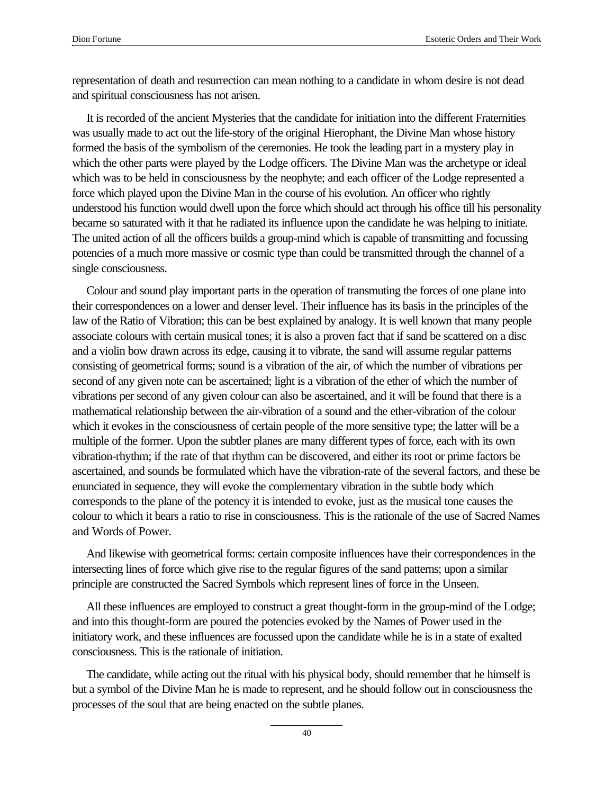representation of death and resurrection can mean nothing to a candidate in whom desire is not dead and spiritual consciousness has not arisen.

It is recorded of the ancient Mysteries that the candidate for initiation into the different Fraternities was usually made to act out the life-story of the original Hierophant, the Divine Man whose history formed the basis of the symbolism of the ceremonies. He took the leading part in a mystery play in which the other parts were played by the Lodge officers. The Divine Man was the archetype or ideal which was to be held in consciousness by the neophyte; and each officer of the Lodge represented a force which played upon the Divine Man in the course of his evolution. An officer who rightly understood his function would dwell upon the force which should act through his office till his personality became so saturated with it that he radiated its influence upon the candidate he was helping to initiate. The united action of all the officers builds a group-mind which is capable of transmitting and focussing potencies of a much more massive or cosmic type than could be transmitted through the channel of a single consciousness.

Colour and sound play important parts in the operation of transmuting the forces of one plane into their correspondences on a lower and denser level. Their influence has its basis in the principles of the law of the Ratio of Vibration; this can be best explained by analogy. It is well known that many people associate colours with certain musical tones; it is also a proven fact that if sand be scattered on a disc and a violin bow drawn across its edge, causing it to vibrate, the sand will assume regular patterns consisting of geometrical forms; sound is a vibration of the air, of which the number of vibrations per second of any given note can be ascertained; light is a vibration of the ether of which the number of vibrations per second of any given colour can also be ascertained, and it will be found that there is a mathematical relationship between the air-vibration of a sound and the ether-vibration of the colour which it evokes in the consciousness of certain people of the more sensitive type; the latter will be a multiple of the former. Upon the subtler planes are many different types of force, each with its own vibration-rhythm; if the rate of that rhythm can be discovered, and either its root or prime factors be ascertained, and sounds be formulated which have the vibration-rate of the several factors, and these be enunciated in sequence, they will evoke the complementary vibration in the subtle body which corresponds to the plane of the potency it is intended to evoke, just as the musical tone causes the colour to which it bears a ratio to rise in consciousness. This is the rationale of the use of Sacred Names and Words of Power.

And likewise with geometrical forms: certain composite influences have their correspondences in the intersecting lines of force which give rise to the regular figures of the sand patterns; upon a similar principle are constructed the Sacred Symbols which represent lines of force in the Unseen.

All these influences are employed to construct a great thought-form in the group-mind of the Lodge; and into this thought-form are poured the potencies evoked by the Names of Power used in the initiatory work, and these influences are focussed upon the candidate while he is in a state of exalted consciousness. This is the rationale of initiation.

The candidate, while acting out the ritual with his physical body, should remember that he himself is but a symbol of the Divine Man he is made to represent, and he should follow out in consciousness the processes of the soul that are being enacted on the subtle planes.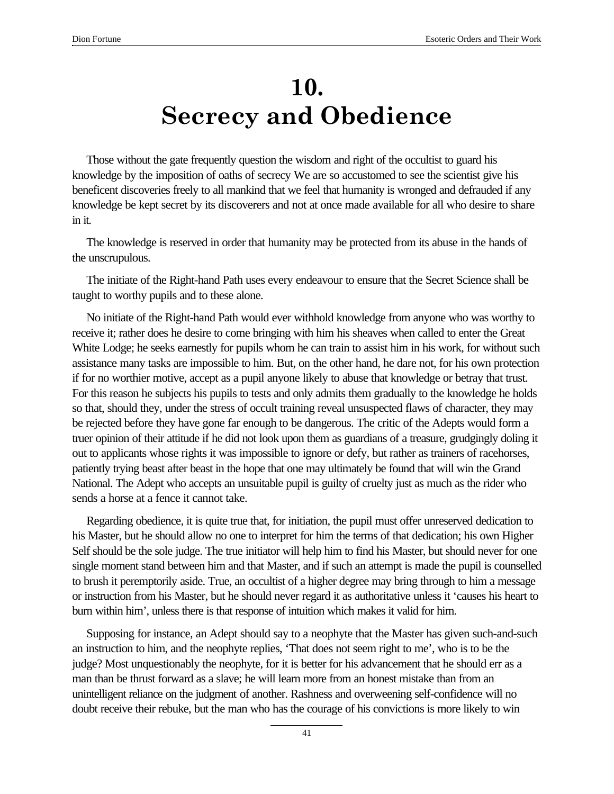# **10. Secrecy and Obedience**

Those without the gate frequently question the wisdom and right of the occultist to guard his knowledge by the imposition of oaths of secrecy We are so accustomed to see the scientist give his beneficent discoveries freely to all mankind that we feel that humanity is wronged and defrauded if any knowledge be kept secret by its discoverers and not at once made available for all who desire to share in it.

The knowledge is reserved in order that humanity may be protected from its abuse in the hands of the unscrupulous.

The initiate of the Right-hand Path uses every endeavour to ensure that the Secret Science shall be taught to worthy pupils and to these alone.

No initiate of the Right-hand Path would ever withhold knowledge from anyone who was worthy to receive it; rather does he desire to come bringing with him his sheaves when called to enter the Great White Lodge; he seeks earnestly for pupils whom he can train to assist him in his work, for without such assistance many tasks are impossible to him. But, on the other hand, he dare not, for his own protection if for no worthier motive, accept as a pupil anyone likely to abuse that knowledge or betray that trust. For this reason he subjects his pupils to tests and only admits them gradually to the knowledge he holds so that, should they, under the stress of occult training reveal unsuspected flaws of character, they may be rejected before they have gone far enough to be dangerous. The critic of the Adepts would form a truer opinion of their attitude if he did not look upon them as guardians of a treasure, grudgingly doling it out to applicants whose rights it was impossible to ignore or defy, but rather as trainers of racehorses, patiently trying beast after beast in the hope that one may ultimately be found that will win the Grand National. The Adept who accepts an unsuitable pupil is guilty of cruelty just as much as the rider who sends a horse at a fence it cannot take.

Regarding obedience, it is quite true that, for initiation, the pupil must offer unreserved dedication to his Master, but he should allow no one to interpret for him the terms of that dedication; his own Higher Self should be the sole judge. The true initiator will help him to find his Master, but should never for one single moment stand between him and that Master, and if such an attempt is made the pupil is counselled to brush it peremptorily aside. True, an occultist of a higher degree may bring through to him a message or instruction from his Master, but he should never regard it as authoritative unless it 'causes his heart to burn within him', unless there is that response of intuition which makes it valid for him.

Supposing for instance, an Adept should say to a neophyte that the Master has given such-and-such an instruction to him, and the neophyte replies, 'That does not seem right to me', who is to be the judge? Most unquestionably the neophyte, for it is better for his advancement that he should err as a man than be thrust forward as a slave; he will learn more from an honest mistake than from an unintelligent reliance on the judgment of another. Rashness and overweening self-confidence will no doubt receive their rebuke, but the man who has the courage of his convictions is more likely to win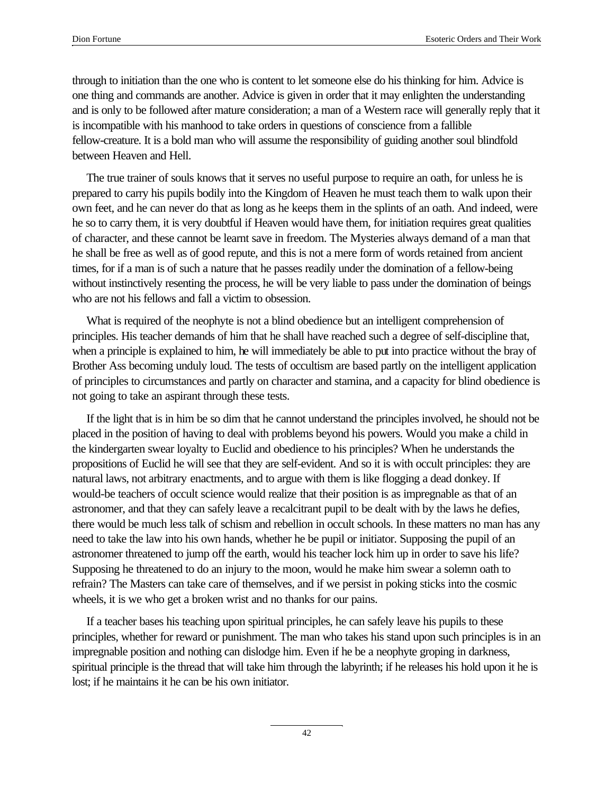through to initiation than the one who is content to let someone else do his thinking for him. Advice is one thing and commands are another. Advice is given in order that it may enlighten the understanding and is only to be followed after mature consideration; a man of a Western race will generally reply that it is incompatible with his manhood to take orders in questions of conscience from a fallible fellow-creature. It is a bold man who will assume the responsibility of guiding another soul blindfold between Heaven and Hell.

The true trainer of souls knows that it serves no useful purpose to require an oath, for unless he is prepared to carry his pupils bodily into the Kingdom of Heaven he must teach them to walk upon their own feet, and he can never do that as long as he keeps them in the splints of an oath. And indeed, were he so to carry them, it is very doubtful if Heaven would have them, for initiation requires great qualities of character, and these cannot be learnt save in freedom. The Mysteries always demand of a man that he shall be free as well as of good repute, and this is not a mere form of words retained from ancient times, for if a man is of such a nature that he passes readily under the domination of a fellow-being without instinctively resenting the process, he will be very liable to pass under the domination of beings who are not his fellows and fall a victim to obsession.

What is required of the neophyte is not a blind obedience but an intelligent comprehension of principles. His teacher demands of him that he shall have reached such a degree of self-discipline that, when a principle is explained to him, he will immediately be able to put into practice without the bray of Brother Ass becoming unduly loud. The tests of occultism are based partly on the intelligent application of principles to circumstances and partly on character and stamina, and a capacity for blind obedience is not going to take an aspirant through these tests.

If the light that is in him be so dim that he cannot understand the principles involved, he should not be placed in the position of having to deal with problems beyond his powers. Would you make a child in the kindergarten swear loyalty to Euclid and obedience to his principles? When he understands the propositions of Euclid he will see that they are self-evident. And so it is with occult principles: they are natural laws, not arbitrary enactments, and to argue with them is like flogging a dead donkey. If would-be teachers of occult science would realize that their position is as impregnable as that of an astronomer, and that they can safely leave a recalcitrant pupil to be dealt with by the laws he defies, there would be much less talk of schism and rebellion in occult schools. In these matters no man has any need to take the law into his own hands, whether he be pupil or initiator. Supposing the pupil of an astronomer threatened to jump off the earth, would his teacher lock him up in order to save his life? Supposing he threatened to do an injury to the moon, would he make him swear a solemn oath to refrain? The Masters can take care of themselves, and if we persist in poking sticks into the cosmic wheels, it is we who get a broken wrist and no thanks for our pains.

If a teacher bases his teaching upon spiritual principles, he can safely leave his pupils to these principles, whether for reward or punishment. The man who takes his stand upon such principles is in an impregnable position and nothing can dislodge him. Even if he be a neophyte groping in darkness, spiritual principle is the thread that will take him through the labyrinth; if he releases his hold upon it he is lost; if he maintains it he can be his own initiator.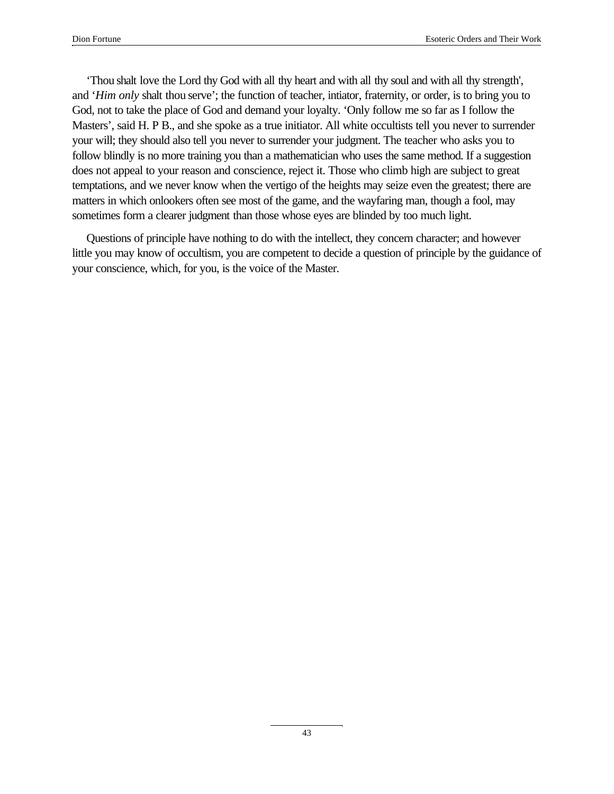'Thou shalt love the Lord thy God with all thy heart and with all thy soul and with all thy strength', and '*Him only* shalt thou serve'; the function of teacher, intiator, fraternity, or order, is to bring you to God, not to take the place of God and demand your loyalty. 'Only follow me so far as I follow the Masters', said H. P B., and she spoke as a true initiator. All white occultists tell you never to surrender your will; they should also tell you never to surrender your judgment. The teacher who asks you to follow blindly is no more training you than a mathematician who uses the same method. If a suggestion does not appeal to your reason and conscience, reject it. Those who climb high are subject to great temptations, and we never know when the vertigo of the heights may seize even the greatest; there are matters in which onlookers often see most of the game, and the wayfaring man, though a fool, may sometimes form a clearer judgment than those whose eyes are blinded by too much light.

Questions of principle have nothing to do with the intellect, they concern character; and however little you may know of occultism, you are competent to decide a question of principle by the guidance of your conscience, which, for you, is the voice of the Master.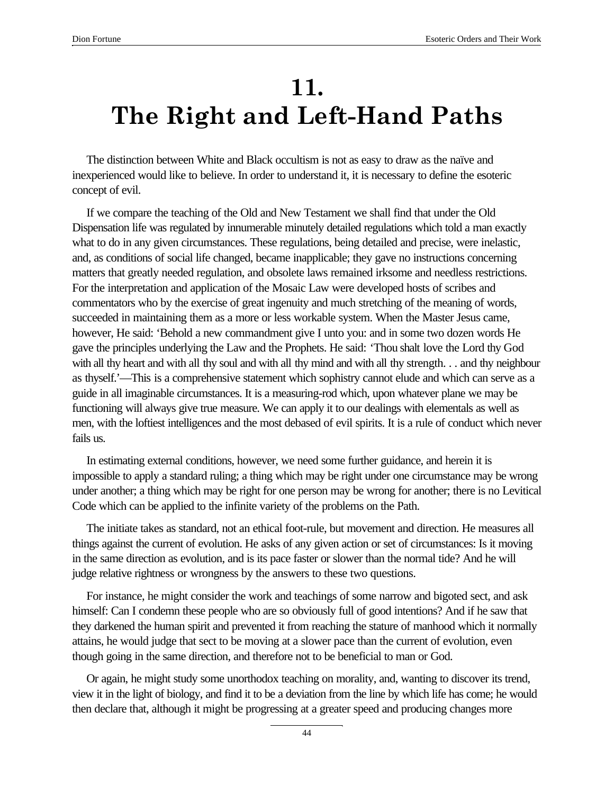# **11. The Right and Left-Hand Paths**

The distinction between White and Black occultism is not as easy to draw as the naïve and inexperienced would like to believe. In order to understand it, it is necessary to define the esoteric concept of evil.

If we compare the teaching of the Old and New Testament we shall find that under the Old Dispensation life was regulated by innumerable minutely detailed regulations which told a man exactly what to do in any given circumstances. These regulations, being detailed and precise, were inelastic, and, as conditions of social life changed, became inapplicable; they gave no instructions concerning matters that greatly needed regulation, and obsolete laws remained irksome and needless restrictions. For the interpretation and application of the Mosaic Law were developed hosts of scribes and commentators who by the exercise of great ingenuity and much stretching of the meaning of words, succeeded in maintaining them as a more or less workable system. When the Master Jesus came, however, He said: 'Behold a new commandment give I unto you: and in some two dozen words He gave the principles underlying the Law and the Prophets. He said: 'Thou shalt love the Lord thy God with all thy heart and with all thy soul and with all thy mind and with all thy strength. . . and thy neighbour as thyself.'—This is a comprehensive statement which sophistry cannot elude and which can serve as a guide in all imaginable circumstances. It is a measuring-rod which, upon whatever plane we may be functioning will always give true measure. We can apply it to our dealings with elementals as well as men, with the loftiest intelligences and the most debased of evil spirits. It is a rule of conduct which never fails us.

In estimating external conditions, however, we need some further guidance, and herein it is impossible to apply a standard ruling; a thing which may be right under one circumstance may be wrong under another; a thing which may be right for one person may be wrong for another; there is no Levitical Code which can be applied to the infinite variety of the problems on the Path.

The initiate takes as standard, not an ethical foot-rule, but movement and direction. He measures all things against the current of evolution. He asks of any given action or set of circumstances: Is it moving in the same direction as evolution, and is its pace faster or slower than the normal tide? And he will judge relative rightness or wrongness by the answers to these two questions.

For instance, he might consider the work and teachings of some narrow and bigoted sect, and ask himself: Can I condemn these people who are so obviously full of good intentions? And if he saw that they darkened the human spirit and prevented it from reaching the stature of manhood which it normally attains, he would judge that sect to be moving at a slower pace than the current of evolution, even though going in the same direction, and therefore not to be beneficial to man or God.

Or again, he might study some unorthodox teaching on morality, and, wanting to discover its trend, view it in the light of biology, and find it to be a deviation from the line by which life has come; he would then declare that, although it might be progressing at a greater speed and producing changes more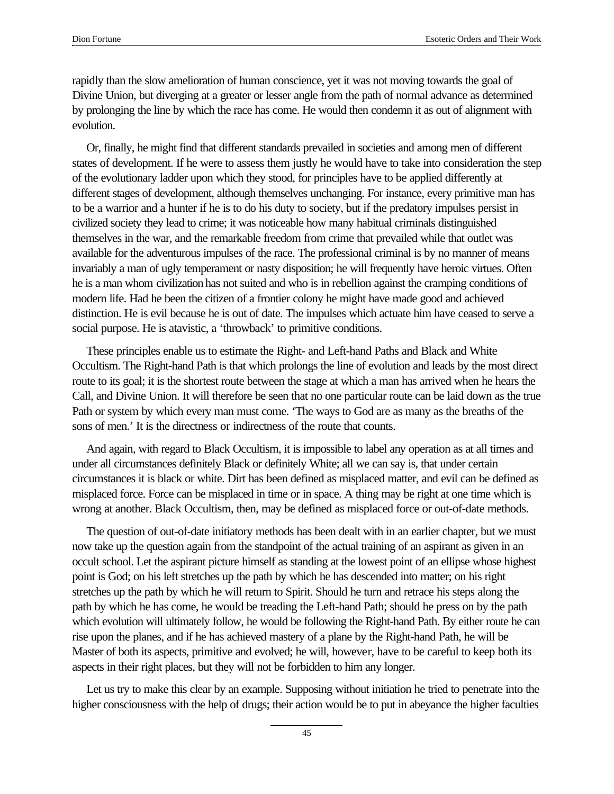rapidly than the slow amelioration of human conscience, yet it was not moving towards the goal of Divine Union, but diverging at a greater or lesser angle from the path of normal advance as determined by prolonging the line by which the race has come. He would then condemn it as out of alignment with evolution.

Or, finally, he might find that different standards prevailed in societies and among men of different states of development. If he were to assess them justly he would have to take into consideration the step of the evolutionary ladder upon which they stood, for principles have to be applied differently at different stages of development, although themselves unchanging. For instance, every primitive man has to be a warrior and a hunter if he is to do his duty to society, but if the predatory impulses persist in civilized society they lead to crime; it was noticeable how many habitual criminals distinguished themselves in the war, and the remarkable freedom from crime that prevailed while that outlet was available for the adventurous impulses of the race. The professional criminal is by no manner of means invariably a man of ugly temperament or nasty disposition; he will frequently have heroic virtues. Often he is a man whom civilization has not suited and who is in rebellion against the cramping conditions of modern life. Had he been the citizen of a frontier colony he might have made good and achieved distinction. He is evil because he is out of date. The impulses which actuate him have ceased to serve a social purpose. He is atavistic, a 'throwback' to primitive conditions.

These principles enable us to estimate the Right- and Left-hand Paths and Black and White Occultism. The Right-hand Path is that which prolongs the line of evolution and leads by the most direct route to its goal; it is the shortest route between the stage at which a man has arrived when he hears the Call, and Divine Union. It will therefore be seen that no one particular route can be laid down as the true Path or system by which every man must come. 'The ways to God are as many as the breaths of the sons of men.' It is the directness or indirectness of the route that counts.

And again, with regard to Black Occultism, it is impossible to label any operation as at all times and under all circumstances definitely Black or definitely White; all we can say is, that under certain circumstances it is black or white. Dirt has been defined as misplaced matter, and evil can be defined as misplaced force. Force can be misplaced in time or in space. A thing may be right at one time which is wrong at another. Black Occultism, then, may be defined as misplaced force or out-of-date methods.

The question of out-of-date initiatory methods has been dealt with in an earlier chapter, but we must now take up the question again from the standpoint of the actual training of an aspirant as given in an occult school. Let the aspirant picture himself as standing at the lowest point of an ellipse whose highest point is God; on his left stretches up the path by which he has descended into matter; on his right stretches up the path by which he will return to Spirit. Should he turn and retrace his steps along the path by which he has come, he would be treading the Left-hand Path; should he press on by the path which evolution will ultimately follow, he would be following the Right-hand Path. By either route he can rise upon the planes, and if he has achieved mastery of a plane by the Right-hand Path, he will be Master of both its aspects, primitive and evolved; he will, however, have to be careful to keep both its aspects in their right places, but they will not be forbidden to him any longer.

Let us try to make this clear by an example. Supposing without initiation he tried to penetrate into the higher consciousness with the help of drugs; their action would be to put in abeyance the higher faculties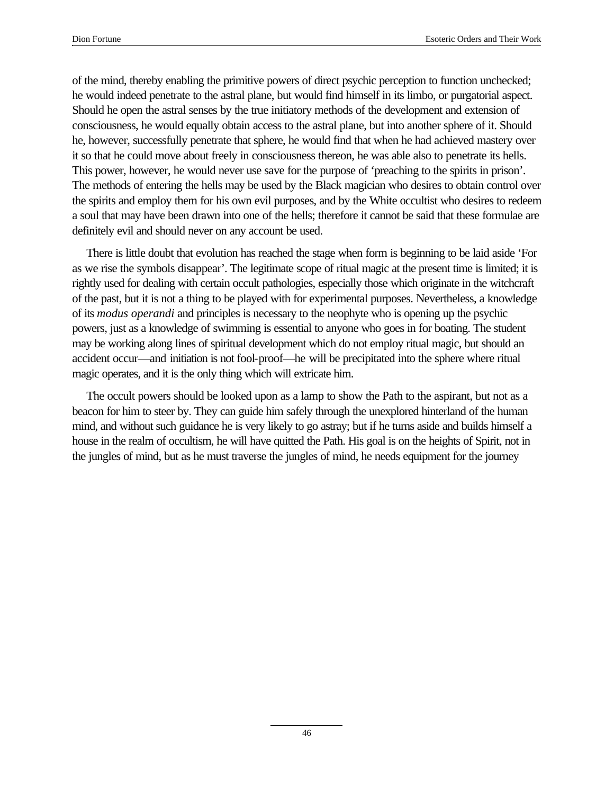of the mind, thereby enabling the primitive powers of direct psychic perception to function unchecked; he would indeed penetrate to the astral plane, but would find himself in its limbo, or purgatorial aspect. Should he open the astral senses by the true initiatory methods of the development and extension of consciousness, he would equally obtain access to the astral plane, but into another sphere of it. Should he, however, successfully penetrate that sphere, he would find that when he had achieved mastery over it so that he could move about freely in consciousness thereon, he was able also to penetrate its hells. This power, however, he would never use save for the purpose of 'preaching to the spirits in prison'. The methods of entering the hells may be used by the Black magician who desires to obtain control over the spirits and employ them for his own evil purposes, and by the White occultist who desires to redeem a soul that may have been drawn into one of the hells; therefore it cannot be said that these formulae are definitely evil and should never on any account be used.

There is little doubt that evolution has reached the stage when form is beginning to be laid aside 'For as we rise the symbols disappear'. The legitimate scope of ritual magic at the present time is limited; it is rightly used for dealing with certain occult pathologies, especially those which originate in the witchcraft of the past, but it is not a thing to be played with for experimental purposes. Nevertheless, a knowledge of its *modus operandi* and principles is necessary to the neophyte who is opening up the psychic powers, just as a knowledge of swimming is essential to anyone who goes in for boating. The student may be working along lines of spiritual development which do not employ ritual magic, but should an accident occur—and initiation is not fool-proof—he will be precipitated into the sphere where ritual magic operates, and it is the only thing which will extricate him.

The occult powers should be looked upon as a lamp to show the Path to the aspirant, but not as a beacon for him to steer by. They can guide him safely through the unexplored hinterland of the human mind, and without such guidance he is very likely to go astray; but if he turns aside and builds himself a house in the realm of occultism, he will have quitted the Path. His goal is on the heights of Spirit, not in the jungles of mind, but as he must traverse the jungles of mind, he needs equipment for the journey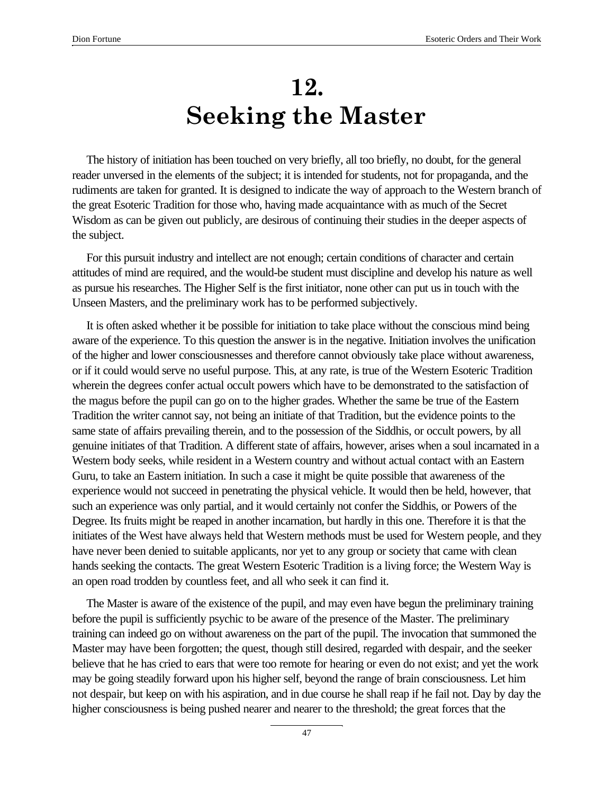### **12. Seeking the Master**

The history of initiation has been touched on very briefly, all too briefly, no doubt, for the general reader unversed in the elements of the subject; it is intended for students, not for propaganda, and the rudiments are taken for granted. It is designed to indicate the way of approach to the Western branch of the great Esoteric Tradition for those who, having made acquaintance with as much of the Secret Wisdom as can be given out publicly, are desirous of continuing their studies in the deeper aspects of the subject.

For this pursuit industry and intellect are not enough; certain conditions of character and certain attitudes of mind are required, and the would-be student must discipline and develop his nature as well as pursue his researches. The Higher Self is the first initiator, none other can put us in touch with the Unseen Masters, and the preliminary work has to be performed subjectively.

It is often asked whether it be possible for initiation to take place without the conscious mind being aware of the experience. To this question the answer is in the negative. Initiation involves the unification of the higher and lower consciousnesses and therefore cannot obviously take place without awareness, or if it could would serve no useful purpose. This, at any rate, is true of the Western Esoteric Tradition wherein the degrees confer actual occult powers which have to be demonstrated to the satisfaction of the magus before the pupil can go on to the higher grades. Whether the same be true of the Eastern Tradition the writer cannot say, not being an initiate of that Tradition, but the evidence points to the same state of affairs prevailing therein, and to the possession of the Siddhis, or occult powers, by all genuine initiates of that Tradition. A different state of affairs, however, arises when a soul incarnated in a Western body seeks, while resident in a Western country and without actual contact with an Eastern Guru, to take an Eastern initiation. In such a case it might be quite possible that awareness of the experience would not succeed in penetrating the physical vehicle. It would then be held, however, that such an experience was only partial, and it would certainly not confer the Siddhis, or Powers of the Degree. Its fruits might be reaped in another incarnation, but hardly in this one. Therefore it is that the initiates of the West have always held that Western methods must be used for Western people, and they have never been denied to suitable applicants, nor yet to any group or society that came with clean hands seeking the contacts. The great Western Esoteric Tradition is a living force; the Western Way is an open road trodden by countless feet, and all who seek it can find it.

The Master is aware of the existence of the pupil, and may even have begun the preliminary training before the pupil is sufficiently psychic to be aware of the presence of the Master. The preliminary training can indeed go on without awareness on the part of the pupil. The invocation that summoned the Master may have been forgotten; the quest, though still desired, regarded with despair, and the seeker believe that he has cried to ears that were too remote for hearing or even do not exist; and yet the work may be going steadily forward upon his higher self, beyond the range of brain consciousness. Let him not despair, but keep on with his aspiration, and in due course he shall reap if he fail not. Day by day the higher consciousness is being pushed nearer and nearer to the threshold; the great forces that the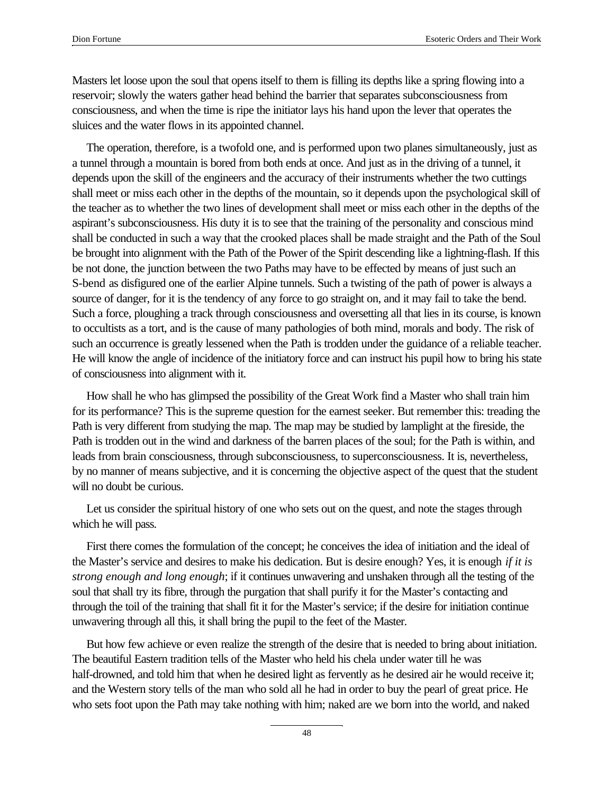Masters let loose upon the soul that opens itself to them is filling its depths like a spring flowing into a reservoir; slowly the waters gather head behind the barrier that separates subconsciousness from consciousness, and when the time is ripe the initiator lays his hand upon the lever that operates the sluices and the water flows in its appointed channel.

The operation, therefore, is a twofold one, and is performed upon two planes simultaneously, just as a tunnel through a mountain is bored from both ends at once. And just as in the driving of a tunnel, it depends upon the skill of the engineers and the accuracy of their instruments whether the two cuttings shall meet or miss each other in the depths of the mountain, so it depends upon the psychological skill of the teacher as to whether the two lines of development shall meet or miss each other in the depths of the aspirant's subconsciousness. His duty it is to see that the training of the personality and conscious mind shall be conducted in such a way that the crooked places shall be made straight and the Path of the Soul be brought into alignment with the Path of the Power of the Spirit descending like a lightning-flash. If this be not done, the junction between the two Paths may have to be effected by means of just such an S-bend as disfigured one of the earlier Alpine tunnels. Such a twisting of the path of power is always a source of danger, for it is the tendency of any force to go straight on, and it may fail to take the bend. Such a force, ploughing a track through consciousness and oversetting all that lies in its course, is known to occultists as a tort, and is the cause of many pathologies of both mind, morals and body. The risk of such an occurrence is greatly lessened when the Path is trodden under the guidance of a reliable teacher. He will know the angle of incidence of the initiatory force and can instruct his pupil how to bring his state of consciousness into alignment with it.

How shall he who has glimpsed the possibility of the Great Work find a Master who shall train him for its performance? This is the supreme question for the earnest seeker. But remember this: treading the Path is very different from studying the map. The map may be studied by lamplight at the fireside, the Path is trodden out in the wind and darkness of the barren places of the soul; for the Path is within, and leads from brain consciousness, through subconsciousness, to superconsciousness. It is, nevertheless, by no manner of means subjective, and it is concerning the objective aspect of the quest that the student will no doubt be curious.

Let us consider the spiritual history of one who sets out on the quest, and note the stages through which he will pass.

First there comes the formulation of the concept; he conceives the idea of initiation and the ideal of the Master's service and desires to make his dedication. But is desire enough? Yes, it is enough *if it is strong enough and long enough*; if it continues unwavering and unshaken through all the testing of the soul that shall try its fibre, through the purgation that shall purify it for the Master's contacting and through the toil of the training that shall fit it for the Master's service; if the desire for initiation continue unwavering through all this, it shall bring the pupil to the feet of the Master.

But how few achieve or even realize the strength of the desire that is needed to bring about initiation. The beautiful Eastern tradition tells of the Master who held his chela under water till he was half-drowned, and told him that when he desired light as fervently as he desired air he would receive it; and the Western story tells of the man who sold all he had in order to buy the pearl of great price. He who sets foot upon the Path may take nothing with him; naked are we born into the world, and naked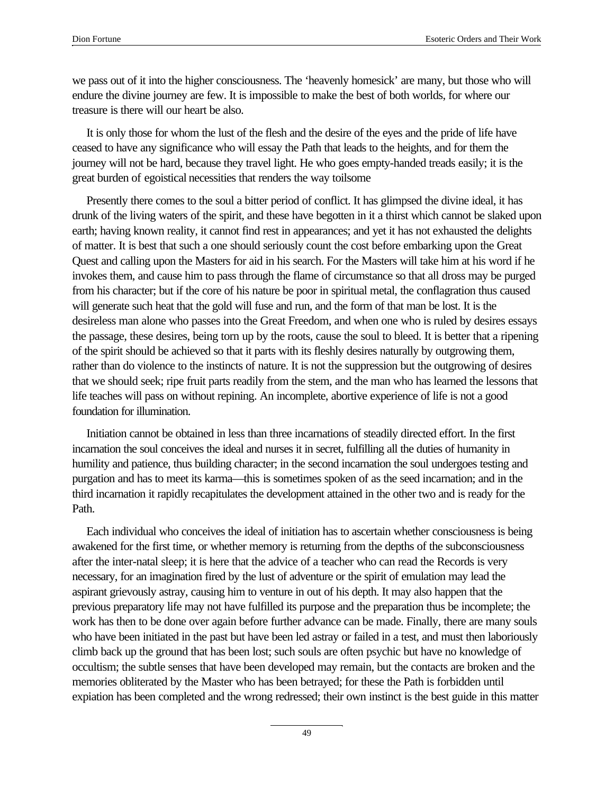we pass out of it into the higher consciousness. The 'heavenly homesick' are many, but those who will endure the divine journey are few. It is impossible to make the best of both worlds, for where our treasure is there will our heart be also.

It is only those for whom the lust of the flesh and the desire of the eyes and the pride of life have ceased to have any significance who will essay the Path that leads to the heights, and for them the journey will not be hard, because they travel light. He who goes empty-handed treads easily; it is the great burden of egoistical necessities that renders the way toilsome

Presently there comes to the soul a bitter period of conflict. It has glimpsed the divine ideal, it has drunk of the living waters of the spirit, and these have begotten in it a thirst which cannot be slaked upon earth; having known reality, it cannot find rest in appearances; and yet it has not exhausted the delights of matter. It is best that such a one should seriously count the cost before embarking upon the Great Quest and calling upon the Masters for aid in his search. For the Masters will take him at his word if he invokes them, and cause him to pass through the flame of circumstance so that all dross may be purged from his character; but if the core of his nature be poor in spiritual metal, the conflagration thus caused will generate such heat that the gold will fuse and run, and the form of that man be lost. It is the desireless man alone who passes into the Great Freedom, and when one who is ruled by desires essays the passage, these desires, being torn up by the roots, cause the soul to bleed. It is better that a ripening of the spirit should be achieved so that it parts with its fleshly desires naturally by outgrowing them, rather than do violence to the instincts of nature. It is not the suppression but the outgrowing of desires that we should seek; ripe fruit parts readily from the stem, and the man who has learned the lessons that life teaches will pass on without repining. An incomplete, abortive experience of life is not a good foundation for illumination.

Initiation cannot be obtained in less than three incarnations of steadily directed effort. In the first incarnation the soul conceives the ideal and nurses it in secret, fulfilling all the duties of humanity in humility and patience, thus building character; in the second incarnation the soul undergoes testing and purgation and has to meet its karma—this is sometimes spoken of as the seed incarnation; and in the third incarnation it rapidly recapitulates the development attained in the other two and is ready for the Path.

Each individual who conceives the ideal of initiation has to ascertain whether consciousness is being awakened for the first time, or whether memory is returning from the depths of the subconsciousness after the inter-natal sleep; it is here that the advice of a teacher who can read the Records is very necessary, for an imagination fired by the lust of adventure or the spirit of emulation may lead the aspirant grievously astray, causing him to venture in out of his depth. It may also happen that the previous preparatory life may not have fulfilled its purpose and the preparation thus be incomplete; the work has then to be done over again before further advance can be made. Finally, there are many souls who have been initiated in the past but have been led astray or failed in a test, and must then laboriously climb back up the ground that has been lost; such souls are often psychic but have no knowledge of occultism; the subtle senses that have been developed may remain, but the contacts are broken and the memories obliterated by the Master who has been betrayed; for these the Path is forbidden until expiation has been completed and the wrong redressed; their own instinct is the best guide in this matter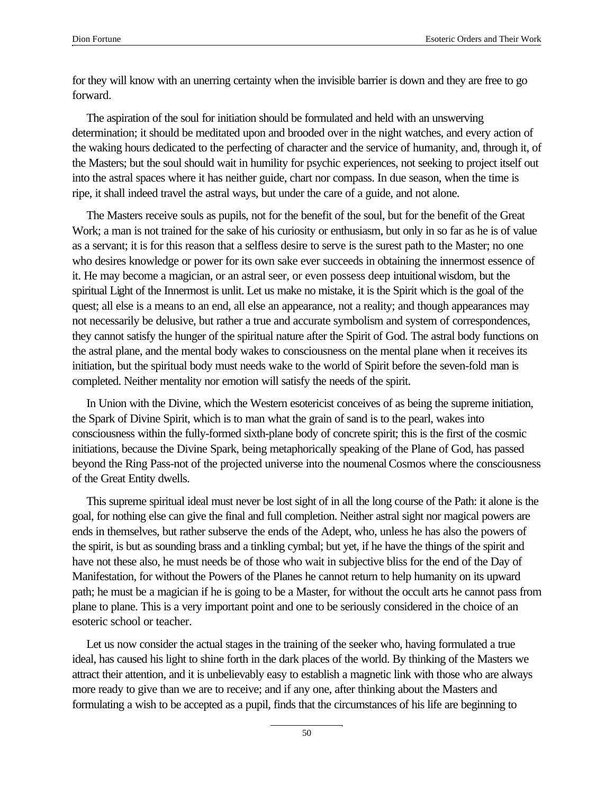for they will know with an unerring certainty when the invisible barrier is down and they are free to go forward.

The aspiration of the soul for initiation should be formulated and held with an unswerving determination; it should be meditated upon and brooded over in the night watches, and every action of the waking hours dedicated to the perfecting of character and the service of humanity, and, through it, of the Masters; but the soul should wait in humility for psychic experiences, not seeking to project itself out into the astral spaces where it has neither guide, chart nor compass. In due season, when the time is ripe, it shall indeed travel the astral ways, but under the care of a guide, and not alone.

The Masters receive souls as pupils, not for the benefit of the soul, but for the benefit of the Great Work; a man is not trained for the sake of his curiosity or enthusiasm, but only in so far as he is of value as a servant; it is for this reason that a selfless desire to serve is the surest path to the Master; no one who desires knowledge or power for its own sake ever succeeds in obtaining the innermost essence of it. He may become a magician, or an astral seer, or even possess deep intuitional wisdom, but the spiritual Light of the Innermost is unlit. Let us make no mistake, it is the Spirit which is the goal of the quest; all else is a means to an end, all else an appearance, not a reality; and though appearances may not necessarily be delusive, but rather a true and accurate symbolism and system of correspondences, they cannot satisfy the hunger of the spiritual nature after the Spirit of God. The astral body functions on the astral plane, and the mental body wakes to consciousness on the mental plane when it receives its initiation, but the spiritual body must needs wake to the world of Spirit before the seven-fold man is completed. Neither mentality nor emotion will satisfy the needs of the spirit.

In Union with the Divine, which the Western esotericist conceives of as being the supreme initiation, the Spark of Divine Spirit, which is to man what the grain of sand is to the pearl, wakes into consciousness within the fully-formed sixth-plane body of concrete spirit; this is the first of the cosmic initiations, because the Divine Spark, being metaphorically speaking of the Plane of God, has passed beyond the Ring Pass-not of the projected universe into the noumenal Cosmos where the consciousness of the Great Entity dwells.

This supreme spiritual ideal must never be lost sight of in all the long course of the Path: it alone is the goal, for nothing else can give the final and full completion. Neither astral sight nor magical powers are ends in themselves, but rather subserve the ends of the Adept, who, unless he has also the powers of the spirit, is but as sounding brass and a tinkling cymbal; but yet, if he have the things of the spirit and have not these also, he must needs be of those who wait in subjective bliss for the end of the Day of Manifestation, for without the Powers of the Planes he cannot return to help humanity on its upward path; he must be a magician if he is going to be a Master, for without the occult arts he cannot pass from plane to plane. This is a very important point and one to be seriously considered in the choice of an esoteric school or teacher.

Let us now consider the actual stages in the training of the seeker who, having formulated a true ideal, has caused his light to shine forth in the dark places of the world. By thinking of the Masters we attract their attention, and it is unbelievably easy to establish a magnetic link with those who are always more ready to give than we are to receive; and if any one, after thinking about the Masters and formulating a wish to be accepted as a pupil, finds that the circumstances of his life are beginning to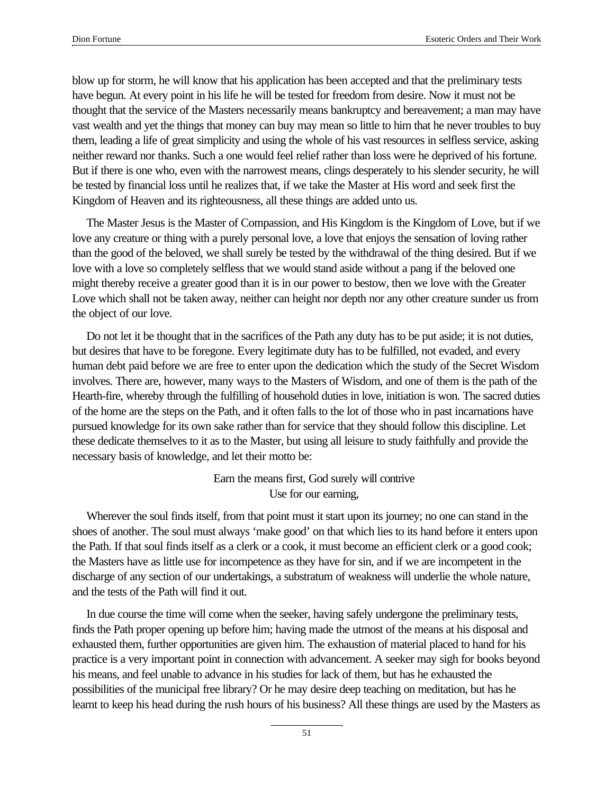blow up for storm, he will know that his application has been accepted and that the preliminary tests have begun. At every point in his life he will be tested for freedom from desire. Now it must not be thought that the service of the Masters necessarily means bankruptcy and bereavement; a man may have vast wealth and yet the things that money can buy may mean so little to him that he never troubles to buy them, leading a life of great simplicity and using the whole of his vast resources in selfless service, asking neither reward nor thanks. Such a one would feel relief rather than loss were he deprived of his fortune. But if there is one who, even with the narrowest means, clings desperately to his slender security, he will be tested by financial loss until he realizes that, if we take the Master at His word and seek first the Kingdom of Heaven and its righteousness, all these things are added unto us.

The Master Jesus is the Master of Compassion, and His Kingdom is the Kingdom of Love, but if we love any creature or thing with a purely personal love, a love that enjoys the sensation of loving rather than the good of the beloved, we shall surely be tested by the withdrawal of the thing desired. But if we love with a love so completely selfless that we would stand aside without a pang if the beloved one might thereby receive a greater good than it is in our power to bestow, then we love with the Greater Love which shall not be taken away, neither can height nor depth nor any other creature sunder us from the object of our love.

Do not let it be thought that in the sacrifices of the Path any duty has to be put aside; it is not duties, but desires that have to be foregone. Every legitimate duty has to be fulfilled, not evaded, and every human debt paid before we are free to enter upon the dedication which the study of the Secret Wisdom involves. There are, however, many ways to the Masters of Wisdom, and one of them is the path of the Hearth-fire, whereby through the fulfilling of household duties in love, initiation is won. The sacred duties of the home are the steps on the Path, and it often falls to the lot of those who in past incarnations have pursued knowledge for its own sake rather than for service that they should follow this discipline. Let these dedicate themselves to it as to the Master, but using all leisure to study faithfully and provide the necessary basis of knowledge, and let their motto be:

#### Earn the means first, God surely will contrive Use for our earning,

Wherever the soul finds itself, from that point must it start upon its journey; no one can stand in the shoes of another. The soul must always 'make good' on that which lies to its hand before it enters upon the Path. If that soul finds itself as a clerk or a cook, it must become an efficient clerk or a good cook; the Masters have as little use for incompetence as they have for sin, and if we are incompetent in the discharge of any section of our undertakings, a substratum of weakness will underlie the whole nature, and the tests of the Path will find it out.

In due course the time will come when the seeker, having safely undergone the preliminary tests, finds the Path proper opening up before him; having made the utmost of the means at his disposal and exhausted them, further opportunities are given him. The exhaustion of material placed to hand for his practice is a very important point in connection with advancement. A seeker may sigh for books beyond his means, and feel unable to advance in his studies for lack of them, but has he exhausted the possibilities of the municipal free library? Or he may desire deep teaching on meditation, but has he learnt to keep his head during the rush hours of his business? All these things are used by the Masters as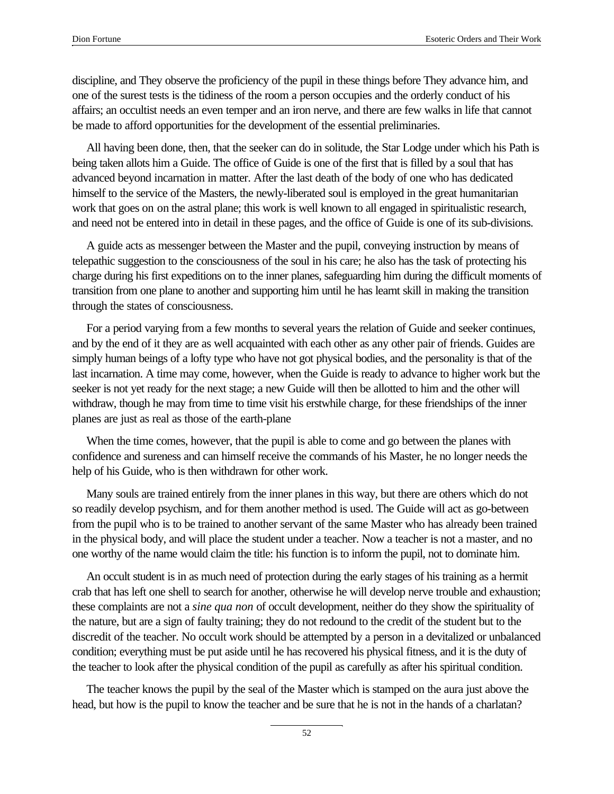discipline, and They observe the proficiency of the pupil in these things before They advance him, and one of the surest tests is the tidiness of the room a person occupies and the orderly conduct of his affairs; an occultist needs an even temper and an iron nerve, and there are few walks in life that cannot be made to afford opportunities for the development of the essential preliminaries.

All having been done, then, that the seeker can do in solitude, the Star Lodge under which his Path is being taken allots him a Guide. The office of Guide is one of the first that is filled by a soul that has advanced beyond incarnation in matter. After the last death of the body of one who has dedicated himself to the service of the Masters, the newly-liberated soul is employed in the great humanitarian work that goes on on the astral plane; this work is well known to all engaged in spiritualistic research, and need not be entered into in detail in these pages, and the office of Guide is one of its sub-divisions.

A guide acts as messenger between the Master and the pupil, conveying instruction by means of telepathic suggestion to the consciousness of the soul in his care; he also has the task of protecting his charge during his first expeditions on to the inner planes, safeguarding him during the difficult moments of transition from one plane to another and supporting him until he has learnt skill in making the transition through the states of consciousness.

For a period varying from a few months to several years the relation of Guide and seeker continues, and by the end of it they are as well acquainted with each other as any other pair of friends. Guides are simply human beings of a lofty type who have not got physical bodies, and the personality is that of the last incarnation. A time may come, however, when the Guide is ready to advance to higher work but the seeker is not yet ready for the next stage; a new Guide will then be allotted to him and the other will withdraw, though he may from time to time visit his erstwhile charge, for these friendships of the inner planes are just as real as those of the earth-plane

When the time comes, however, that the pupil is able to come and go between the planes with confidence and sureness and can himself receive the commands of his Master, he no longer needs the help of his Guide, who is then withdrawn for other work.

Many souls are trained entirely from the inner planes in this way, but there are others which do not so readily develop psychism, and for them another method is used. The Guide will act as go-between from the pupil who is to be trained to another servant of the same Master who has already been trained in the physical body, and will place the student under a teacher. Now a teacher is not a master, and no one worthy of the name would claim the title: his function is to inform the pupil, not to dominate him.

An occult student is in as much need of protection during the early stages of his training as a hermit crab that has left one shell to search for another, otherwise he will develop nerve trouble and exhaustion; these complaints are not a *sine qua non* of occult development, neither do they show the spirituality of the nature, but are a sign of faulty training; they do not redound to the credit of the student but to the discredit of the teacher. No occult work should be attempted by a person in a devitalized or unbalanced condition; everything must be put aside until he has recovered his physical fitness, and it is the duty of the teacher to look after the physical condition of the pupil as carefully as after his spiritual condition.

The teacher knows the pupil by the seal of the Master which is stamped on the aura just above the head, but how is the pupil to know the teacher and be sure that he is not in the hands of a charlatan?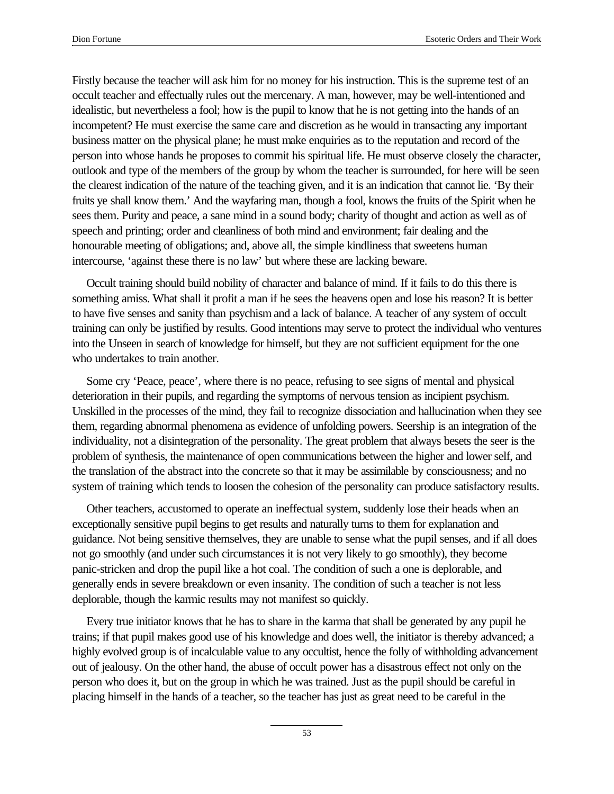Firstly because the teacher will ask him for no money for his instruction. This is the supreme test of an occult teacher and effectually rules out the mercenary. A man, however, may be well-intentioned and idealistic, but nevertheless a fool; how is the pupil to know that he is not getting into the hands of an incompetent? He must exercise the same care and discretion as he would in transacting any important business matter on the physical plane; he must make enquiries as to the reputation and record of the person into whose hands he proposes to commit his spiritual life. He must observe closely the character, outlook and type of the members of the group by whom the teacher is surrounded, for here will be seen the clearest indication of the nature of the teaching given, and it is an indication that cannot lie. 'By their fruits ye shall know them.' And the wayfaring man, though a fool, knows the fruits of the Spirit when he sees them. Purity and peace, a sane mind in a sound body; charity of thought and action as well as of speech and printing; order and cleanliness of both mind and environment; fair dealing and the honourable meeting of obligations; and, above all, the simple kindliness that sweetens human intercourse, 'against these there is no law' but where these are lacking beware.

Occult training should build nobility of character and balance of mind. If it fails to do this there is something amiss. What shall it profit a man if he sees the heavens open and lose his reason? It is better to have five senses and sanity than psychism and a lack of balance. A teacher of any system of occult training can only be justified by results. Good intentions may serve to protect the individual who ventures into the Unseen in search of knowledge for himself, but they are not sufficient equipment for the one who undertakes to train another.

Some cry 'Peace, peace', where there is no peace, refusing to see signs of mental and physical deterioration in their pupils, and regarding the symptoms of nervous tension as incipient psychism. Unskilled in the processes of the mind, they fail to recognize dissociation and hallucination when they see them, regarding abnormal phenomena as evidence of unfolding powers. Seership is an integration of the individuality, not a disintegration of the personality. The great problem that always besets the seer is the problem of synthesis, the maintenance of open communications between the higher and lower self, and the translation of the abstract into the concrete so that it may be assimilable by consciousness; and no system of training which tends to loosen the cohesion of the personality can produce satisfactory results.

Other teachers, accustomed to operate an ineffectual system, suddenly lose their heads when an exceptionally sensitive pupil begins to get results and naturally turns to them for explanation and guidance. Not being sensitive themselves, they are unable to sense what the pupil senses, and if all does not go smoothly (and under such circumstances it is not very likely to go smoothly), they become panic-stricken and drop the pupil like a hot coal. The condition of such a one is deplorable, and generally ends in severe breakdown or even insanity. The condition of such a teacher is not less deplorable, though the karmic results may not manifest so quickly.

Every true initiator knows that he has to share in the karma that shall be generated by any pupil he trains; if that pupil makes good use of his knowledge and does well, the initiator is thereby advanced; a highly evolved group is of incalculable value to any occultist, hence the folly of withholding advancement out of jealousy. On the other hand, the abuse of occult power has a disastrous effect not only on the person who does it, but on the group in which he was trained. Just as the pupil should be careful in placing himself in the hands of a teacher, so the teacher has just as great need to be careful in the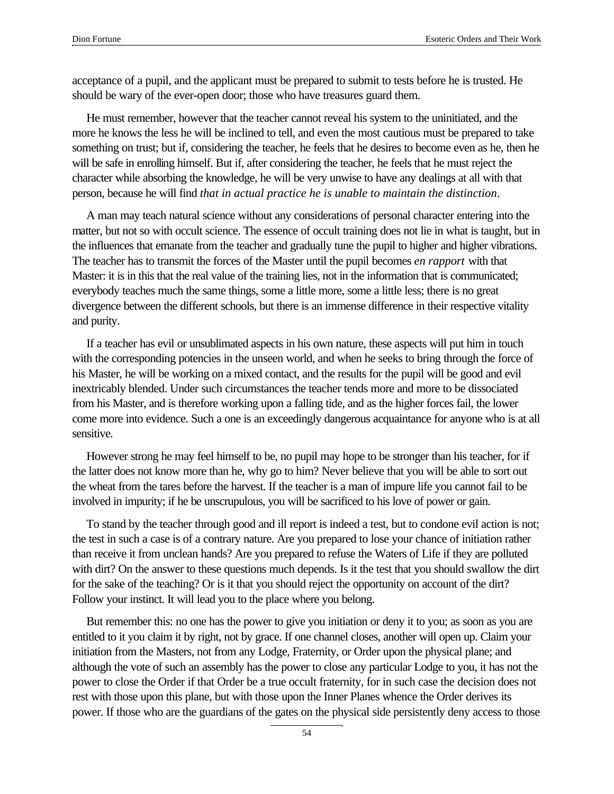acceptance of a pupil, and the applicant must be prepared to submit to tests before he is trusted. He should be wary of the ever-open door; those who have treasures guard them.

He must remember, however that the teacher cannot reveal his system to the uninitiated, and the more he knows the less he will be inclined to tell, and even the most cautious must be prepared to take something on trust; but if, considering the teacher, he feels that he desires to become even as he, then he will be safe in enrolling himself. But if, after considering the teacher, he feels that he must reject the character while absorbing the knowledge, he will be very unwise to have any dealings at all with that person, because he will find *that in actual practice he is unable to maintain the distinction*.

A man may teach natural science without any considerations of personal character entering into the matter, but not so with occult science. The essence of occult training does not lie in what is taught, but in the influences that emanate from the teacher and gradually tune the pupil to higher and higher vibrations. The teacher has to transmit the forces of the Master until the pupil becomes *en rapport* with that Master: it is in this that the real value of the training lies, not in the information that is communicated; everybody teaches much the same things, some a little more, some a little less; there is no great divergence between the different schools, but there is an immense difference in their respective vitality and purity.

If a teacher has evil or unsublimated aspects in his own nature, these aspects will put him in touch with the corresponding potencies in the unseen world, and when he seeks to bring through the force of his Master, he will be working on a mixed contact, and the results for the pupil will be good and evil inextricably blended. Under such circumstances the teacher tends more and more to be dissociated from his Master, and is therefore working upon a falling tide, and as the higher forces fail, the lower come more into evidence. Such a one is an exceedingly dangerous acquaintance for anyone who is at all sensitive.

However strong he may feel himself to be, no pupil may hope to be stronger than his teacher, for if the latter does not know more than he, why go to him? Never believe that you will be able to sort out the wheat from the tares before the harvest. If the teacher is a man of impure life you cannot fail to be involved in impurity; if he be unscrupulous, you will be sacrificed to his love of power or gain.

To stand by the teacher through good and ill report is indeed a test, but to condone evil action is not; the test in such a case is of a contrary nature. Are you prepared to lose your chance of initiation rather than receive it from unclean hands? Are you prepared to refuse the Waters of Life if they are polluted with dirt? On the answer to these questions much depends. Is it the test that you should swallow the dirt for the sake of the teaching? Or is it that you should reject the opportunity on account of the dirt? Follow your instinct. It will lead you to the place where you belong.

But remember this: no one has the power to give you initiation or deny it to you; as soon as you are entitled to it you claim it by right, not by grace. If one channel closes, another will open up. Claim your initiation from the Masters, not from any Lodge, Fraternity, or Order upon the physical plane; and although the vote of such an assembly has the power to close any particular Lodge to you, it has not the power to close the Order if that Order be a true occult fraternity, for in such case the decision does not rest with those upon this plane, but with those upon the Inner Planes whence the Order derives its power. If those who are the guardians of the gates on the physical side persistently deny access to those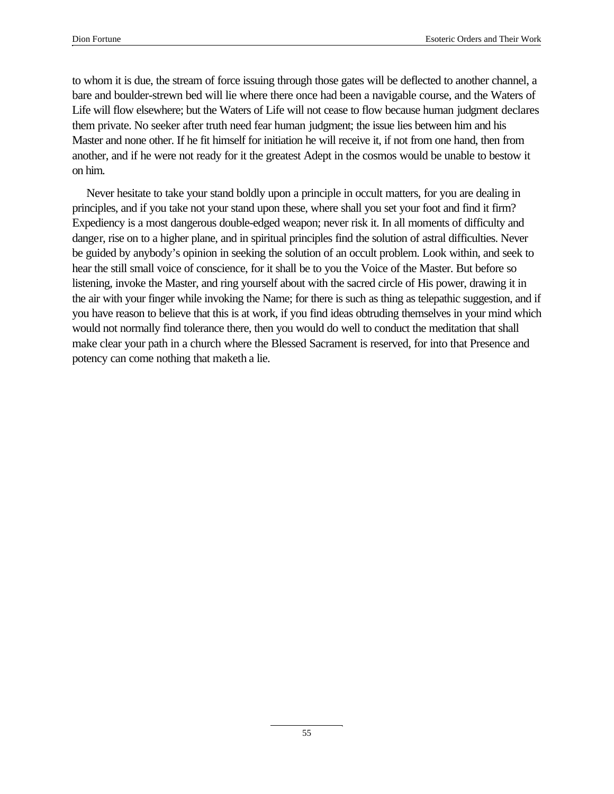to whom it is due, the stream of force issuing through those gates will be deflected to another channel, a bare and boulder-strewn bed will lie where there once had been a navigable course, and the Waters of Life will flow elsewhere; but the Waters of Life will not cease to flow because human judgment declares them private. No seeker after truth need fear human judgment; the issue lies between him and his Master and none other. If he fit himself for initiation he will receive it, if not from one hand, then from another, and if he were not ready for it the greatest Adept in the cosmos would be unable to bestow it on him.

Never hesitate to take your stand boldly upon a principle in occult matters, for you are dealing in principles, and if you take not your stand upon these, where shall you set your foot and find it firm? Expediency is a most dangerous double-edged weapon; never risk it. In all moments of difficulty and danger, rise on to a higher plane, and in spiritual principles find the solution of astral difficulties. Never be guided by anybody's opinion in seeking the solution of an occult problem. Look within, and seek to hear the still small voice of conscience, for it shall be to you the Voice of the Master. But before so listening, invoke the Master, and ring yourself about with the sacred circle of His power, drawing it in the air with your finger while invoking the Name; for there is such as thing as telepathic suggestion, and if you have reason to believe that this is at work, if you find ideas obtruding themselves in your mind which would not normally find tolerance there, then you would do well to conduct the meditation that shall make clear your path in a church where the Blessed Sacrament is reserved, for into that Presence and potency can come nothing that maketh a lie.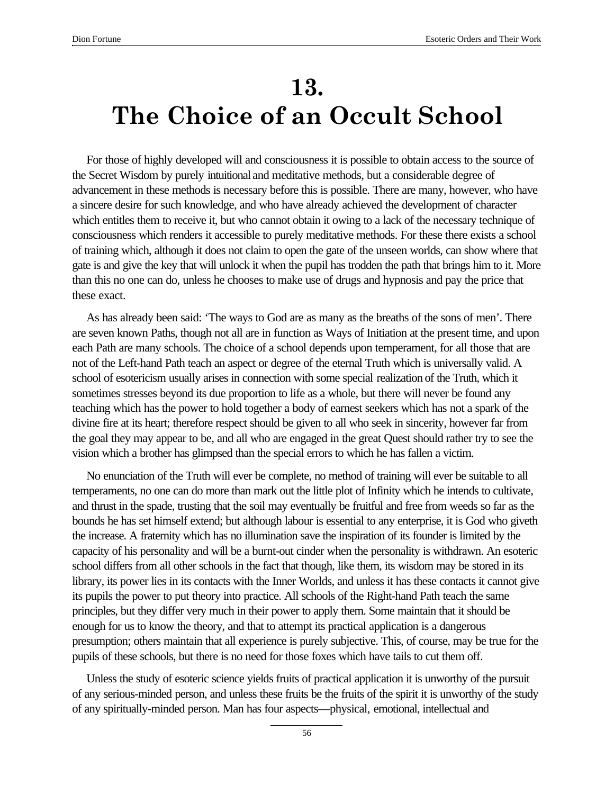## **13. The Choice of an Occult School**

For those of highly developed will and consciousness it is possible to obtain access to the source of the Secret Wisdom by purely intuitional and meditative methods, but a considerable degree of advancement in these methods is necessary before this is possible. There are many, however, who have a sincere desire for such knowledge, and who have already achieved the development of character which entitles them to receive it, but who cannot obtain it owing to a lack of the necessary technique of consciousness which renders it accessible to purely meditative methods. For these there exists a school of training which, although it does not claim to open the gate of the unseen worlds, can show where that gate is and give the key that will unlock it when the pupil has trodden the path that brings him to it. More than this no one can do, unless he chooses to make use of drugs and hypnosis and pay the price that these exact.

As has already been said: 'The ways to God are as many as the breaths of the sons of men'. There are seven known Paths, though not all are in function as Ways of Initiation at the present time, and upon each Path are many schools. The choice of a school depends upon temperament, for all those that are not of the Left-hand Path teach an aspect or degree of the eternal Truth which is universally valid. A school of esotericism usually arises in connection with some special realization of the Truth, which it sometimes stresses beyond its due proportion to life as a whole, but there will never be found any teaching which has the power to hold together a body of earnest seekers which has not a spark of the divine fire at its heart; therefore respect should be given to all who seek in sincerity, however far from the goal they may appear to be, and all who are engaged in the great Quest should rather try to see the vision which a brother has glimpsed than the special errors to which he has fallen a victim.

No enunciation of the Truth will ever be complete, no method of training will ever be suitable to all temperaments, no one can do more than mark out the little plot of Infinity which he intends to cultivate, and thrust in the spade, trusting that the soil may eventually be fruitful and free from weeds so far as the bounds he has set himself extend; but although labour is essential to any enterprise, it is God who giveth the increase. A fraternity which has no illumination save the inspiration of its founder is limited by the capacity of his personality and will be a burnt-out cinder when the personality is withdrawn. An esoteric school differs from all other schools in the fact that though, like them, its wisdom may be stored in its library, its power lies in its contacts with the Inner Worlds, and unless it has these contacts it cannot give its pupils the power to put theory into practice. All schools of the Right-hand Path teach the same principles, but they differ very much in their power to apply them. Some maintain that it should be enough for us to know the theory, and that to attempt its practical application is a dangerous presumption; others maintain that all experience is purely subjective. This, of course, may be true for the pupils of these schools, but there is no need for those foxes which have tails to cut them off.

Unless the study of esoteric science yields fruits of practical application it is unworthy of the pursuit of any serious-minded person, and unless these fruits be the fruits of the spirit it is unworthy of the study of any spiritually-minded person. Man has four aspects—physical, emotional, intellectual and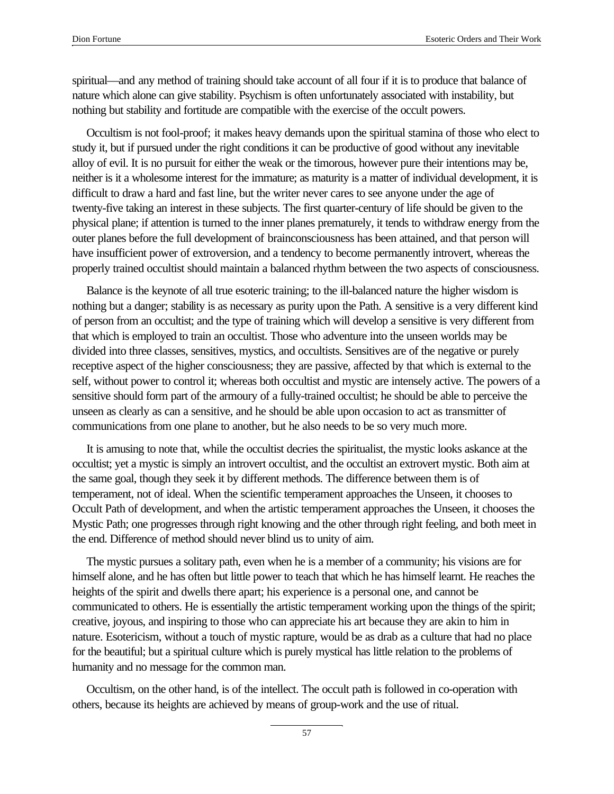spiritual—and any method of training should take account of all four if it is to produce that balance of nature which alone can give stability. Psychism is often unfortunately associated with instability, but nothing but stability and fortitude are compatible with the exercise of the occult powers.

Occultism is not fool-proof; it makes heavy demands upon the spiritual stamina of those who elect to study it, but if pursued under the right conditions it can be productive of good without any inevitable alloy of evil. It is no pursuit for either the weak or the timorous, however pure their intentions may be, neither is it a wholesome interest for the immature; as maturity is a matter of individual development, it is difficult to draw a hard and fast line, but the writer never cares to see anyone under the age of twenty-five taking an interest in these subjects. The first quarter-century of life should be given to the physical plane; if attention is turned to the inner planes prematurely, it tends to withdraw energy from the outer planes before the full development of brainconsciousness has been attained, and that person will have insufficient power of extroversion, and a tendency to become permanently introvert, whereas the properly trained occultist should maintain a balanced rhythm between the two aspects of consciousness.

Balance is the keynote of all true esoteric training; to the ill-balanced nature the higher wisdom is nothing but a danger; stability is as necessary as purity upon the Path. A sensitive is a very different kind of person from an occultist; and the type of training which will develop a sensitive is very different from that which is employed to train an occultist. Those who adventure into the unseen worlds may be divided into three classes, sensitives, mystics, and occultists. Sensitives are of the negative or purely receptive aspect of the higher consciousness; they are passive, affected by that which is external to the self, without power to control it; whereas both occultist and mystic are intensely active. The powers of a sensitive should form part of the armoury of a fully-trained occultist; he should be able to perceive the unseen as clearly as can a sensitive, and he should be able upon occasion to act as transmitter of communications from one plane to another, but he also needs to be so very much more.

It is amusing to note that, while the occultist decries the spiritualist, the mystic looks askance at the occultist; yet a mystic is simply an introvert occultist, and the occultist an extrovert mystic. Both aim at the same goal, though they seek it by different methods. The difference between them is of temperament, not of ideal. When the scientific temperament approaches the Unseen, it chooses to Occult Path of development, and when the artistic temperament approaches the Unseen, it chooses the Mystic Path; one progresses through right knowing and the other through right feeling, and both meet in the end. Difference of method should never blind us to unity of aim.

The mystic pursues a solitary path, even when he is a member of a community; his visions are for himself alone, and he has often but little power to teach that which he has himself learnt. He reaches the heights of the spirit and dwells there apart; his experience is a personal one, and cannot be communicated to others. He is essentially the artistic temperament working upon the things of the spirit; creative, joyous, and inspiring to those who can appreciate his art because they are akin to him in nature. Esotericism, without a touch of mystic rapture, would be as drab as a culture that had no place for the beautiful; but a spiritual culture which is purely mystical has little relation to the problems of humanity and no message for the common man.

Occultism, on the other hand, is of the intellect. The occult path is followed in co-operation with others, because its heights are achieved by means of group-work and the use of ritual.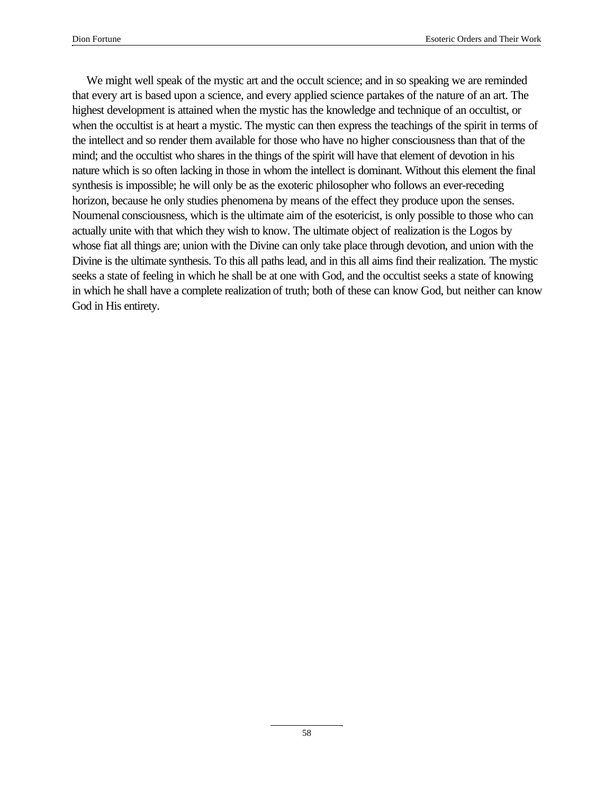We might well speak of the mystic art and the occult science; and in so speaking we are reminded that every art is based upon a science, and every applied science partakes of the nature of an art. The highest development is attained when the mystic has the knowledge and technique of an occultist, or when the occultist is at heart a mystic. The mystic can then express the teachings of the spirit in terms of the intellect and so render them available for those who have no higher consciousness than that of the mind; and the occultist who shares in the things of the spirit will have that element of devotion in his nature which is so often lacking in those in whom the intellect is dominant. Without this element the final synthesis is impossible; he will only be as the exoteric philosopher who follows an ever-receding horizon, because he only studies phenomena by means of the effect they produce upon the senses. Noumenal consciousness, which is the ultimate aim of the esotericist, is only possible to those who can actually unite with that which they wish to know. The ultimate object of realization is the Logos by whose fiat all things are; union with the Divine can only take place through devotion, and union with the Divine is the ultimate synthesis. To this all paths lead, and in this all aims find their realization. The mystic seeks a state of feeling in which he shall be at one with God, and the occultist seeks a state of knowing in which he shall have a complete realization of truth; both of these can know God, but neither can know God in His entirety.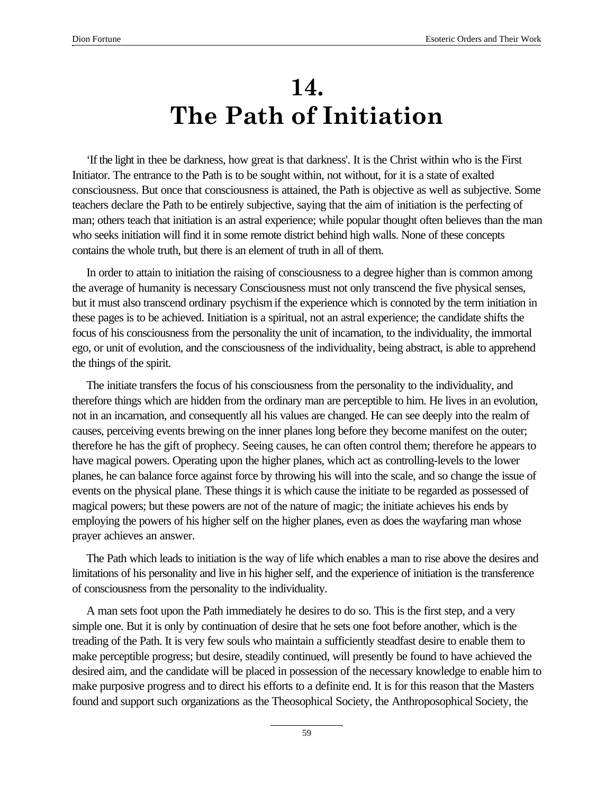# **14. The Path of Initiation**

'If the light in thee be darkness, how great is that darkness'. It is the Christ within who is the First Initiator. The entrance to the Path is to be sought within, not without, for it is a state of exalted consciousness. But once that consciousness is attained, the Path is objective as well as subjective. Some teachers declare the Path to be entirely subjective, saying that the aim of initiation is the perfecting of man; others teach that initiation is an astral experience; while popular thought often believes than the man who seeks initiation will find it in some remote district behind high walls. None of these concepts contains the whole truth, but there is an element of truth in all of them.

In order to attain to initiation the raising of consciousness to a degree higher than is common among the average of humanity is necessary Consciousness must not only transcend the five physical senses, but it must also transcend ordinary psychism if the experience which is connoted by the term initiation in these pages is to be achieved. Initiation is a spiritual, not an astral experience; the candidate shifts the focus of his consciousness from the personality the unit of incarnation, to the individuality, the immortal ego, or unit of evolution, and the consciousness of the individuality, being abstract, is able to apprehend the things of the spirit.

The initiate transfers the focus of his consciousness from the personality to the individuality, and therefore things which are hidden from the ordinary man are perceptible to him. He lives in an evolution, not in an incarnation, and consequently all his values are changed. He can see deeply into the realm of causes, perceiving events brewing on the inner planes long before they become manifest on the outer; therefore he has the gift of prophecy. Seeing causes, he can often control them; therefore he appears to have magical powers. Operating upon the higher planes, which act as controlling-levels to the lower planes, he can balance force against force by throwing his will into the scale, and so change the issue of events on the physical plane. These things it is which cause the initiate to be regarded as possessed of magical powers; but these powers are not of the nature of magic; the initiate achieves his ends by employing the powers of his higher self on the higher planes, even as does the wayfaring man whose prayer achieves an answer.

The Path which leads to initiation is the way of life which enables a man to rise above the desires and limitations of his personality and live in his higher self, and the experience of initiation is the transference of consciousness from the personality to the individuality.

A man sets foot upon the Path immediately he desires to do so. This is the first step, and a very simple one. But it is only by continuation of desire that he sets one foot before another, which is the treading of the Path. It is very few souls who maintain a sufficiently steadfast desire to enable them to make perceptible progress; but desire, steadily continued, will presently be found to have achieved the desired aim, and the candidate will be placed in possession of the necessary knowledge to enable him to make purposive progress and to direct his efforts to a definite end. It is for this reason that the Masters found and support such organizations as the Theosophical Society, the Anthroposophical Society, the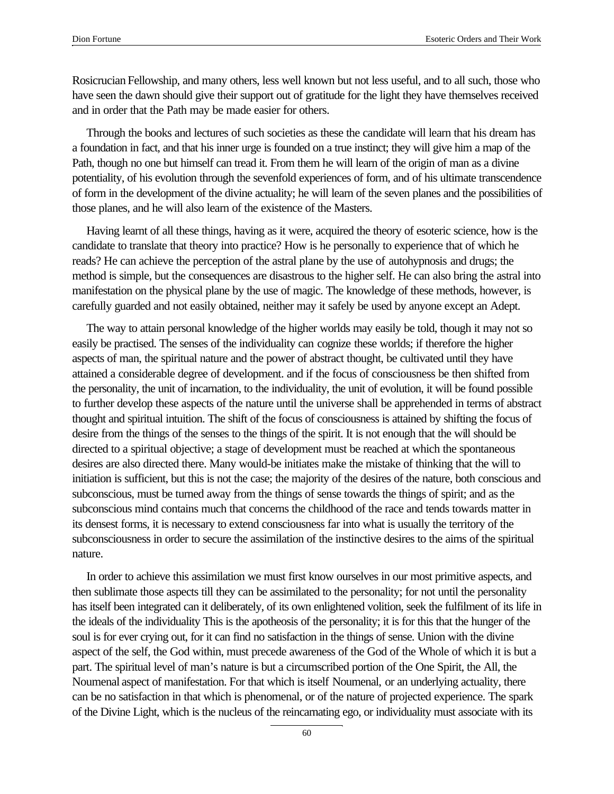Rosicrucian Fellowship, and many others, less well known but not less useful, and to all such, those who have seen the dawn should give their support out of gratitude for the light they have themselves received and in order that the Path may be made easier for others.

Through the books and lectures of such societies as these the candidate will learn that his dream has a foundation in fact, and that his inner urge is founded on a true instinct; they will give him a map of the Path, though no one but himself can tread it. From them he will learn of the origin of man as a divine potentiality, of his evolution through the sevenfold experiences of form, and of his ultimate transcendence of form in the development of the divine actuality; he will learn of the seven planes and the possibilities of those planes, and he will also learn of the existence of the Masters.

Having learnt of all these things, having as it were, acquired the theory of esoteric science, how is the candidate to translate that theory into practice? How is he personally to experience that of which he reads? He can achieve the perception of the astral plane by the use of autohypnosis and drugs; the method is simple, but the consequences are disastrous to the higher self. He can also bring the astral into manifestation on the physical plane by the use of magic. The knowledge of these methods, however, is carefully guarded and not easily obtained, neither may it safely be used by anyone except an Adept.

The way to attain personal knowledge of the higher worlds may easily be told, though it may not so easily be practised. The senses of the individuality can cognize these worlds; if therefore the higher aspects of man, the spiritual nature and the power of abstract thought, be cultivated until they have attained a considerable degree of development. and if the focus of consciousness be then shifted from the personality, the unit of incarnation, to the individuality, the unit of evolution, it will be found possible to further develop these aspects of the nature until the universe shall be apprehended in terms of abstract thought and spiritual intuition. The shift of the focus of consciousness is attained by shifting the focus of desire from the things of the senses to the things of the spirit. It is not enough that the will should be directed to a spiritual objective; a stage of development must be reached at which the spontaneous desires are also directed there. Many would-be initiates make the mistake of thinking that the will to initiation is sufficient, but this is not the case; the majority of the desires of the nature, both conscious and subconscious, must be turned away from the things of sense towards the things of spirit; and as the subconscious mind contains much that concerns the childhood of the race and tends towards matter in its densest forms, it is necessary to extend consciousness far into what is usually the territory of the subconsciousness in order to secure the assimilation of the instinctive desires to the aims of the spiritual nature.

In order to achieve this assimilation we must first know ourselves in our most primitive aspects, and then sublimate those aspects till they can be assimilated to the personality; for not until the personality has itself been integrated can it deliberately, of its own enlightened volition, seek the fulfilment of its life in the ideals of the individuality This is the apotheosis of the personality; it is for this that the hunger of the soul is for ever crying out, for it can find no satisfaction in the things of sense. Union with the divine aspect of the self, the God within, must precede awareness of the God of the Whole of which it is but a part. The spiritual level of man's nature is but a circumscribed portion of the One Spirit, the All, the Noumenal aspect of manifestation. For that which is itself Noumenal, or an underlying actuality, there can be no satisfaction in that which is phenomenal, or of the nature of projected experience. The spark of the Divine Light, which is the nucleus of the reincarnating ego, or individuality must associate with its